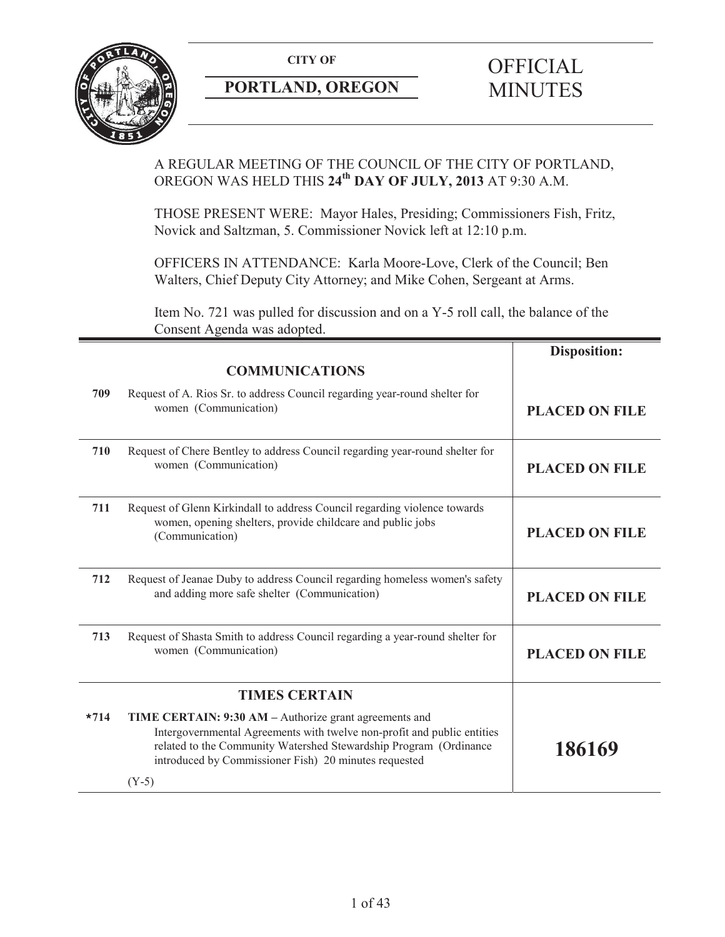

# **PORTLAND, OREGON MINUTES**

# **CITY OF** OFFICIAL

# A REGULAR MEETING OF THE COUNCIL OF THE CITY OF PORTLAND, OREGON WAS HELD THIS **24th DAY OF JULY, 2013** AT 9:30 A.M.

THOSE PRESENT WERE: Mayor Hales, Presiding; Commissioners Fish, Fritz, Novick and Saltzman, 5. Commissioner Novick left at 12:10 p.m.

OFFICERS IN ATTENDANCE: Karla Moore-Love, Clerk of the Council; Ben Walters, Chief Deputy City Attorney; and Mike Cohen, Sergeant at Arms.

Item No. 721 was pulled for discussion and on a Y-5 roll call, the balance of the Consent Agenda was adopted.

|                      |                                                                                                                                                                                                                                                                            | <b>Disposition:</b>   |
|----------------------|----------------------------------------------------------------------------------------------------------------------------------------------------------------------------------------------------------------------------------------------------------------------------|-----------------------|
|                      | <b>COMMUNICATIONS</b>                                                                                                                                                                                                                                                      |                       |
| 709                  | Request of A. Rios Sr. to address Council regarding year-round shelter for<br>women (Communication)                                                                                                                                                                        | <b>PLACED ON FILE</b> |
| 710                  | Request of Chere Bentley to address Council regarding year-round shelter for<br>women (Communication)                                                                                                                                                                      | <b>PLACED ON FILE</b> |
| 711                  | Request of Glenn Kirkindall to address Council regarding violence towards<br>women, opening shelters, provide childcare and public jobs<br>(Communication)                                                                                                                 | <b>PLACED ON FILE</b> |
| 712                  | Request of Jeanae Duby to address Council regarding homeless women's safety<br>and adding more safe shelter (Communication)                                                                                                                                                | <b>PLACED ON FILE</b> |
| 713                  | Request of Shasta Smith to address Council regarding a year-round shelter for<br>women (Communication)                                                                                                                                                                     | <b>PLACED ON FILE</b> |
| <b>TIMES CERTAIN</b> |                                                                                                                                                                                                                                                                            |                       |
| $*714$               | TIME CERTAIN: 9:30 AM – Authorize grant agreements and<br>Intergovernmental Agreements with twelve non-profit and public entities<br>related to the Community Watershed Stewardship Program (Ordinance<br>introduced by Commissioner Fish) 20 minutes requested<br>$(Y-5)$ | 186169                |
|                      |                                                                                                                                                                                                                                                                            |                       |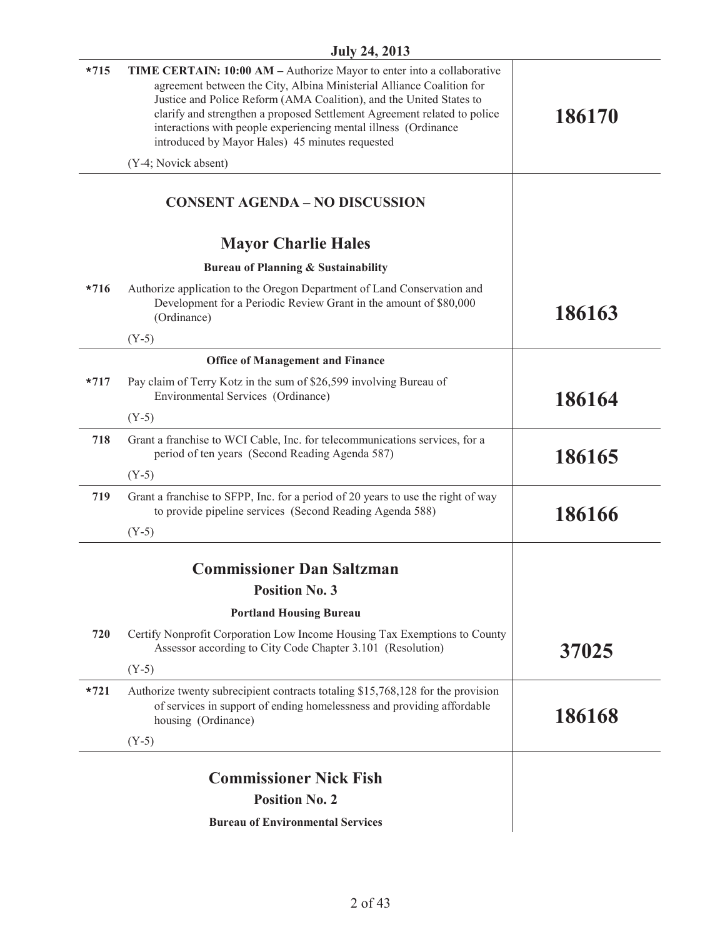| $*715$ | TIME CERTAIN: 10:00 AM - Authorize Mayor to enter into a collaborative<br>agreement between the City, Albina Ministerial Alliance Coalition for<br>Justice and Police Reform (AMA Coalition), and the United States to<br>clarify and strengthen a proposed Settlement Agreement related to police<br>interactions with people experiencing mental illness (Ordinance<br>introduced by Mayor Hales) 45 minutes requested | 186170 |
|--------|--------------------------------------------------------------------------------------------------------------------------------------------------------------------------------------------------------------------------------------------------------------------------------------------------------------------------------------------------------------------------------------------------------------------------|--------|
|        | (Y-4; Novick absent)                                                                                                                                                                                                                                                                                                                                                                                                     |        |
|        | <b>CONSENT AGENDA - NO DISCUSSION</b>                                                                                                                                                                                                                                                                                                                                                                                    |        |
|        | <b>Mayor Charlie Hales</b>                                                                                                                                                                                                                                                                                                                                                                                               |        |
|        | Bureau of Planning & Sustainability                                                                                                                                                                                                                                                                                                                                                                                      |        |
| $*716$ | Authorize application to the Oregon Department of Land Conservation and<br>Development for a Periodic Review Grant in the amount of \$80,000<br>(Ordinance)                                                                                                                                                                                                                                                              | 186163 |
|        | $(Y-5)$                                                                                                                                                                                                                                                                                                                                                                                                                  |        |
|        | <b>Office of Management and Finance</b>                                                                                                                                                                                                                                                                                                                                                                                  |        |
| $*717$ | Pay claim of Terry Kotz in the sum of \$26,599 involving Bureau of<br>Environmental Services (Ordinance)                                                                                                                                                                                                                                                                                                                 | 186164 |
|        | $(Y-5)$                                                                                                                                                                                                                                                                                                                                                                                                                  |        |
| 718    | Grant a franchise to WCI Cable, Inc. for telecommunications services, for a<br>period of ten years (Second Reading Agenda 587)                                                                                                                                                                                                                                                                                           | 186165 |
|        | $(Y-5)$                                                                                                                                                                                                                                                                                                                                                                                                                  |        |
| 719    | Grant a franchise to SFPP, Inc. for a period of 20 years to use the right of way<br>to provide pipeline services (Second Reading Agenda 588)                                                                                                                                                                                                                                                                             | 186166 |
|        | $(Y-5)$                                                                                                                                                                                                                                                                                                                                                                                                                  |        |
|        | <b>Commissioner Dan Saltzman</b>                                                                                                                                                                                                                                                                                                                                                                                         |        |
|        | <b>Position No. 3</b>                                                                                                                                                                                                                                                                                                                                                                                                    |        |
|        | <b>Portland Housing Bureau</b>                                                                                                                                                                                                                                                                                                                                                                                           |        |
| 720    | Certify Nonprofit Corporation Low Income Housing Tax Exemptions to County<br>Assessor according to City Code Chapter 3.101 (Resolution)                                                                                                                                                                                                                                                                                  | 37025  |
|        | $(Y-5)$                                                                                                                                                                                                                                                                                                                                                                                                                  |        |
| $*721$ | Authorize twenty subrecipient contracts totaling \$15,768,128 for the provision<br>of services in support of ending homelessness and providing affordable<br>housing (Ordinance)                                                                                                                                                                                                                                         | 186168 |
|        | $(Y-5)$                                                                                                                                                                                                                                                                                                                                                                                                                  |        |
|        | <b>Commissioner Nick Fish</b>                                                                                                                                                                                                                                                                                                                                                                                            |        |
|        | <b>Position No. 2</b>                                                                                                                                                                                                                                                                                                                                                                                                    |        |
|        | <b>Bureau of Environmental Services</b>                                                                                                                                                                                                                                                                                                                                                                                  |        |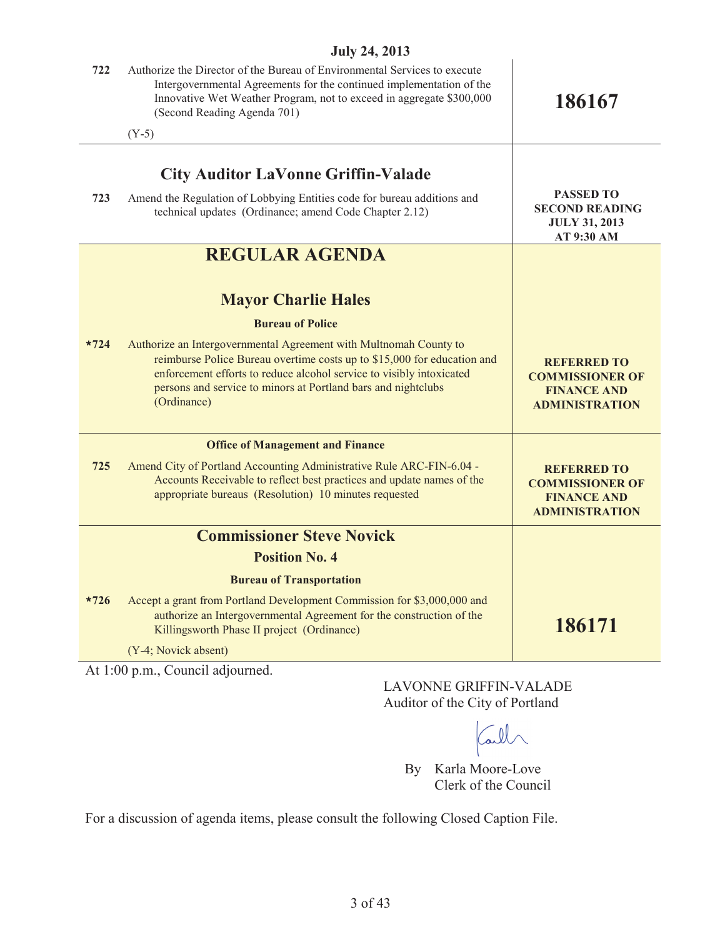| JUIY 24, 2013 |                                                                                                                                                                                                                                                                                                      |                                                                                             |  |
|---------------|------------------------------------------------------------------------------------------------------------------------------------------------------------------------------------------------------------------------------------------------------------------------------------------------------|---------------------------------------------------------------------------------------------|--|
| 722           | Authorize the Director of the Bureau of Environmental Services to execute<br>Intergovernmental Agreements for the continued implementation of the<br>Innovative Wet Weather Program, not to exceed in aggregate \$300,000<br>(Second Reading Agenda 701)                                             | 186167                                                                                      |  |
|               | $(Y-5)$                                                                                                                                                                                                                                                                                              |                                                                                             |  |
| 723           | <b>City Auditor LaVonne Griffin-Valade</b><br>Amend the Regulation of Lobbying Entities code for bureau additions and<br>technical updates (Ordinance; amend Code Chapter 2.12)                                                                                                                      | <b>PASSED TO</b><br><b>SECOND READING</b><br><b>JULY 31, 2013</b><br>AT 9:30 AM             |  |
|               | <b>REGULAR AGENDA</b>                                                                                                                                                                                                                                                                                |                                                                                             |  |
|               | <b>Mayor Charlie Hales</b>                                                                                                                                                                                                                                                                           |                                                                                             |  |
|               | <b>Bureau of Police</b>                                                                                                                                                                                                                                                                              |                                                                                             |  |
| $*724$        | Authorize an Intergovernmental Agreement with Multnomah County to<br>reimburse Police Bureau overtime costs up to \$15,000 for education and<br>enforcement efforts to reduce alcohol service to visibly intoxicated<br>persons and service to minors at Portland bars and nightclubs<br>(Ordinance) | <b>REFERRED TO</b><br><b>COMMISSIONER OF</b><br><b>FINANCE AND</b><br><b>ADMINISTRATION</b> |  |
|               | <b>Office of Management and Finance</b>                                                                                                                                                                                                                                                              |                                                                                             |  |
| 725           | Amend City of Portland Accounting Administrative Rule ARC-FIN-6.04 -<br>Accounts Receivable to reflect best practices and update names of the<br>appropriate bureaus (Resolution) 10 minutes requested                                                                                               | <b>REFERRED TO</b><br><b>COMMISSIONER OF</b><br><b>FINANCE AND</b><br><b>ADMINISTRATION</b> |  |
|               | <b>Commissioner Steve Novick</b>                                                                                                                                                                                                                                                                     |                                                                                             |  |
|               | <b>Position No. 4</b>                                                                                                                                                                                                                                                                                |                                                                                             |  |
|               | <b>Bureau of Transportation</b>                                                                                                                                                                                                                                                                      |                                                                                             |  |
| $*726$        | Accept a grant from Portland Development Commission for \$3,000,000 and<br>authorize an Intergovernmental Agreement for the construction of the<br>Killingsworth Phase II project (Ordinance)                                                                                                        | 186171                                                                                      |  |
|               | (Y-4; Novick absent)                                                                                                                                                                                                                                                                                 |                                                                                             |  |
|               |                                                                                                                                                                                                                                                                                                      |                                                                                             |  |

At 1:00 p.m., Council adjourned.

LAVONNE GRIFFIN-VALADE Auditor of the City of Portland

Call

By Karla Moore-Love Clerk of the Council

For a discussion of agenda items, please consult the following Closed Caption File.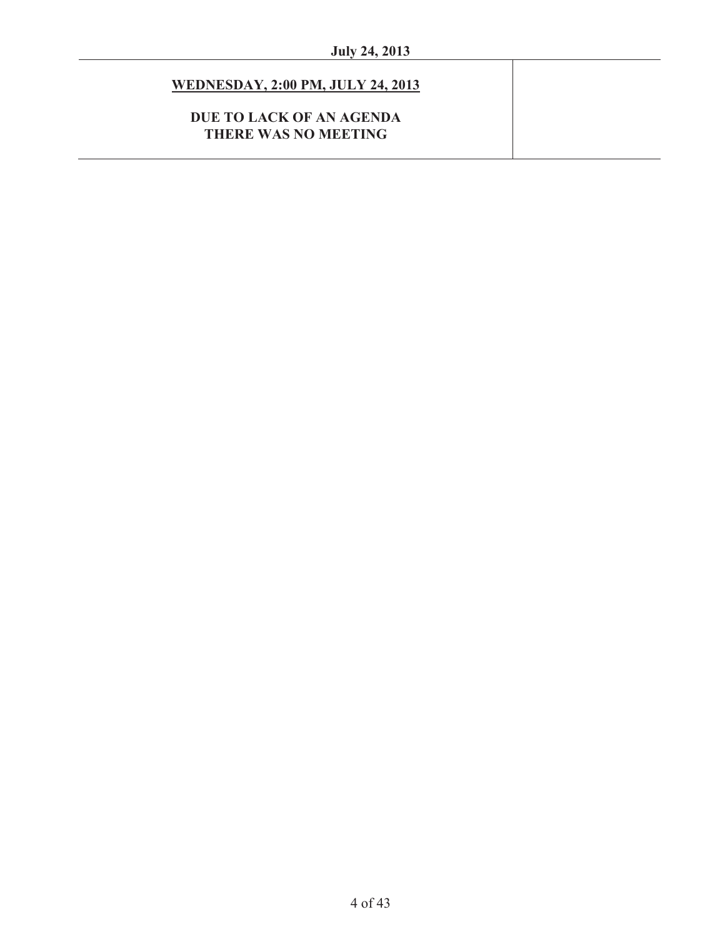# **WEDNESDAY, 2:00 PM, JULY 24, 2013**

# **DUE TO LACK OF AN AGENDA THERE WAS NO MEETING**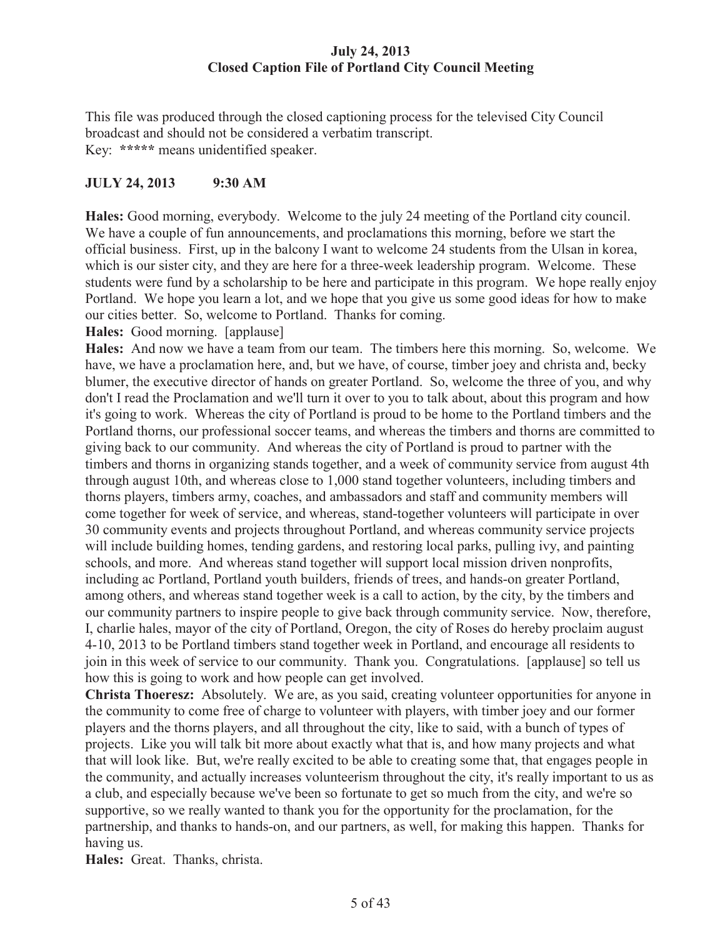# **July 24, 2013 Closed Caption File of Portland City Council Meeting**

This file was produced through the closed captioning process for the televised City Council broadcast and should not be considered a verbatim transcript. Key: **\*\*\*\*\*** means unidentified speaker.

# **JULY 24, 2013 9:30 AM**

**Hales:** Good morning, everybody. Welcome to the july 24 meeting of the Portland city council. We have a couple of fun announcements, and proclamations this morning, before we start the official business. First, up in the balcony I want to welcome 24 students from the Ulsan in korea, which is our sister city, and they are here for a three-week leadership program. Welcome. These students were fund by a scholarship to be here and participate in this program. We hope really enjoy Portland. We hope you learn a lot, and we hope that you give us some good ideas for how to make our cities better. So, welcome to Portland. Thanks for coming.

**Hales:** Good morning. [applause]

**Hales:** And now we have a team from our team. The timbers here this morning. So, welcome. We have, we have a proclamation here, and, but we have, of course, timber joey and christa and, becky blumer, the executive director of hands on greater Portland. So, welcome the three of you, and why don't I read the Proclamation and we'll turn it over to you to talk about, about this program and how it's going to work. Whereas the city of Portland is proud to be home to the Portland timbers and the Portland thorns, our professional soccer teams, and whereas the timbers and thorns are committed to giving back to our community. And whereas the city of Portland is proud to partner with the timbers and thorns in organizing stands together, and a week of community service from august 4th through august 10th, and whereas close to 1,000 stand together volunteers, including timbers and thorns players, timbers army, coaches, and ambassadors and staff and community members will come together for week of service, and whereas, stand-together volunteers will participate in over 30 community events and projects throughout Portland, and whereas community service projects will include building homes, tending gardens, and restoring local parks, pulling ivy, and painting schools, and more. And whereas stand together will support local mission driven nonprofits, including ac Portland, Portland youth builders, friends of trees, and hands-on greater Portland, among others, and whereas stand together week is a call to action, by the city, by the timbers and our community partners to inspire people to give back through community service. Now, therefore, I, charlie hales, mayor of the city of Portland, Oregon, the city of Roses do hereby proclaim august 4-10, 2013 to be Portland timbers stand together week in Portland, and encourage all residents to join in this week of service to our community. Thank you. Congratulations. [applause] so tell us how this is going to work and how people can get involved.

**Christa Thoeresz:** Absolutely. We are, as you said, creating volunteer opportunities for anyone in the community to come free of charge to volunteer with players, with timber joey and our former players and the thorns players, and all throughout the city, like to said, with a bunch of types of projects. Like you will talk bit more about exactly what that is, and how many projects and what that will look like. But, we're really excited to be able to creating some that, that engages people in the community, and actually increases volunteerism throughout the city, it's really important to us as a club, and especially because we've been so fortunate to get so much from the city, and we're so supportive, so we really wanted to thank you for the opportunity for the proclamation, for the partnership, and thanks to hands-on, and our partners, as well, for making this happen. Thanks for having us.

**Hales:** Great. Thanks, christa.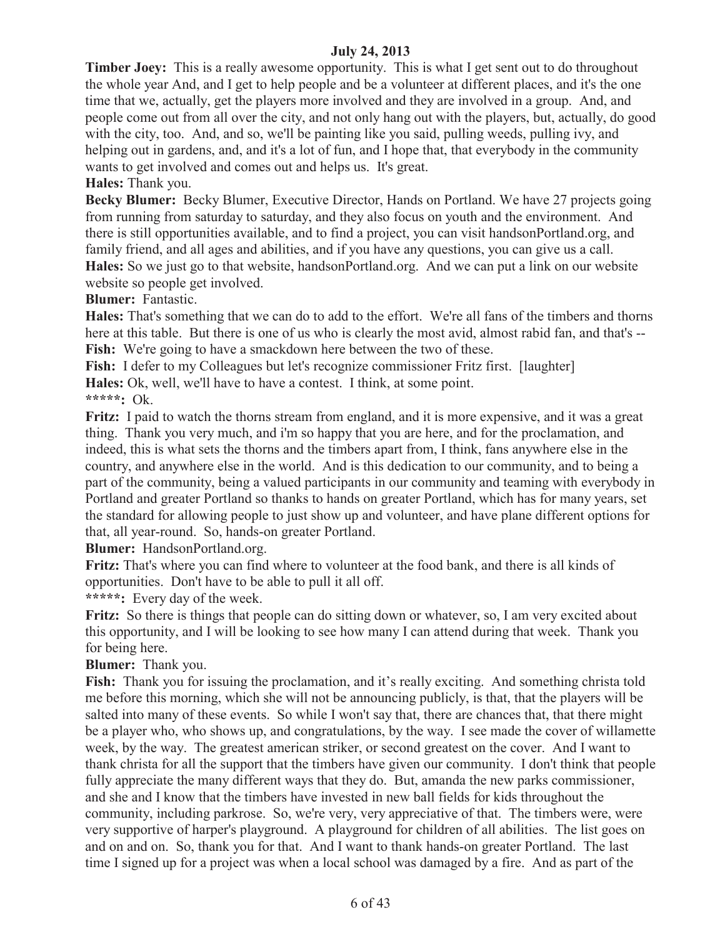**Timber Joey:** This is a really awesome opportunity. This is what I get sent out to do throughout the whole year And, and I get to help people and be a volunteer at different places, and it's the one time that we, actually, get the players more involved and they are involved in a group. And, and people come out from all over the city, and not only hang out with the players, but, actually, do good with the city, too. And, and so, we'll be painting like you said, pulling weeds, pulling ivy, and helping out in gardens, and, and it's a lot of fun, and I hope that, that everybody in the community wants to get involved and comes out and helps us. It's great.

**Hales:** Thank you.

**Becky Blumer:** Becky Blumer, Executive Director, Hands on Portland. We have 27 projects going from running from saturday to saturday, and they also focus on youth and the environment. And there is still opportunities available, and to find a project, you can visit handsonPortland.org, and family friend, and all ages and abilities, and if you have any questions, you can give us a call. **Hales:** So we just go to that website, handsonPortland.org. And we can put a link on our website website so people get involved.

**Blumer:** Fantastic.

**Hales:** That's something that we can do to add to the effort. We're all fans of the timbers and thorns here at this table. But there is one of us who is clearly the most avid, almost rabid fan, and that's --Fish: We're going to have a smackdown here between the two of these.

Fish: I defer to my Colleagues but let's recognize commissioner Fritz first. [laughter] **Hales:** Ok, well, we'll have to have a contest. I think, at some point.

**\*\*\*\*\*:** Ok.

**Fritz:** I paid to watch the thorns stream from england, and it is more expensive, and it was a great thing. Thank you very much, and i'm so happy that you are here, and for the proclamation, and indeed, this is what sets the thorns and the timbers apart from, I think, fans anywhere else in the country, and anywhere else in the world. And is this dedication to our community, and to being a part of the community, being a valued participants in our community and teaming with everybody in Portland and greater Portland so thanks to hands on greater Portland, which has for many years, set the standard for allowing people to just show up and volunteer, and have plane different options for that, all year-round. So, hands-on greater Portland.

**Blumer:** HandsonPortland.org.

**Fritz:** That's where you can find where to volunteer at the food bank, and there is all kinds of opportunities. Don't have to be able to pull it all off.

**\*\*\*\*\*:** Every day of the week.

**Fritz:** So there is things that people can do sitting down or whatever, so, I am very excited about this opportunity, and I will be looking to see how many I can attend during that week. Thank you for being here.

**Blumer:** Thank you.

Fish: Thank you for issuing the proclamation, and it's really exciting. And something christa told me before this morning, which she will not be announcing publicly, is that, that the players will be salted into many of these events. So while I won't say that, there are chances that, that there might be a player who, who shows up, and congratulations, by the way. I see made the cover of willamette week, by the way. The greatest american striker, or second greatest on the cover. And I want to thank christa for all the support that the timbers have given our community. I don't think that people fully appreciate the many different ways that they do. But, amanda the new parks commissioner, and she and I know that the timbers have invested in new ball fields for kids throughout the community, including parkrose. So, we're very, very appreciative of that. The timbers were, were very supportive of harper's playground. A playground for children of all abilities. The list goes on and on and on. So, thank you for that. And I want to thank hands-on greater Portland. The last time I signed up for a project was when a local school was damaged by a fire. And as part of the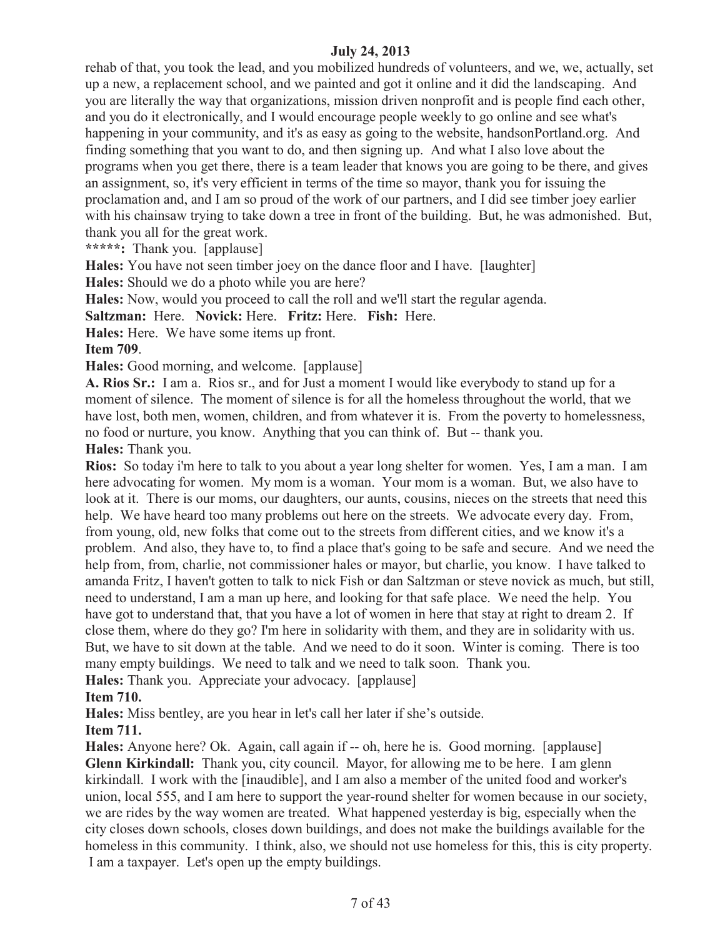rehab of that, you took the lead, and you mobilized hundreds of volunteers, and we, we, actually, set up a new, a replacement school, and we painted and got it online and it did the landscaping. And you are literally the way that organizations, mission driven nonprofit and is people find each other, and you do it electronically, and I would encourage people weekly to go online and see what's happening in your community, and it's as easy as going to the website, handsonPortland.org. And finding something that you want to do, and then signing up. And what I also love about the programs when you get there, there is a team leader that knows you are going to be there, and gives an assignment, so, it's very efficient in terms of the time so mayor, thank you for issuing the proclamation and, and I am so proud of the work of our partners, and I did see timber joey earlier with his chainsaw trying to take down a tree in front of the building. But, he was admonished. But, thank you all for the great work.

**\*\*\*\*\*:** Thank you. [applause]

**Hales:** You have not seen timber joey on the dance floor and I have. [laughter]

**Hales:** Should we do a photo while you are here?

**Hales:** Now, would you proceed to call the roll and we'll start the regular agenda.

**Saltzman:** Here. **Novick:** Here. **Fritz:** Here. **Fish:** Here.

**Hales:** Here. We have some items up front.

**Item 709**.

**Hales:** Good morning, and welcome. [applause]

**A. Rios Sr.:** I am a. Rios sr., and for Just a moment I would like everybody to stand up for a moment of silence. The moment of silence is for all the homeless throughout the world, that we have lost, both men, women, children, and from whatever it is. From the poverty to homelessness, no food or nurture, you know. Anything that you can think of. But -- thank you. **Hales:** Thank you.

**Rios:** So today i'm here to talk to you about a year long shelter for women. Yes, I am a man. I am here advocating for women. My mom is a woman. Your mom is a woman. But, we also have to look at it. There is our moms, our daughters, our aunts, cousins, nieces on the streets that need this help. We have heard too many problems out here on the streets. We advocate every day. From, from young, old, new folks that come out to the streets from different cities, and we know it's a problem. And also, they have to, to find a place that's going to be safe and secure. And we need the help from, from, charlie, not commissioner hales or mayor, but charlie, you know. I have talked to amanda Fritz, I haven't gotten to talk to nick Fish or dan Saltzman or steve novick as much, but still, need to understand, I am a man up here, and looking for that safe place. We need the help. You have got to understand that, that you have a lot of women in here that stay at right to dream 2. If close them, where do they go? I'm here in solidarity with them, and they are in solidarity with us. But, we have to sit down at the table. And we need to do it soon. Winter is coming. There is too many empty buildings. We need to talk and we need to talk soon. Thank you.

**Hales:** Thank you. Appreciate your advocacy. [applause]

**Item 710.**

**Hales:** Miss bentley, are you hear in let's call her later if she's outside.

**Item 711.**

**Hales:** Anyone here? Ok. Again, call again if -- oh, here he is. Good morning. [applause] **Glenn Kirkindall:** Thank you, city council. Mayor, for allowing me to be here. I am glenn kirkindall. I work with the [inaudible], and I am also a member of the united food and worker's union, local 555, and I am here to support the year-round shelter for women because in our society, we are rides by the way women are treated. What happened yesterday is big, especially when the city closes down schools, closes down buildings, and does not make the buildings available for the homeless in this community. I think, also, we should not use homeless for this, this is city property. I am a taxpayer. Let's open up the empty buildings.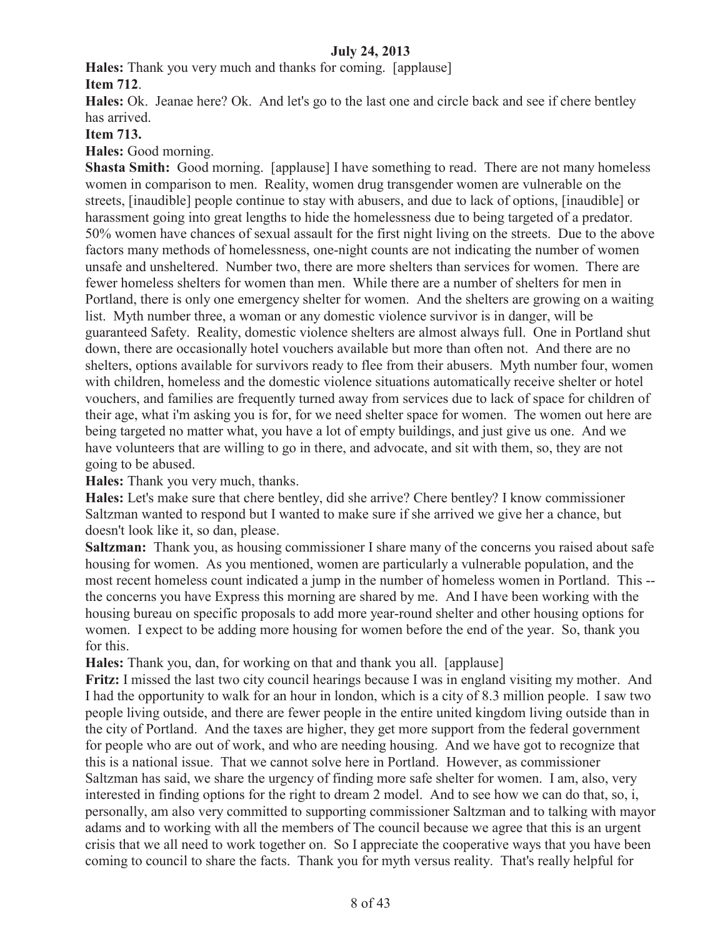**Hales:** Thank you very much and thanks for coming. [applause] **Item 712**.

**Hales:** Ok. Jeanae here? Ok. And let's go to the last one and circle back and see if chere bentley has arrived.

# **Item 713.**

**Hales:** Good morning.

**Shasta Smith:** Good morning. [applause] I have something to read. There are not many homeless women in comparison to men. Reality, women drug transgender women are vulnerable on the streets, [inaudible] people continue to stay with abusers, and due to lack of options, [inaudible] or harassment going into great lengths to hide the homelessness due to being targeted of a predator. 50% women have chances of sexual assault for the first night living on the streets. Due to the above factors many methods of homelessness, one-night counts are not indicating the number of women unsafe and unsheltered. Number two, there are more shelters than services for women. There are fewer homeless shelters for women than men. While there are a number of shelters for men in Portland, there is only one emergency shelter for women. And the shelters are growing on a waiting list. Myth number three, a woman or any domestic violence survivor is in danger, will be guaranteed Safety. Reality, domestic violence shelters are almost always full. One in Portland shut down, there are occasionally hotel vouchers available but more than often not. And there are no shelters, options available for survivors ready to flee from their abusers. Myth number four, women with children, homeless and the domestic violence situations automatically receive shelter or hotel vouchers, and families are frequently turned away from services due to lack of space for children of their age, what i'm asking you is for, for we need shelter space for women. The women out here are being targeted no matter what, you have a lot of empty buildings, and just give us one. And we have volunteers that are willing to go in there, and advocate, and sit with them, so, they are not going to be abused.

**Hales:** Thank you very much, thanks.

**Hales:** Let's make sure that chere bentley, did she arrive? Chere bentley? I know commissioner Saltzman wanted to respond but I wanted to make sure if she arrived we give her a chance, but doesn't look like it, so dan, please.

**Saltzman:** Thank you, as housing commissioner I share many of the concerns you raised about safe housing for women. As you mentioned, women are particularly a vulnerable population, and the most recent homeless count indicated a jump in the number of homeless women in Portland. This - the concerns you have Express this morning are shared by me. And I have been working with the housing bureau on specific proposals to add more year-round shelter and other housing options for women. I expect to be adding more housing for women before the end of the year. So, thank you for this.

**Hales:** Thank you, dan, for working on that and thank you all. [applause]

**Fritz:** I missed the last two city council hearings because I was in england visiting my mother. And I had the opportunity to walk for an hour in london, which is a city of 8.3 million people. I saw two people living outside, and there are fewer people in the entire united kingdom living outside than in the city of Portland. And the taxes are higher, they get more support from the federal government for people who are out of work, and who are needing housing. And we have got to recognize that this is a national issue. That we cannot solve here in Portland. However, as commissioner Saltzman has said, we share the urgency of finding more safe shelter for women. I am, also, very interested in finding options for the right to dream 2 model. And to see how we can do that, so, i, personally, am also very committed to supporting commissioner Saltzman and to talking with mayor adams and to working with all the members of The council because we agree that this is an urgent crisis that we all need to work together on. So I appreciate the cooperative ways that you have been coming to council to share the facts. Thank you for myth versus reality. That's really helpful for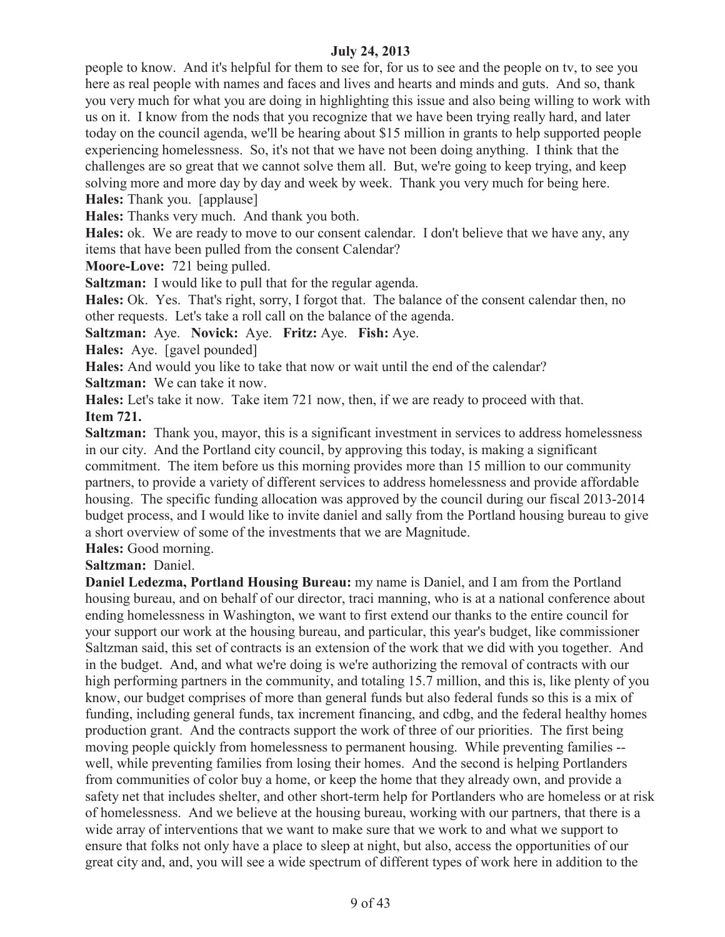people to know. And it's helpful for them to see for, for us to see and the people on tv, to see you here as real people with names and faces and lives and hearts and minds and guts. And so, thank you very much for what you are doing in highlighting this issue and also being willing to work with us on it. I know from the nods that you recognize that we have been trying really hard, and later today on the council agenda, we'll be hearing about \$15 million in grants to help supported people experiencing homelessness. So, it's not that we have not been doing anything. I think that the challenges are so great that we cannot solve them all. But, we're going to keep trying, and keep solving more and more day by day and week by week. Thank you very much for being here. **Hales:** Thank you. [applause]

**Hales:** Thanks very much. And thank you both.

**Hales:** ok. We are ready to move to our consent calendar. I don't believe that we have any, any items that have been pulled from the consent Calendar?

**Moore-Love:** 721 being pulled.

**Saltzman:** I would like to pull that for the regular agenda.

**Hales:** Ok. Yes. That's right, sorry, I forgot that. The balance of the consent calendar then, no other requests. Let's take a roll call on the balance of the agenda.

**Saltzman:** Aye. **Novick:** Aye. **Fritz:** Aye. **Fish:** Aye.

**Hales:** Aye. [gavel pounded]

**Hales:** And would you like to take that now or wait until the end of the calendar?

**Saltzman:** We can take it now.

**Hales:** Let's take it now. Take item 721 now, then, if we are ready to proceed with that. **Item 721.**

**Saltzman:** Thank you, mayor, this is a significant investment in services to address homelessness in our city. And the Portland city council, by approving this today, is making a significant commitment. The item before us this morning provides more than 15 million to our community partners, to provide a variety of different services to address homelessness and provide affordable housing. The specific funding allocation was approved by the council during our fiscal 2013-2014 budget process, and I would like to invite daniel and sally from the Portland housing bureau to give a short overview of some of the investments that we are Magnitude.

**Hales:** Good morning.

**Saltzman:** Daniel.

**Daniel Ledezma, Portland Housing Bureau:** my name is Daniel, and I am from the Portland housing bureau, and on behalf of our director, traci manning, who is at a national conference about ending homelessness in Washington, we want to first extend our thanks to the entire council for your support our work at the housing bureau, and particular, this year's budget, like commissioner Saltzman said, this set of contracts is an extension of the work that we did with you together. And in the budget. And, and what we're doing is we're authorizing the removal of contracts with our high performing partners in the community, and totaling 15.7 million, and this is, like plenty of you know, our budget comprises of more than general funds but also federal funds so this is a mix of funding, including general funds, tax increment financing, and cdbg, and the federal healthy homes production grant. And the contracts support the work of three of our priorities. The first being moving people quickly from homelessness to permanent housing. While preventing families - well, while preventing families from losing their homes. And the second is helping Portlanders from communities of color buy a home, or keep the home that they already own, and provide a safety net that includes shelter, and other short-term help for Portlanders who are homeless or at risk of homelessness. And we believe at the housing bureau, working with our partners, that there is a wide array of interventions that we want to make sure that we work to and what we support to ensure that folks not only have a place to sleep at night, but also, access the opportunities of our great city and, and, you will see a wide spectrum of different types of work here in addition to the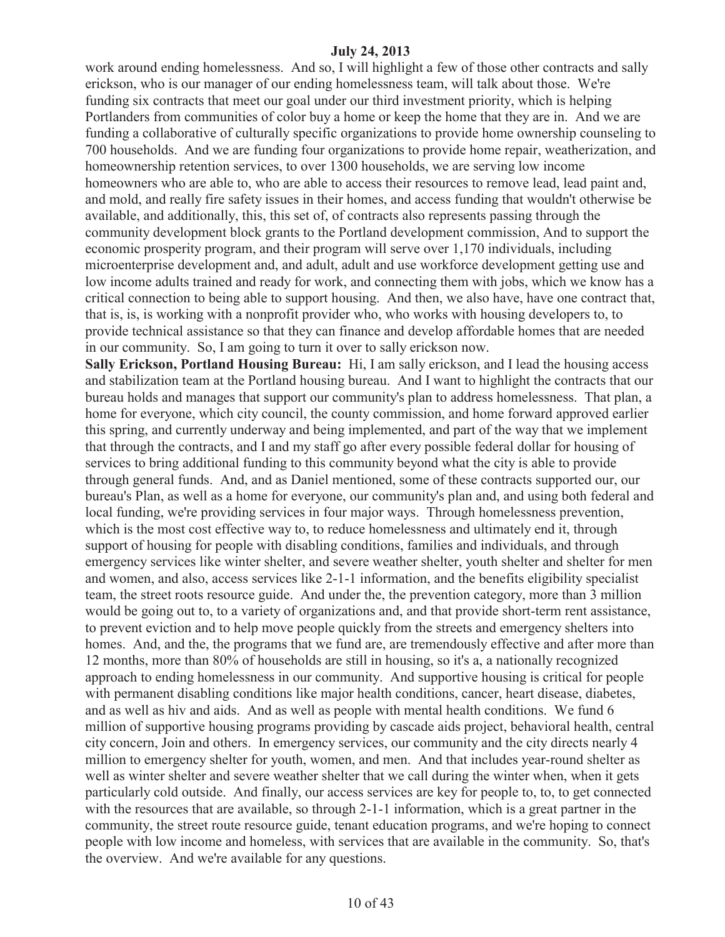work around ending homelessness. And so, I will highlight a few of those other contracts and sally erickson, who is our manager of our ending homelessness team, will talk about those. We're funding six contracts that meet our goal under our third investment priority, which is helping Portlanders from communities of color buy a home or keep the home that they are in. And we are funding a collaborative of culturally specific organizations to provide home ownership counseling to 700 households. And we are funding four organizations to provide home repair, weatherization, and homeownership retention services, to over 1300 households, we are serving low income homeowners who are able to, who are able to access their resources to remove lead, lead paint and, and mold, and really fire safety issues in their homes, and access funding that wouldn't otherwise be available, and additionally, this, this set of, of contracts also represents passing through the community development block grants to the Portland development commission, And to support the economic prosperity program, and their program will serve over 1,170 individuals, including microenterprise development and, and adult, adult and use workforce development getting use and low income adults trained and ready for work, and connecting them with jobs, which we know has a critical connection to being able to support housing. And then, we also have, have one contract that, that is, is, is working with a nonprofit provider who, who works with housing developers to, to provide technical assistance so that they can finance and develop affordable homes that are needed in our community. So, I am going to turn it over to sally erickson now.

**Sally Erickson, Portland Housing Bureau:** Hi, I am sally erickson, and I lead the housing access and stabilization team at the Portland housing bureau. And I want to highlight the contracts that our bureau holds and manages that support our community's plan to address homelessness. That plan, a home for everyone, which city council, the county commission, and home forward approved earlier this spring, and currently underway and being implemented, and part of the way that we implement that through the contracts, and I and my staff go after every possible federal dollar for housing of services to bring additional funding to this community beyond what the city is able to provide through general funds. And, and as Daniel mentioned, some of these contracts supported our, our bureau's Plan, as well as a home for everyone, our community's plan and, and using both federal and local funding, we're providing services in four major ways. Through homelessness prevention, which is the most cost effective way to, to reduce homelessness and ultimately end it, through support of housing for people with disabling conditions, families and individuals, and through emergency services like winter shelter, and severe weather shelter, youth shelter and shelter for men and women, and also, access services like 2-1-1 information, and the benefits eligibility specialist team, the street roots resource guide. And under the, the prevention category, more than 3 million would be going out to, to a variety of organizations and, and that provide short-term rent assistance, to prevent eviction and to help move people quickly from the streets and emergency shelters into homes. And, and the, the programs that we fund are, are tremendously effective and after more than 12 months, more than 80% of households are still in housing, so it's a, a nationally recognized approach to ending homelessness in our community. And supportive housing is critical for people with permanent disabling conditions like major health conditions, cancer, heart disease, diabetes, and as well as hiv and aids. And as well as people with mental health conditions. We fund 6 million of supportive housing programs providing by cascade aids project, behavioral health, central city concern, Join and others. In emergency services, our community and the city directs nearly 4 million to emergency shelter for youth, women, and men. And that includes year-round shelter as well as winter shelter and severe weather shelter that we call during the winter when, when it gets particularly cold outside. And finally, our access services are key for people to, to, to get connected with the resources that are available, so through 2-1-1 information, which is a great partner in the community, the street route resource guide, tenant education programs, and we're hoping to connect people with low income and homeless, with services that are available in the community. So, that's the overview. And we're available for any questions.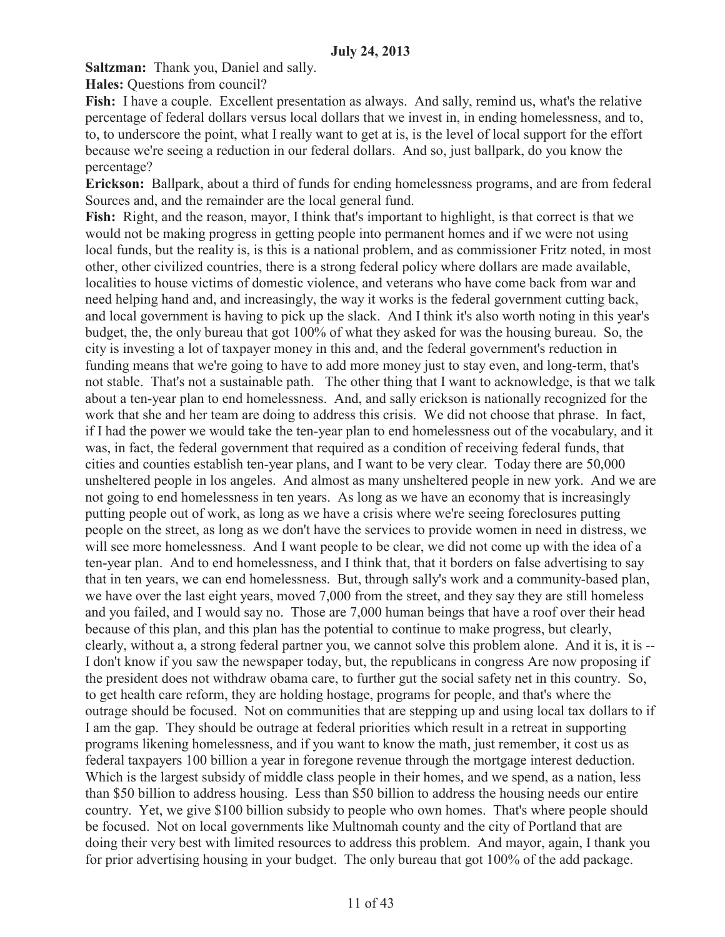**Saltzman:** Thank you, Daniel and sally.

**Hales:** Questions from council?

**Fish:** I have a couple. Excellent presentation as always. And sally, remind us, what's the relative percentage of federal dollars versus local dollars that we invest in, in ending homelessness, and to, to, to underscore the point, what I really want to get at is, is the level of local support for the effort because we're seeing a reduction in our federal dollars. And so, just ballpark, do you know the percentage?

**Erickson:** Ballpark, about a third of funds for ending homelessness programs, and are from federal Sources and, and the remainder are the local general fund.

**Fish:** Right, and the reason, mayor, I think that's important to highlight, is that correct is that we would not be making progress in getting people into permanent homes and if we were not using local funds, but the reality is, is this is a national problem, and as commissioner Fritz noted, in most other, other civilized countries, there is a strong federal policy where dollars are made available, localities to house victims of domestic violence, and veterans who have come back from war and need helping hand and, and increasingly, the way it works is the federal government cutting back, and local government is having to pick up the slack. And I think it's also worth noting in this year's budget, the, the only bureau that got 100% of what they asked for was the housing bureau. So, the city is investing a lot of taxpayer money in this and, and the federal government's reduction in funding means that we're going to have to add more money just to stay even, and long-term, that's not stable. That's not a sustainable path. The other thing that I want to acknowledge, is that we talk about a ten-year plan to end homelessness. And, and sally erickson is nationally recognized for the work that she and her team are doing to address this crisis. We did not choose that phrase. In fact, if I had the power we would take the ten-year plan to end homelessness out of the vocabulary, and it was, in fact, the federal government that required as a condition of receiving federal funds, that cities and counties establish ten-year plans, and I want to be very clear. Today there are 50,000 unsheltered people in los angeles. And almost as many unsheltered people in new york. And we are not going to end homelessness in ten years. As long as we have an economy that is increasingly putting people out of work, as long as we have a crisis where we're seeing foreclosures putting people on the street, as long as we don't have the services to provide women in need in distress, we will see more homelessness. And I want people to be clear, we did not come up with the idea of a ten-year plan. And to end homelessness, and I think that, that it borders on false advertising to say that in ten years, we can end homelessness. But, through sally's work and a community-based plan, we have over the last eight years, moved 7,000 from the street, and they say they are still homeless and you failed, and I would say no. Those are 7,000 human beings that have a roof over their head because of this plan, and this plan has the potential to continue to make progress, but clearly, clearly, without a, a strong federal partner you, we cannot solve this problem alone. And it is, it is -- I don't know if you saw the newspaper today, but, the republicans in congress Are now proposing if the president does not withdraw obama care, to further gut the social safety net in this country. So, to get health care reform, they are holding hostage, programs for people, and that's where the outrage should be focused. Not on communities that are stepping up and using local tax dollars to if I am the gap. They should be outrage at federal priorities which result in a retreat in supporting programs likening homelessness, and if you want to know the math, just remember, it cost us as federal taxpayers 100 billion a year in foregone revenue through the mortgage interest deduction. Which is the largest subsidy of middle class people in their homes, and we spend, as a nation, less than \$50 billion to address housing. Less than \$50 billion to address the housing needs our entire country. Yet, we give \$100 billion subsidy to people who own homes. That's where people should be focused. Not on local governments like Multnomah county and the city of Portland that are doing their very best with limited resources to address this problem. And mayor, again, I thank you for prior advertising housing in your budget. The only bureau that got 100% of the add package.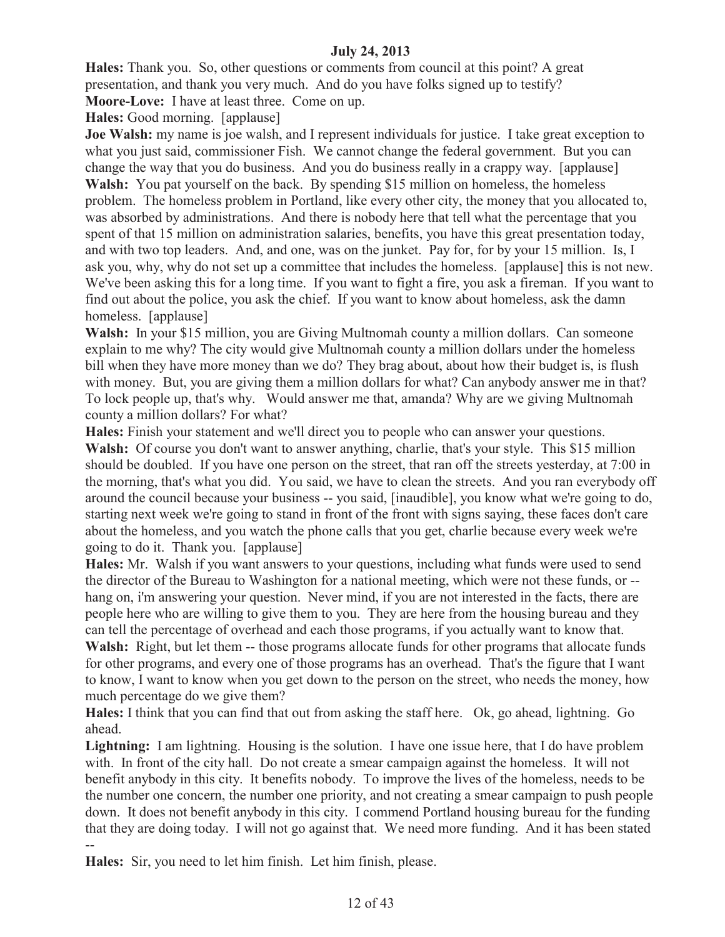**Hales:** Thank you. So, other questions or comments from council at this point? A great presentation, and thank you very much. And do you have folks signed up to testify? **Moore-Love:** I have at least three. Come on up.

**Hales:** Good morning. [applause]

**Joe Walsh:** my name is joe walsh, and I represent individuals for justice. I take great exception to what you just said, commissioner Fish. We cannot change the federal government. But you can change the way that you do business. And you do business really in a crappy way. [applause] Walsh: You pat yourself on the back. By spending \$15 million on homeless, the homeless problem. The homeless problem in Portland, like every other city, the money that you allocated to, was absorbed by administrations. And there is nobody here that tell what the percentage that you spent of that 15 million on administration salaries, benefits, you have this great presentation today, and with two top leaders. And, and one, was on the junket. Pay for, for by your 15 million. Is, I ask you, why, why do not set up a committee that includes the homeless. [applause] this is not new. We've been asking this for a long time. If you want to fight a fire, you ask a fireman. If you want to find out about the police, you ask the chief. If you want to know about homeless, ask the damn homeless. [applause]

Walsh: In your \$15 million, you are Giving Multnomah county a million dollars. Can someone explain to me why? The city would give Multnomah county a million dollars under the homeless bill when they have more money than we do? They brag about, about how their budget is, is flush with money. But, you are giving them a million dollars for what? Can anybody answer me in that? To lock people up, that's why. Would answer me that, amanda? Why are we giving Multnomah county a million dollars? For what?

**Hales:** Finish your statement and we'll direct you to people who can answer your questions. **Walsh:** Of course you don't want to answer anything, charlie, that's your style. This \$15 million should be doubled. If you have one person on the street, that ran off the streets yesterday, at 7:00 in the morning, that's what you did. You said, we have to clean the streets. And you ran everybody off around the council because your business -- you said, [inaudible], you know what we're going to do, starting next week we're going to stand in front of the front with signs saying, these faces don't care about the homeless, and you watch the phone calls that you get, charlie because every week we're going to do it. Thank you. [applause]

**Hales:** Mr. Walsh if you want answers to your questions, including what funds were used to send the director of the Bureau to Washington for a national meeting, which were not these funds, or - hang on, i'm answering your question. Never mind, if you are not interested in the facts, there are people here who are willing to give them to you. They are here from the housing bureau and they can tell the percentage of overhead and each those programs, if you actually want to know that.

**Walsh:** Right, but let them -- those programs allocate funds for other programs that allocate funds for other programs, and every one of those programs has an overhead. That's the figure that I want to know, I want to know when you get down to the person on the street, who needs the money, how much percentage do we give them?

**Hales:** I think that you can find that out from asking the staff here. Ok, go ahead, lightning. Go ahead.

**Lightning:** I am lightning. Housing is the solution. I have one issue here, that I do have problem with. In front of the city hall. Do not create a smear campaign against the homeless. It will not benefit anybody in this city. It benefits nobody. To improve the lives of the homeless, needs to be the number one concern, the number one priority, and not creating a smear campaign to push people down. It does not benefit anybody in this city. I commend Portland housing bureau for the funding that they are doing today. I will not go against that. We need more funding. And it has been stated --

**Hales:** Sir, you need to let him finish. Let him finish, please.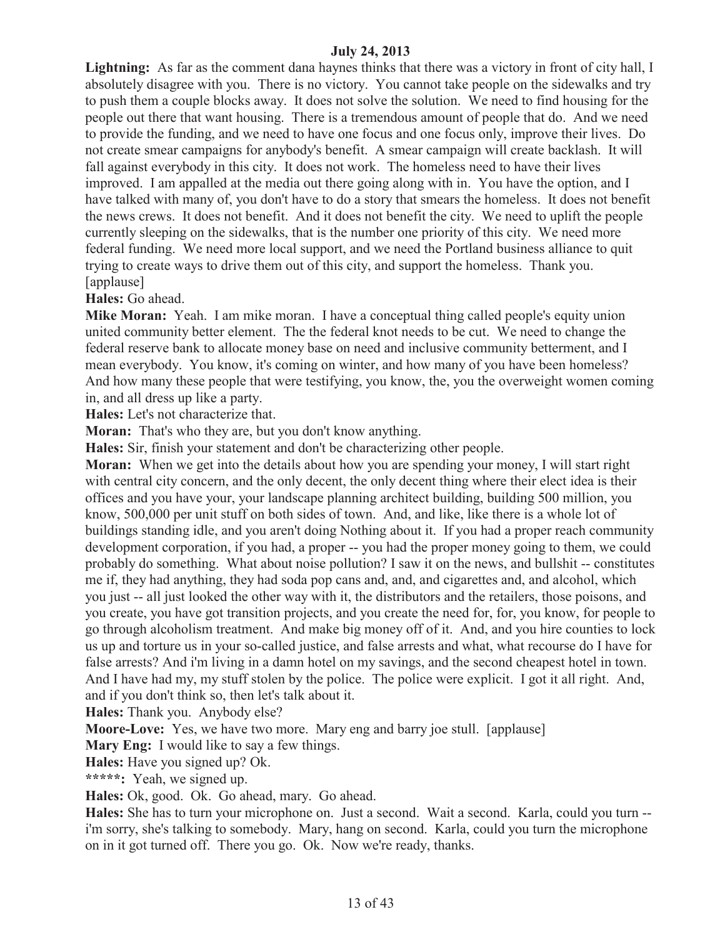**Lightning:** As far as the comment dana haynes thinks that there was a victory in front of city hall, I absolutely disagree with you. There is no victory. You cannot take people on the sidewalks and try to push them a couple blocks away. It does not solve the solution. We need to find housing for the people out there that want housing. There is a tremendous amount of people that do. And we need to provide the funding, and we need to have one focus and one focus only, improve their lives. Do not create smear campaigns for anybody's benefit. A smear campaign will create backlash. It will fall against everybody in this city. It does not work. The homeless need to have their lives improved. I am appalled at the media out there going along with in. You have the option, and I have talked with many of, you don't have to do a story that smears the homeless. It does not benefit the news crews. It does not benefit. And it does not benefit the city. We need to uplift the people currently sleeping on the sidewalks, that is the number one priority of this city. We need more federal funding. We need more local support, and we need the Portland business alliance to quit trying to create ways to drive them out of this city, and support the homeless. Thank you. [applause]

**Hales:** Go ahead.

**Mike Moran:** Yeah. I am mike moran. I have a conceptual thing called people's equity union united community better element. The the federal knot needs to be cut. We need to change the federal reserve bank to allocate money base on need and inclusive community betterment, and I mean everybody. You know, it's coming on winter, and how many of you have been homeless? And how many these people that were testifying, you know, the, you the overweight women coming in, and all dress up like a party.

**Hales:** Let's not characterize that.

**Moran:** That's who they are, but you don't know anything.

**Hales:** Sir, finish your statement and don't be characterizing other people.

**Moran:** When we get into the details about how you are spending your money, I will start right with central city concern, and the only decent, the only decent thing where their elect idea is their offices and you have your, your landscape planning architect building, building 500 million, you know, 500,000 per unit stuff on both sides of town. And, and like, like there is a whole lot of buildings standing idle, and you aren't doing Nothing about it. If you had a proper reach community development corporation, if you had, a proper -- you had the proper money going to them, we could probably do something. What about noise pollution? I saw it on the news, and bullshit -- constitutes me if, they had anything, they had soda pop cans and, and, and cigarettes and, and alcohol, which you just -- all just looked the other way with it, the distributors and the retailers, those poisons, and you create, you have got transition projects, and you create the need for, for, you know, for people to go through alcoholism treatment. And make big money off of it. And, and you hire counties to lock us up and torture us in your so-called justice, and false arrests and what, what recourse do I have for false arrests? And i'm living in a damn hotel on my savings, and the second cheapest hotel in town. And I have had my, my stuff stolen by the police. The police were explicit. I got it all right. And, and if you don't think so, then let's talk about it.

**Hales:** Thank you. Anybody else?

**Moore-Love:** Yes, we have two more. Mary eng and barry joe stull. [applause]

**Mary Eng:** I would like to say a few things.

**Hales:** Have you signed up? Ok.

**\*\*\*\*\*:** Yeah, we signed up.

**Hales:** Ok, good. Ok. Go ahead, mary. Go ahead.

**Hales:** She has to turn your microphone on. Just a second. Wait a second. Karla, could you turn - i'm sorry, she's talking to somebody. Mary, hang on second. Karla, could you turn the microphone on in it got turned off. There you go. Ok. Now we're ready, thanks.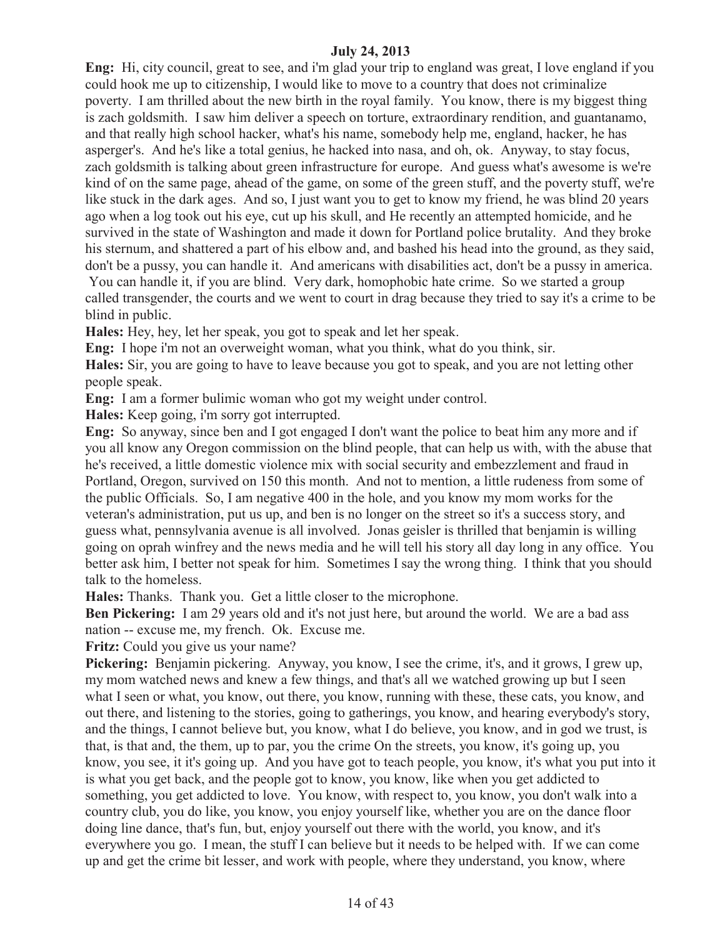**Eng:** Hi, city council, great to see, and i'm glad your trip to england was great, I love england if you could hook me up to citizenship, I would like to move to a country that does not criminalize poverty. I am thrilled about the new birth in the royal family. You know, there is my biggest thing is zach goldsmith. I saw him deliver a speech on torture, extraordinary rendition, and guantanamo, and that really high school hacker, what's his name, somebody help me, england, hacker, he has asperger's. And he's like a total genius, he hacked into nasa, and oh, ok. Anyway, to stay focus, zach goldsmith is talking about green infrastructure for europe. And guess what's awesome is we're kind of on the same page, ahead of the game, on some of the green stuff, and the poverty stuff, we're like stuck in the dark ages. And so, I just want you to get to know my friend, he was blind 20 years ago when a log took out his eye, cut up his skull, and He recently an attempted homicide, and he survived in the state of Washington and made it down for Portland police brutality. And they broke his sternum, and shattered a part of his elbow and, and bashed his head into the ground, as they said, don't be a pussy, you can handle it. And americans with disabilities act, don't be a pussy in america.

You can handle it, if you are blind. Very dark, homophobic hate crime. So we started a group called transgender, the courts and we went to court in drag because they tried to say it's a crime to be blind in public.

**Hales:** Hey, hey, let her speak, you got to speak and let her speak.

**Eng:** I hope i'm not an overweight woman, what you think, what do you think, sir.

**Hales:** Sir, you are going to have to leave because you got to speak, and you are not letting other people speak.

**Eng:** I am a former bulimic woman who got my weight under control.

**Hales:** Keep going, i'm sorry got interrupted.

**Eng:** So anyway, since ben and I got engaged I don't want the police to beat him any more and if you all know any Oregon commission on the blind people, that can help us with, with the abuse that he's received, a little domestic violence mix with social security and embezzlement and fraud in Portland, Oregon, survived on 150 this month. And not to mention, a little rudeness from some of the public Officials. So, I am negative 400 in the hole, and you know my mom works for the veteran's administration, put us up, and ben is no longer on the street so it's a success story, and guess what, pennsylvania avenue is all involved. Jonas geisler is thrilled that benjamin is willing going on oprah winfrey and the news media and he will tell his story all day long in any office. You better ask him, I better not speak for him. Sometimes I say the wrong thing. I think that you should talk to the homeless.

**Hales:** Thanks. Thank you. Get a little closer to the microphone.

**Ben Pickering:** I am 29 years old and it's not just here, but around the world. We are a bad ass nation -- excuse me, my french. Ok. Excuse me.

Fritz: Could you give us your name?

**Pickering:** Benjamin pickering. Anyway, you know, I see the crime, it's, and it grows, I grew up, my mom watched news and knew a few things, and that's all we watched growing up but I seen what I seen or what, you know, out there, you know, running with these, these cats, you know, and out there, and listening to the stories, going to gatherings, you know, and hearing everybody's story, and the things, I cannot believe but, you know, what I do believe, you know, and in god we trust, is that, is that and, the them, up to par, you the crime On the streets, you know, it's going up, you know, you see, it it's going up. And you have got to teach people, you know, it's what you put into it is what you get back, and the people got to know, you know, like when you get addicted to something, you get addicted to love. You know, with respect to, you know, you don't walk into a country club, you do like, you know, you enjoy yourself like, whether you are on the dance floor doing line dance, that's fun, but, enjoy yourself out there with the world, you know, and it's everywhere you go. I mean, the stuff I can believe but it needs to be helped with. If we can come up and get the crime bit lesser, and work with people, where they understand, you know, where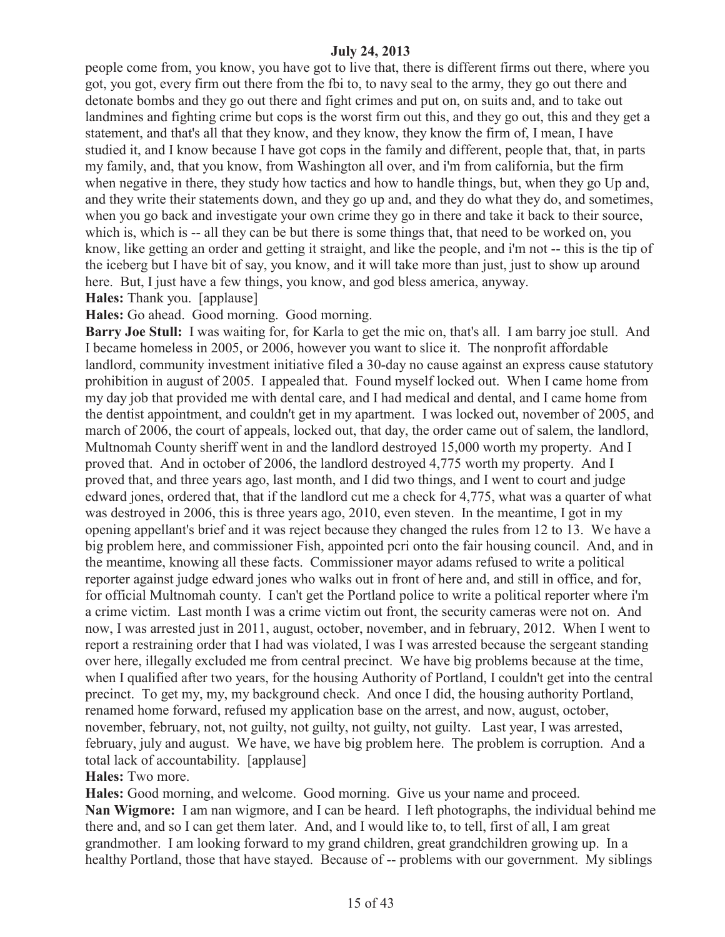people come from, you know, you have got to live that, there is different firms out there, where you got, you got, every firm out there from the fbi to, to navy seal to the army, they go out there and detonate bombs and they go out there and fight crimes and put on, on suits and, and to take out landmines and fighting crime but cops is the worst firm out this, and they go out, this and they get a statement, and that's all that they know, and they know, they know the firm of, I mean, I have studied it, and I know because I have got cops in the family and different, people that, that, in parts my family, and, that you know, from Washington all over, and i'm from california, but the firm when negative in there, they study how tactics and how to handle things, but, when they go Up and, and they write their statements down, and they go up and, and they do what they do, and sometimes, when you go back and investigate your own crime they go in there and take it back to their source, which is, which is -- all they can be but there is some things that, that need to be worked on, you know, like getting an order and getting it straight, and like the people, and i'm not -- this is the tip of the iceberg but I have bit of say, you know, and it will take more than just, just to show up around here. But, I just have a few things, you know, and god bless america, anyway.

**Hales:** Thank you. [applause]

**Hales:** Go ahead. Good morning. Good morning.

**Barry Joe Stull:** I was waiting for, for Karla to get the mic on, that's all. I am barry joe stull. And I became homeless in 2005, or 2006, however you want to slice it. The nonprofit affordable landlord, community investment initiative filed a 30-day no cause against an express cause statutory prohibition in august of 2005. I appealed that. Found myself locked out. When I came home from my day job that provided me with dental care, and I had medical and dental, and I came home from the dentist appointment, and couldn't get in my apartment. I was locked out, november of 2005, and march of 2006, the court of appeals, locked out, that day, the order came out of salem, the landlord, Multnomah County sheriff went in and the landlord destroyed 15,000 worth my property. And I proved that. And in october of 2006, the landlord destroyed 4,775 worth my property. And I proved that, and three years ago, last month, and I did two things, and I went to court and judge edward jones, ordered that, that if the landlord cut me a check for 4,775, what was a quarter of what was destroyed in 2006, this is three years ago, 2010, even steven. In the meantime, I got in my opening appellant's brief and it was reject because they changed the rules from 12 to 13. We have a big problem here, and commissioner Fish, appointed pcri onto the fair housing council. And, and in the meantime, knowing all these facts. Commissioner mayor adams refused to write a political reporter against judge edward jones who walks out in front of here and, and still in office, and for, for official Multnomah county. I can't get the Portland police to write a political reporter where i'm a crime victim. Last month I was a crime victim out front, the security cameras were not on. And now, I was arrested just in 2011, august, october, november, and in february, 2012. When I went to report a restraining order that I had was violated, I was I was arrested because the sergeant standing over here, illegally excluded me from central precinct. We have big problems because at the time, when I qualified after two years, for the housing Authority of Portland, I couldn't get into the central precinct. To get my, my, my background check. And once I did, the housing authority Portland, renamed home forward, refused my application base on the arrest, and now, august, october, november, february, not, not guilty, not guilty, not guilty, not guilty. Last year, I was arrested, february, july and august. We have, we have big problem here. The problem is corruption. And a total lack of accountability. [applause]

# **Hales:** Two more.

**Hales:** Good morning, and welcome. Good morning. Give us your name and proceed. **Nan Wigmore:** I am nan wigmore, and I can be heard. I left photographs, the individual behind me there and, and so I can get them later. And, and I would like to, to tell, first of all, I am great grandmother. I am looking forward to my grand children, great grandchildren growing up. In a healthy Portland, those that have stayed. Because of -- problems with our government. My siblings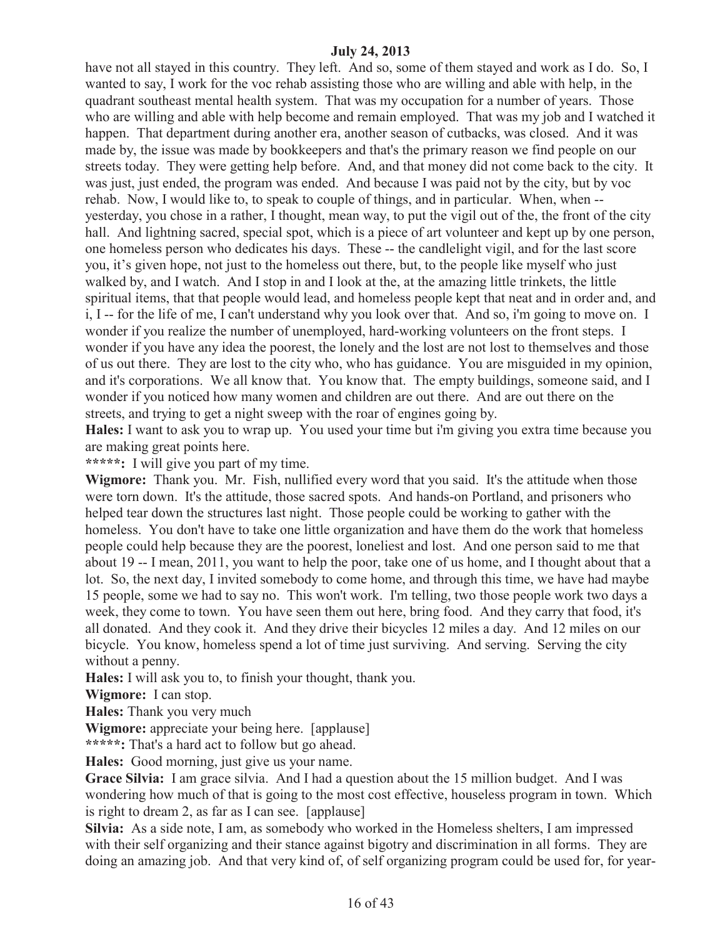have not all stayed in this country. They left. And so, some of them stayed and work as I do. So, I wanted to say, I work for the voc rehab assisting those who are willing and able with help, in the quadrant southeast mental health system. That was my occupation for a number of years. Those who are willing and able with help become and remain employed. That was my job and I watched it happen. That department during another era, another season of cutbacks, was closed. And it was made by, the issue was made by bookkeepers and that's the primary reason we find people on our streets today. They were getting help before. And, and that money did not come back to the city. It was just, just ended, the program was ended. And because I was paid not by the city, but by voc rehab. Now, I would like to, to speak to couple of things, and in particular. When, when - yesterday, you chose in a rather, I thought, mean way, to put the vigil out of the, the front of the city hall. And lightning sacred, special spot, which is a piece of art volunteer and kept up by one person, one homeless person who dedicates his days. These -- the candlelight vigil, and for the last score you, it's given hope, not just to the homeless out there, but, to the people like myself who just walked by, and I watch. And I stop in and I look at the, at the amazing little trinkets, the little spiritual items, that that people would lead, and homeless people kept that neat and in order and, and i, I -- for the life of me, I can't understand why you look over that. And so, i'm going to move on. I wonder if you realize the number of unemployed, hard-working volunteers on the front steps. I wonder if you have any idea the poorest, the lonely and the lost are not lost to themselves and those of us out there. They are lost to the city who, who has guidance. You are misguided in my opinion, and it's corporations. We all know that. You know that. The empty buildings, someone said, and I wonder if you noticed how many women and children are out there. And are out there on the streets, and trying to get a night sweep with the roar of engines going by.

**Hales:** I want to ask you to wrap up. You used your time but i'm giving you extra time because you are making great points here.

**\*\*\*\*\*:** I will give you part of my time.

**Wigmore:** Thank you. Mr. Fish, nullified every word that you said. It's the attitude when those were torn down. It's the attitude, those sacred spots. And hands-on Portland, and prisoners who helped tear down the structures last night. Those people could be working to gather with the homeless. You don't have to take one little organization and have them do the work that homeless people could help because they are the poorest, loneliest and lost. And one person said to me that about 19 -- I mean, 2011, you want to help the poor, take one of us home, and I thought about that a lot. So, the next day, I invited somebody to come home, and through this time, we have had maybe 15 people, some we had to say no. This won't work. I'm telling, two those people work two days a week, they come to town. You have seen them out here, bring food. And they carry that food, it's all donated. And they cook it. And they drive their bicycles 12 miles a day. And 12 miles on our bicycle. You know, homeless spend a lot of time just surviving. And serving. Serving the city without a penny.

**Hales:** I will ask you to, to finish your thought, thank you.

**Wigmore:** I can stop.

**Hales:** Thank you very much

**Wigmore:** appreciate your being here. [applause]

**\*\*\*\*\*:** That's a hard act to follow but go ahead.

**Hales:** Good morning, just give us your name.

**Grace Silvia:** I am grace silvia. And I had a question about the 15 million budget. And I was wondering how much of that is going to the most cost effective, houseless program in town. Which is right to dream 2, as far as I can see. [applause]

**Silvia:** As a side note, I am, as somebody who worked in the Homeless shelters, I am impressed with their self organizing and their stance against bigotry and discrimination in all forms. They are doing an amazing job. And that very kind of, of self organizing program could be used for, for year-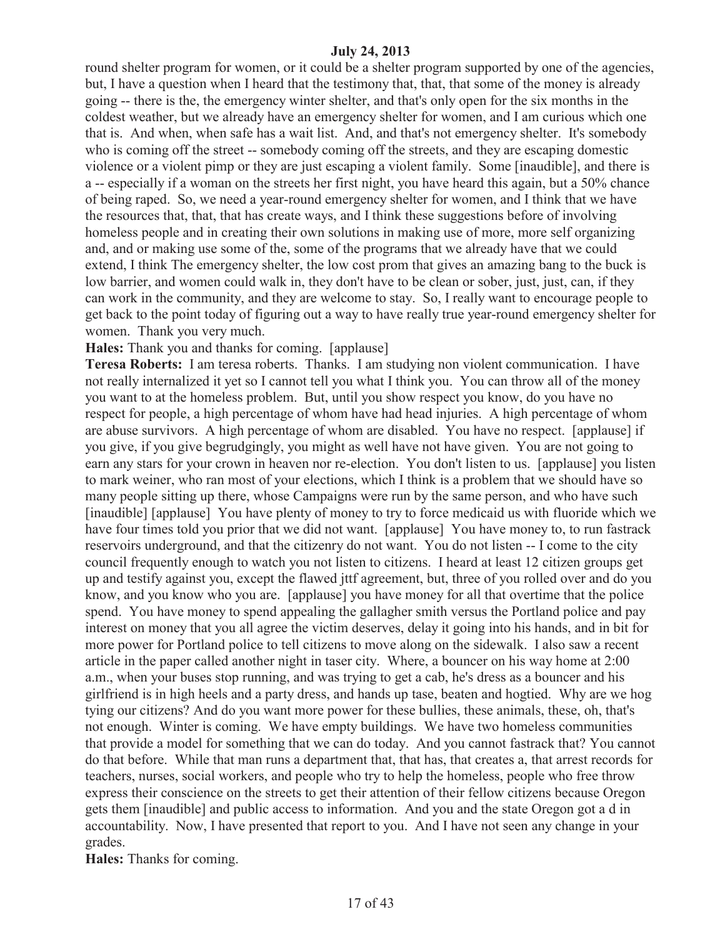round shelter program for women, or it could be a shelter program supported by one of the agencies, but, I have a question when I heard that the testimony that, that, that some of the money is already going -- there is the, the emergency winter shelter, and that's only open for the six months in the coldest weather, but we already have an emergency shelter for women, and I am curious which one that is. And when, when safe has a wait list. And, and that's not emergency shelter. It's somebody who is coming off the street -- somebody coming off the streets, and they are escaping domestic violence or a violent pimp or they are just escaping a violent family. Some [inaudible], and there is a -- especially if a woman on the streets her first night, you have heard this again, but a 50% chance of being raped. So, we need a year-round emergency shelter for women, and I think that we have the resources that, that, that has create ways, and I think these suggestions before of involving homeless people and in creating their own solutions in making use of more, more self organizing and, and or making use some of the, some of the programs that we already have that we could extend, I think The emergency shelter, the low cost prom that gives an amazing bang to the buck is low barrier, and women could walk in, they don't have to be clean or sober, just, just, can, if they can work in the community, and they are welcome to stay. So, I really want to encourage people to get back to the point today of figuring out a way to have really true year-round emergency shelter for women. Thank you very much.

**Hales:** Thank you and thanks for coming. [applause]

**Teresa Roberts:** I am teresa roberts. Thanks. I am studying non violent communication. I have not really internalized it yet so I cannot tell you what I think you. You can throw all of the money you want to at the homeless problem. But, until you show respect you know, do you have no respect for people, a high percentage of whom have had head injuries. A high percentage of whom are abuse survivors. A high percentage of whom are disabled. You have no respect. [applause] if you give, if you give begrudgingly, you might as well have not have given. You are not going to earn any stars for your crown in heaven nor re-election. You don't listen to us. [applause] you listen to mark weiner, who ran most of your elections, which I think is a problem that we should have so many people sitting up there, whose Campaigns were run by the same person, and who have such [inaudible] [applause] You have plenty of money to try to force medicaid us with fluoride which we have four times told you prior that we did not want. [applause] You have money to, to run fastrack reservoirs underground, and that the citizenry do not want. You do not listen -- I come to the city council frequently enough to watch you not listen to citizens. I heard at least 12 citizen groups get up and testify against you, except the flawed jttf agreement, but, three of you rolled over and do you know, and you know who you are. [applause] you have money for all that overtime that the police spend. You have money to spend appealing the gallagher smith versus the Portland police and pay interest on money that you all agree the victim deserves, delay it going into his hands, and in bit for more power for Portland police to tell citizens to move along on the sidewalk. I also saw a recent article in the paper called another night in taser city. Where, a bouncer on his way home at 2:00 a.m., when your buses stop running, and was trying to get a cab, he's dress as a bouncer and his girlfriend is in high heels and a party dress, and hands up tase, beaten and hogtied. Why are we hog tying our citizens? And do you want more power for these bullies, these animals, these, oh, that's not enough. Winter is coming. We have empty buildings. We have two homeless communities that provide a model for something that we can do today. And you cannot fastrack that? You cannot do that before. While that man runs a department that, that has, that creates a, that arrest records for teachers, nurses, social workers, and people who try to help the homeless, people who free throw express their conscience on the streets to get their attention of their fellow citizens because Oregon gets them [inaudible] and public access to information. And you and the state Oregon got a d in accountability. Now, I have presented that report to you. And I have not seen any change in your grades.

**Hales:** Thanks for coming.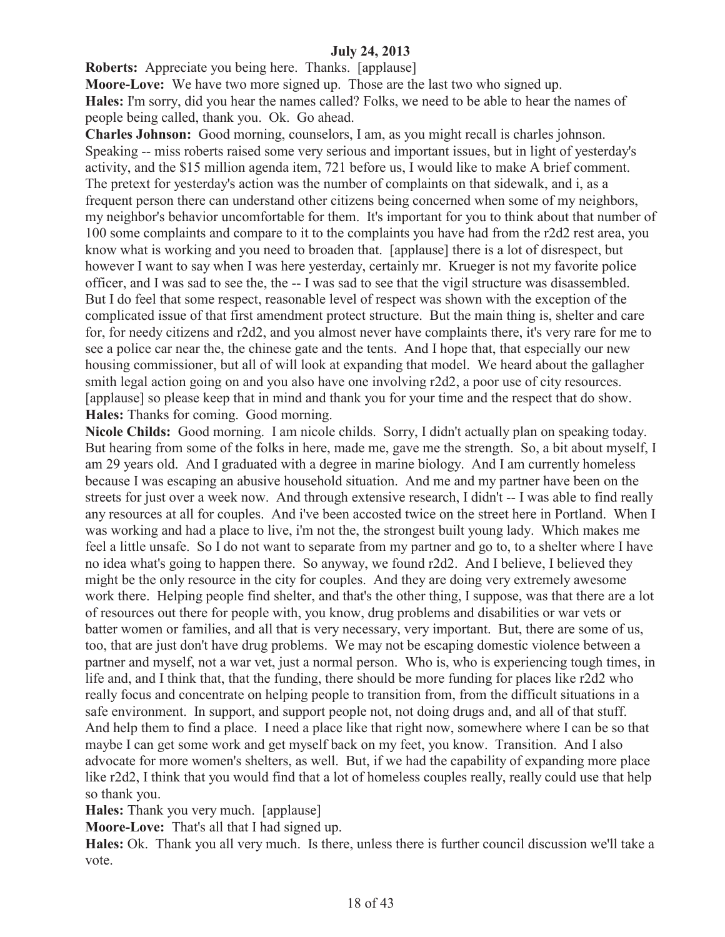**Roberts:** Appreciate you being here. Thanks. [applause]

**Moore-Love:** We have two more signed up. Those are the last two who signed up. **Hales:** I'm sorry, did you hear the names called? Folks, we need to be able to hear the names of people being called, thank you. Ok. Go ahead.

**Charles Johnson:** Good morning, counselors, I am, as you might recall is charles johnson. Speaking -- miss roberts raised some very serious and important issues, but in light of yesterday's activity, and the \$15 million agenda item, 721 before us, I would like to make A brief comment. The pretext for yesterday's action was the number of complaints on that sidewalk, and i, as a frequent person there can understand other citizens being concerned when some of my neighbors, my neighbor's behavior uncomfortable for them. It's important for you to think about that number of 100 some complaints and compare to it to the complaints you have had from the r2d2 rest area, you know what is working and you need to broaden that. [applause] there is a lot of disrespect, but however I want to say when I was here yesterday, certainly mr. Krueger is not my favorite police officer, and I was sad to see the, the -- I was sad to see that the vigil structure was disassembled. But I do feel that some respect, reasonable level of respect was shown with the exception of the complicated issue of that first amendment protect structure. But the main thing is, shelter and care for, for needy citizens and r2d2, and you almost never have complaints there, it's very rare for me to see a police car near the, the chinese gate and the tents. And I hope that, that especially our new housing commissioner, but all of will look at expanding that model. We heard about the gallagher smith legal action going on and you also have one involving r2d2, a poor use of city resources. [applause] so please keep that in mind and thank you for your time and the respect that do show. **Hales:** Thanks for coming. Good morning.

**Nicole Childs:** Good morning. I am nicole childs. Sorry, I didn't actually plan on speaking today. But hearing from some of the folks in here, made me, gave me the strength. So, a bit about myself, I am 29 years old. And I graduated with a degree in marine biology. And I am currently homeless because I was escaping an abusive household situation. And me and my partner have been on the streets for just over a week now. And through extensive research, I didn't -- I was able to find really any resources at all for couples. And i've been accosted twice on the street here in Portland. When I was working and had a place to live, i'm not the, the strongest built young lady. Which makes me feel a little unsafe. So I do not want to separate from my partner and go to, to a shelter where I have no idea what's going to happen there. So anyway, we found r2d2. And I believe, I believed they might be the only resource in the city for couples. And they are doing very extremely awesome work there. Helping people find shelter, and that's the other thing, I suppose, was that there are a lot of resources out there for people with, you know, drug problems and disabilities or war vets or batter women or families, and all that is very necessary, very important. But, there are some of us, too, that are just don't have drug problems. We may not be escaping domestic violence between a partner and myself, not a war vet, just a normal person. Who is, who is experiencing tough times, in life and, and I think that, that the funding, there should be more funding for places like r2d2 who really focus and concentrate on helping people to transition from, from the difficult situations in a safe environment. In support, and support people not, not doing drugs and, and all of that stuff. And help them to find a place. I need a place like that right now, somewhere where I can be so that maybe I can get some work and get myself back on my feet, you know. Transition. And I also advocate for more women's shelters, as well. But, if we had the capability of expanding more place like r2d2. I think that you would find that a lot of homeless couples really, really could use that help so thank you.

**Hales:** Thank you very much. [applause]

**Moore-Love:** That's all that I had signed up.

**Hales:** Ok. Thank you all very much. Is there, unless there is further council discussion we'll take a vote.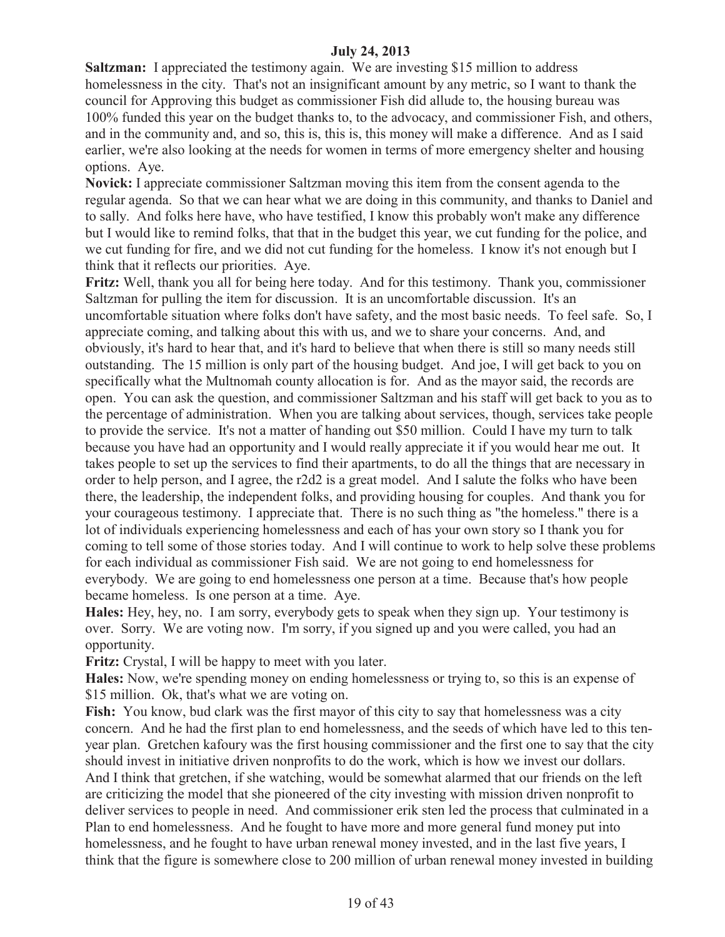**Saltzman:** I appreciated the testimony again. We are investing \$15 million to address homelessness in the city. That's not an insignificant amount by any metric, so I want to thank the council for Approving this budget as commissioner Fish did allude to, the housing bureau was 100% funded this year on the budget thanks to, to the advocacy, and commissioner Fish, and others, and in the community and, and so, this is, this is, this money will make a difference. And as I said earlier, we're also looking at the needs for women in terms of more emergency shelter and housing options. Aye.

**Novick:** I appreciate commissioner Saltzman moving this item from the consent agenda to the regular agenda. So that we can hear what we are doing in this community, and thanks to Daniel and to sally. And folks here have, who have testified, I know this probably won't make any difference but I would like to remind folks, that that in the budget this year, we cut funding for the police, and we cut funding for fire, and we did not cut funding for the homeless. I know it's not enough but I think that it reflects our priorities. Aye.

**Fritz:** Well, thank you all for being here today. And for this testimony. Thank you, commissioner Saltzman for pulling the item for discussion. It is an uncomfortable discussion. It's an uncomfortable situation where folks don't have safety, and the most basic needs. To feel safe. So, I appreciate coming, and talking about this with us, and we to share your concerns. And, and obviously, it's hard to hear that, and it's hard to believe that when there is still so many needs still outstanding. The 15 million is only part of the housing budget. And joe, I will get back to you on specifically what the Multnomah county allocation is for. And as the mayor said, the records are open. You can ask the question, and commissioner Saltzman and his staff will get back to you as to the percentage of administration. When you are talking about services, though, services take people to provide the service. It's not a matter of handing out \$50 million. Could I have my turn to talk because you have had an opportunity and I would really appreciate it if you would hear me out. It takes people to set up the services to find their apartments, to do all the things that are necessary in order to help person, and I agree, the r2d2 is a great model. And I salute the folks who have been there, the leadership, the independent folks, and providing housing for couples. And thank you for your courageous testimony. I appreciate that. There is no such thing as "the homeless." there is a lot of individuals experiencing homelessness and each of has your own story so I thank you for coming to tell some of those stories today. And I will continue to work to help solve these problems for each individual as commissioner Fish said. We are not going to end homelessness for everybody. We are going to end homelessness one person at a time. Because that's how people became homeless. Is one person at a time. Aye.

**Hales:** Hey, hey, no. I am sorry, everybody gets to speak when they sign up. Your testimony is over. Sorry. We are voting now. I'm sorry, if you signed up and you were called, you had an opportunity.

**Fritz:** Crystal, I will be happy to meet with you later.

**Hales:** Now, we're spending money on ending homelessness or trying to, so this is an expense of \$15 million. Ok, that's what we are voting on.

**Fish:** You know, bud clark was the first mayor of this city to say that homelessness was a city concern. And he had the first plan to end homelessness, and the seeds of which have led to this tenyear plan. Gretchen kafoury was the first housing commissioner and the first one to say that the city should invest in initiative driven nonprofits to do the work, which is how we invest our dollars. And I think that gretchen, if she watching, would be somewhat alarmed that our friends on the left are criticizing the model that she pioneered of the city investing with mission driven nonprofit to deliver services to people in need. And commissioner erik sten led the process that culminated in a Plan to end homelessness. And he fought to have more and more general fund money put into homelessness, and he fought to have urban renewal money invested, and in the last five years, I think that the figure is somewhere close to 200 million of urban renewal money invested in building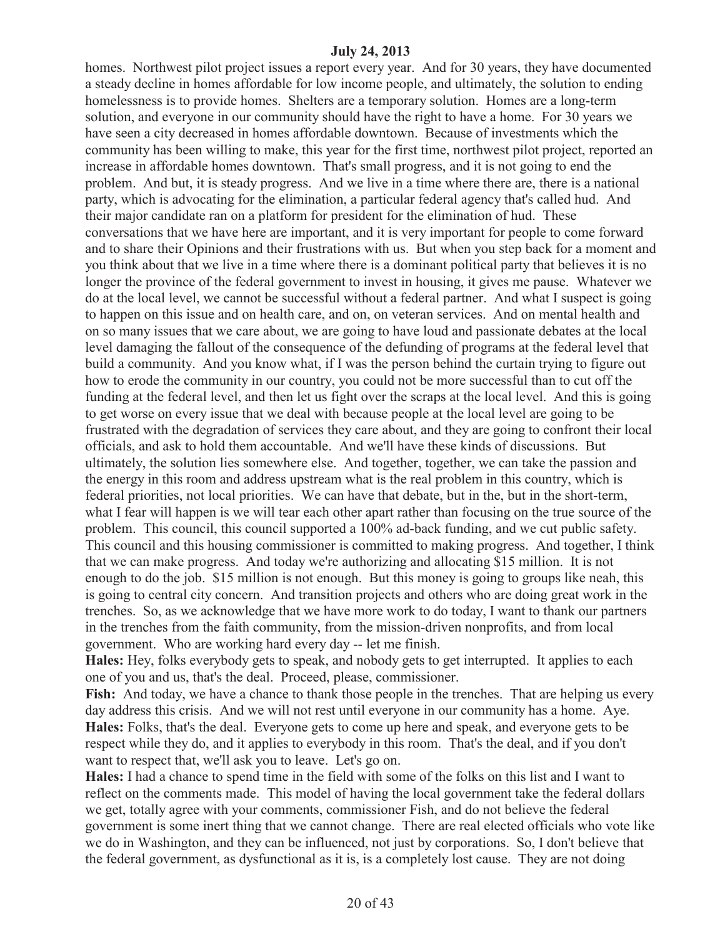homes. Northwest pilot project issues a report every year. And for 30 years, they have documented a steady decline in homes affordable for low income people, and ultimately, the solution to ending homelessness is to provide homes. Shelters are a temporary solution. Homes are a long-term solution, and everyone in our community should have the right to have a home. For 30 years we have seen a city decreased in homes affordable downtown. Because of investments which the community has been willing to make, this year for the first time, northwest pilot project, reported an increase in affordable homes downtown. That's small progress, and it is not going to end the problem. And but, it is steady progress. And we live in a time where there are, there is a national party, which is advocating for the elimination, a particular federal agency that's called hud. And their major candidate ran on a platform for president for the elimination of hud. These conversations that we have here are important, and it is very important for people to come forward and to share their Opinions and their frustrations with us. But when you step back for a moment and you think about that we live in a time where there is a dominant political party that believes it is no longer the province of the federal government to invest in housing, it gives me pause. Whatever we do at the local level, we cannot be successful without a federal partner. And what I suspect is going to happen on this issue and on health care, and on, on veteran services. And on mental health and on so many issues that we care about, we are going to have loud and passionate debates at the local level damaging the fallout of the consequence of the defunding of programs at the federal level that build a community. And you know what, if I was the person behind the curtain trying to figure out how to erode the community in our country, you could not be more successful than to cut off the funding at the federal level, and then let us fight over the scraps at the local level. And this is going to get worse on every issue that we deal with because people at the local level are going to be frustrated with the degradation of services they care about, and they are going to confront their local officials, and ask to hold them accountable. And we'll have these kinds of discussions. But ultimately, the solution lies somewhere else. And together, together, we can take the passion and the energy in this room and address upstream what is the real problem in this country, which is federal priorities, not local priorities. We can have that debate, but in the, but in the short-term, what I fear will happen is we will tear each other apart rather than focusing on the true source of the problem. This council, this council supported a 100% ad-back funding, and we cut public safety. This council and this housing commissioner is committed to making progress. And together, I think that we can make progress. And today we're authorizing and allocating \$15 million. It is not enough to do the job. \$15 million is not enough. But this money is going to groups like neah, this is going to central city concern. And transition projects and others who are doing great work in the trenches. So, as we acknowledge that we have more work to do today, I want to thank our partners in the trenches from the faith community, from the mission-driven nonprofits, and from local government. Who are working hard every day -- let me finish.

**Hales:** Hey, folks everybody gets to speak, and nobody gets to get interrupted. It applies to each one of you and us, that's the deal. Proceed, please, commissioner.

Fish: And today, we have a chance to thank those people in the trenches. That are helping us every day address this crisis. And we will not rest until everyone in our community has a home. Aye. **Hales:** Folks, that's the deal. Everyone gets to come up here and speak, and everyone gets to be respect while they do, and it applies to everybody in this room. That's the deal, and if you don't want to respect that, we'll ask you to leave. Let's go on.

**Hales:** I had a chance to spend time in the field with some of the folks on this list and I want to reflect on the comments made. This model of having the local government take the federal dollars we get, totally agree with your comments, commissioner Fish, and do not believe the federal government is some inert thing that we cannot change. There are real elected officials who vote like we do in Washington, and they can be influenced, not just by corporations. So, I don't believe that the federal government, as dysfunctional as it is, is a completely lost cause. They are not doing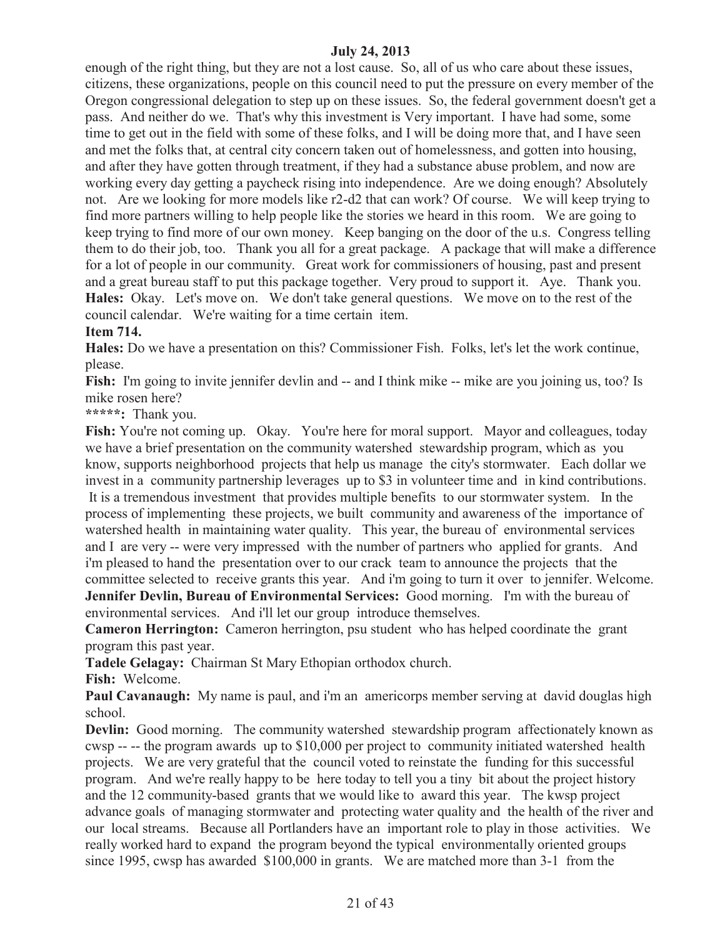enough of the right thing, but they are not a lost cause. So, all of us who care about these issues, citizens, these organizations, people on this council need to put the pressure on every member of the Oregon congressional delegation to step up on these issues. So, the federal government doesn't get a pass. And neither do we. That's why this investment is Very important. I have had some, some time to get out in the field with some of these folks, and I will be doing more that, and I have seen and met the folks that, at central city concern taken out of homelessness, and gotten into housing, and after they have gotten through treatment, if they had a substance abuse problem, and now are working every day getting a paycheck rising into independence. Are we doing enough? Absolutely not. Are we looking for more models like r2-d2 that can work? Of course. We will keep trying to find more partners willing to help people like the stories we heard in this room. We are going to keep trying to find more of our own money. Keep banging on the door of the u.s. Congress telling them to do their job, too. Thank you all for a great package. A package that will make a difference for a lot of people in our community. Great work for commissioners of housing, past and present and a great bureau staff to put this package together. Very proud to support it. Aye. Thank you. **Hales:** Okay. Let's move on. We don't take general questions. We move on to the rest of the council calendar. We're waiting for a time certain item.

#### **Item 714.**

**Hales:** Do we have a presentation on this? Commissioner Fish. Folks, let's let the work continue, please.

**Fish:** I'm going to invite jennifer devlin and -- and I think mike -- mike are you joining us, too? Is mike rosen here?

**\*\*\*\*\*:** Thank you.

Fish: You're not coming up. Okay. You're here for moral support. Mayor and colleagues, today we have a brief presentation on the community watershed stewardship program, which as you know, supports neighborhood projects that help us manage the city's stormwater. Each dollar we invest in a community partnership leverages up to \$3 in volunteer time and in kind contributions. It is a tremendous investment that provides multiple benefits to our stormwater system. In the process of implementing these projects, we built community and awareness of the importance of watershed health in maintaining water quality. This year, the bureau of environmental services and I are very -- were very impressed with the number of partners who applied for grants. And i'm pleased to hand the presentation over to our crack team to announce the projects that the committee selected to receive grants this year. And i'm going to turn it over to jennifer. Welcome. **Jennifer Devlin, Bureau of Environmental Services:** Good morning. I'm with the bureau of environmental services. And i'll let our group introduce themselves.

**Cameron Herrington:** Cameron herrington, psu student who has helped coordinate the grant program this past year.

**Tadele Gelagay:** Chairman St Mary Ethopian orthodox church.

**Fish:** Welcome.

**Paul Cavanaugh:** My name is paul, and i'm an americorps member serving at david douglas high school.

**Devlin:** Good morning. The community watershed stewardship program affectionately known as cwsp -- -- the program awards up to \$10,000 per project to community initiated watershed health projects. We are very grateful that the council voted to reinstate the funding for this successful program. And we're really happy to be here today to tell you a tiny bit about the project history and the 12 community-based grants that we would like to award this year. The kwsp project advance goals of managing stormwater and protecting water quality and the health of the river and our local streams. Because all Portlanders have an important role to play in those activities. We really worked hard to expand the program beyond the typical environmentally oriented groups since 1995, cwsp has awarded \$100,000 in grants. We are matched more than 3-1 from the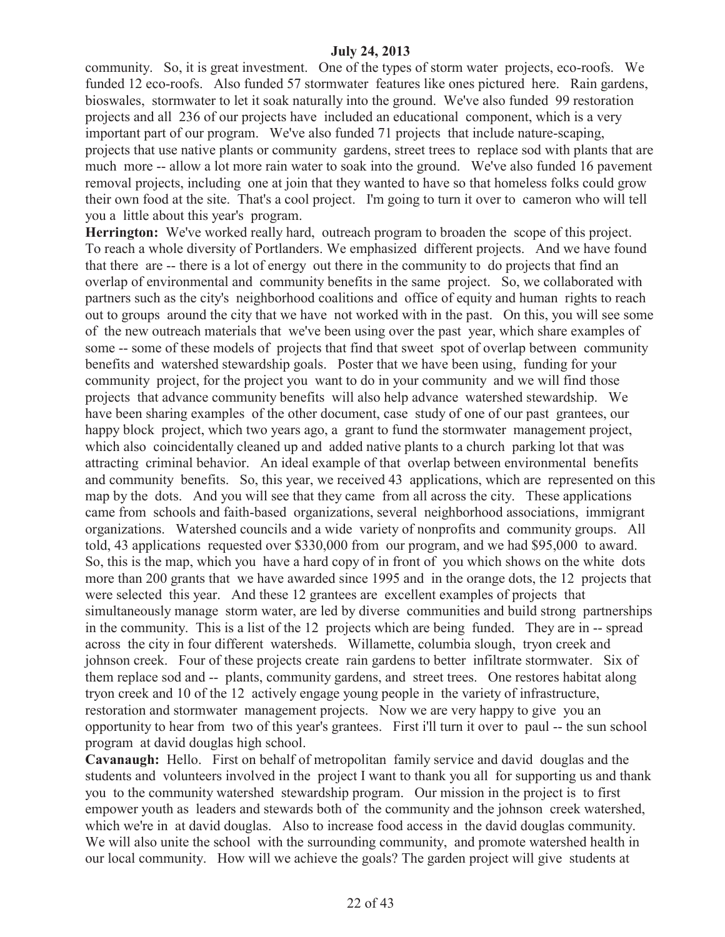community. So, it is great investment. One of the types of storm water projects, eco-roofs. We funded 12 eco-roofs. Also funded 57 stormwater features like ones pictured here. Rain gardens, bioswales, stormwater to let it soak naturally into the ground. We've also funded 99 restoration projects and all 236 of our projects have included an educational component, which is a very important part of our program. We've also funded 71 projects that include nature-scaping, projects that use native plants or community gardens, street trees to replace sod with plants that are much more -- allow a lot more rain water to soak into the ground. We've also funded 16 pavement removal projects, including one at join that they wanted to have so that homeless folks could grow their own food at the site. That's a cool project. I'm going to turn it over to cameron who will tell you a little about this year's program.

**Herrington:** We've worked really hard, outreach program to broaden the scope of this project. To reach a whole diversity of Portlanders. We emphasized different projects. And we have found that there are -- there is a lot of energy out there in the community to do projects that find an overlap of environmental and community benefits in the same project. So, we collaborated with partners such as the city's neighborhood coalitions and office of equity and human rights to reach out to groups around the city that we have not worked with in the past. On this, you will see some of the new outreach materials that we've been using over the past year, which share examples of some -- some of these models of projects that find that sweet spot of overlap between community benefits and watershed stewardship goals. Poster that we have been using, funding for your community project, for the project you want to do in your community and we will find those projects that advance community benefits will also help advance watershed stewardship. We have been sharing examples of the other document, case study of one of our past grantees, our happy block project, which two years ago, a grant to fund the stormwater management project, which also coincidentally cleaned up and added native plants to a church parking lot that was attracting criminal behavior. An ideal example of that overlap between environmental benefits and community benefits. So, this year, we received 43 applications, which are represented on this map by the dots. And you will see that they came from all across the city. These applications came from schools and faith-based organizations, several neighborhood associations, immigrant organizations. Watershed councils and a wide variety of nonprofits and community groups. All told, 43 applications requested over \$330,000 from our program, and we had \$95,000 to award. So, this is the map, which you have a hard copy of in front of you which shows on the white dots more than 200 grants that we have awarded since 1995 and in the orange dots, the 12 projects that were selected this year. And these 12 grantees are excellent examples of projects that simultaneously manage storm water, are led by diverse communities and build strong partnerships in the community. This is a list of the 12 projects which are being funded. They are in -- spread across the city in four different watersheds. Willamette, columbia slough, tryon creek and johnson creek. Four of these projects create rain gardens to better infiltrate stormwater. Six of them replace sod and -- plants, community gardens, and street trees. One restores habitat along tryon creek and 10 of the 12 actively engage young people in the variety of infrastructure, restoration and stormwater management projects. Now we are very happy to give you an opportunity to hear from two of this year's grantees. First i'll turn it over to paul -- the sun school program at david douglas high school.

**Cavanaugh:** Hello. First on behalf of metropolitan family service and david douglas and the students and volunteers involved in the project I want to thank you all for supporting us and thank you to the community watershed stewardship program. Our mission in the project is to first empower youth as leaders and stewards both of the community and the johnson creek watershed, which we're in at david douglas. Also to increase food access in the david douglas community. We will also unite the school with the surrounding community, and promote watershed health in our local community. How will we achieve the goals? The garden project will give students at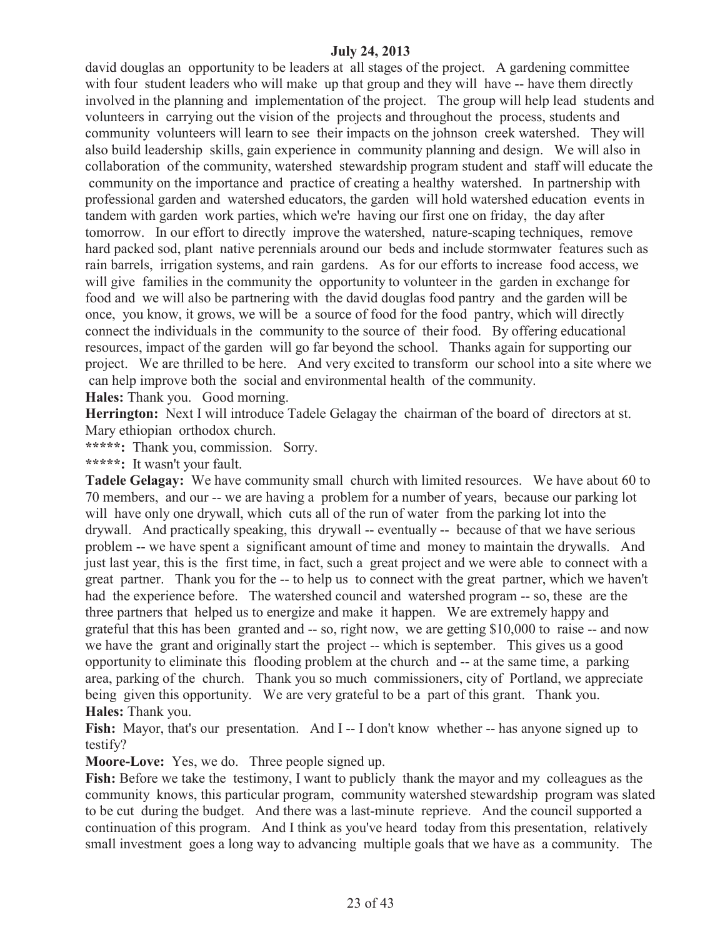david douglas an opportunity to be leaders at all stages of the project. A gardening committee with four student leaders who will make up that group and they will have -- have them directly involved in the planning and implementation of the project. The group will help lead students and volunteers in carrying out the vision of the projects and throughout the process, students and community volunteers will learn to see their impacts on the johnson creek watershed. They will also build leadership skills, gain experience in community planning and design. We will also in collaboration of the community, watershed stewardship program student and staff will educate the community on the importance and practice of creating a healthy watershed. In partnership with professional garden and watershed educators, the garden will hold watershed education events in tandem with garden work parties, which we're having our first one on friday, the day after tomorrow. In our effort to directly improve the watershed, nature-scaping techniques, remove hard packed sod, plant native perennials around our beds and include stormwater features such as rain barrels, irrigation systems, and rain gardens. As for our efforts to increase food access, we will give families in the community the opportunity to volunteer in the garden in exchange for food and we will also be partnering with the david douglas food pantry and the garden will be once, you know, it grows, we will be a source of food for the food pantry, which will directly connect the individuals in the community to the source of their food. By offering educational resources, impact of the garden will go far beyond the school. Thanks again for supporting our project. We are thrilled to be here. And very excited to transform our school into a site where we can help improve both the social and environmental health of the community.

**Hales:** Thank you. Good morning.

**Herrington:** Next I will introduce Tadele Gelagay the chairman of the board of directors at st. Mary ethiopian orthodox church.

**\*\*\*\*\*:** Thank you, commission. Sorry.

**\*\*\*\*\*:** It wasn't your fault.

**Tadele Gelagay:** We have community small church with limited resources. We have about 60 to 70 members, and our -- we are having a problem for a number of years, because our parking lot will have only one drywall, which cuts all of the run of water from the parking lot into the drywall. And practically speaking, this drywall -- eventually -- because of that we have serious problem -- we have spent a significant amount of time and money to maintain the drywalls. And just last year, this is the first time, in fact, such a great project and we were able to connect with a great partner. Thank you for the -- to help us to connect with the great partner, which we haven't had the experience before. The watershed council and watershed program -- so, these are the three partners that helped us to energize and make it happen. We are extremely happy and grateful that this has been granted and -- so, right now, we are getting \$10,000 to raise -- and now we have the grant and originally start the project -- which is september. This gives us a good opportunity to eliminate this flooding problem at the church and -- at the same time, a parking area, parking of the church. Thank you so much commissioners, city of Portland, we appreciate being given this opportunity. We are very grateful to be a part of this grant. Thank you. **Hales:** Thank you.

Fish: Mayor, that's our presentation. And I--I don't know whether -- has anyone signed up to testify?

**Moore-Love:** Yes, we do. Three people signed up.

**Fish:** Before we take the testimony, I want to publicly thank the mayor and my colleagues as the community knows, this particular program, community watershed stewardship program was slated to be cut during the budget. And there was a last-minute reprieve. And the council supported a continuation of this program. And I think as you've heard today from this presentation, relatively small investment goes a long way to advancing multiple goals that we have as a community. The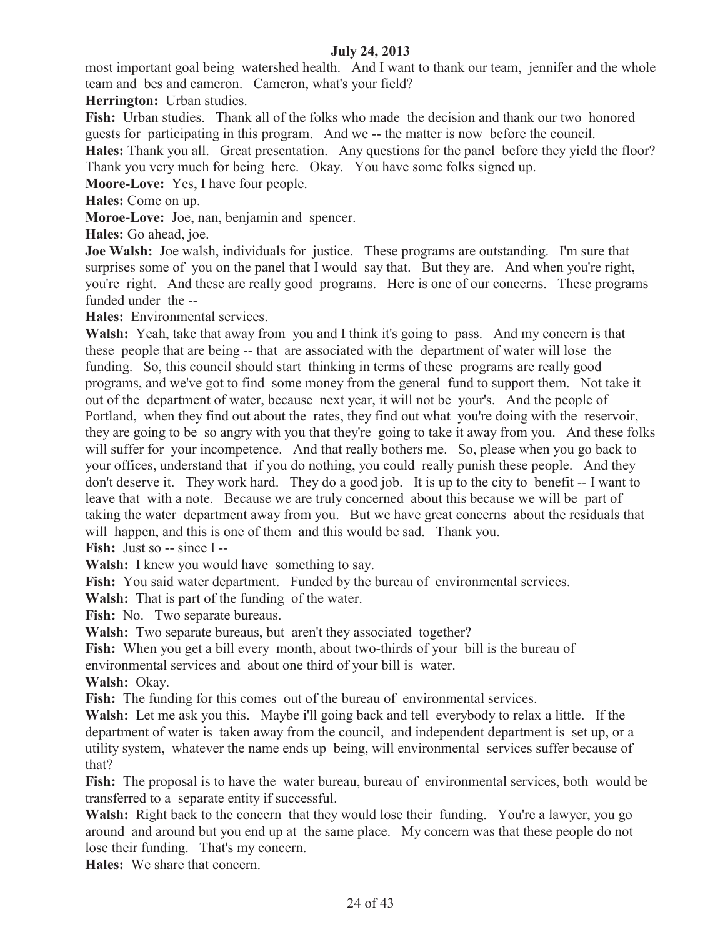most important goal being watershed health. And I want to thank our team, jennifer and the whole team and bes and cameron. Cameron, what's your field?

**Herrington:** Urban studies.

Fish: Urban studies. Thank all of the folks who made the decision and thank our two honored guests for participating in this program. And we -- the matter is now before the council.

**Hales:** Thank you all. Great presentation. Any questions for the panel before they yield the floor? Thank you very much for being here. Okay. You have some folks signed up.

**Moore-Love:** Yes, I have four people.

**Hales:** Come on up.

**Moroe-Love:** Joe, nan, benjamin and spencer.

**Hales:** Go ahead, joe.

**Joe Walsh:** Joe walsh, individuals for justice. These programs are outstanding. I'm sure that surprises some of you on the panel that I would say that. But they are. And when you're right, you're right. And these are really good programs. Here is one of our concerns. These programs funded under the --

**Hales:** Environmental services.

**Walsh:** Yeah, take that away from you and I think it's going to pass. And my concern is that these people that are being -- that are associated with the department of water will lose the funding. So, this council should start thinking in terms of these programs are really good programs, and we've got to find some money from the general fund to support them. Not take it out of the department of water, because next year, it will not be your's. And the people of Portland, when they find out about the rates, they find out what you're doing with the reservoir, they are going to be so angry with you that they're going to take it away from you. And these folks will suffer for your incompetence. And that really bothers me. So, please when you go back to your offices, understand that if you do nothing, you could really punish these people. And they don't deserve it. They work hard. They do a good job. It is up to the city to benefit -- I want to leave that with a note. Because we are truly concerned about this because we will be part of taking the water department away from you. But we have great concerns about the residuals that will happen, and this is one of them and this would be sad. Thank you.

Fish: Just so -- since I --

**Walsh:** I knew you would have something to say.

**Fish:** You said water department. Funded by the bureau of environmental services.

**Walsh:** That is part of the funding of the water.

Fish: No. Two separate bureaus.

**Walsh:** Two separate bureaus, but aren't they associated together?

**Fish:** When you get a bill every month, about two-thirds of your bill is the bureau of

environmental services and about one third of your bill is water.

**Walsh:** Okay.

**Fish:** The funding for this comes out of the bureau of environmental services.

**Walsh:** Let me ask you this. Maybe i'll going back and tell everybody to relax a little. If the department of water is taken away from the council, and independent department is set up, or a utility system, whatever the name ends up being, will environmental services suffer because of that?

**Fish:** The proposal is to have the water bureau, bureau of environmental services, both would be transferred to a separate entity if successful.

**Walsh:** Right back to the concern that they would lose their funding. You're a lawyer, you go around and around but you end up at the same place. My concern was that these people do not lose their funding. That's my concern.

**Hales:** We share that concern.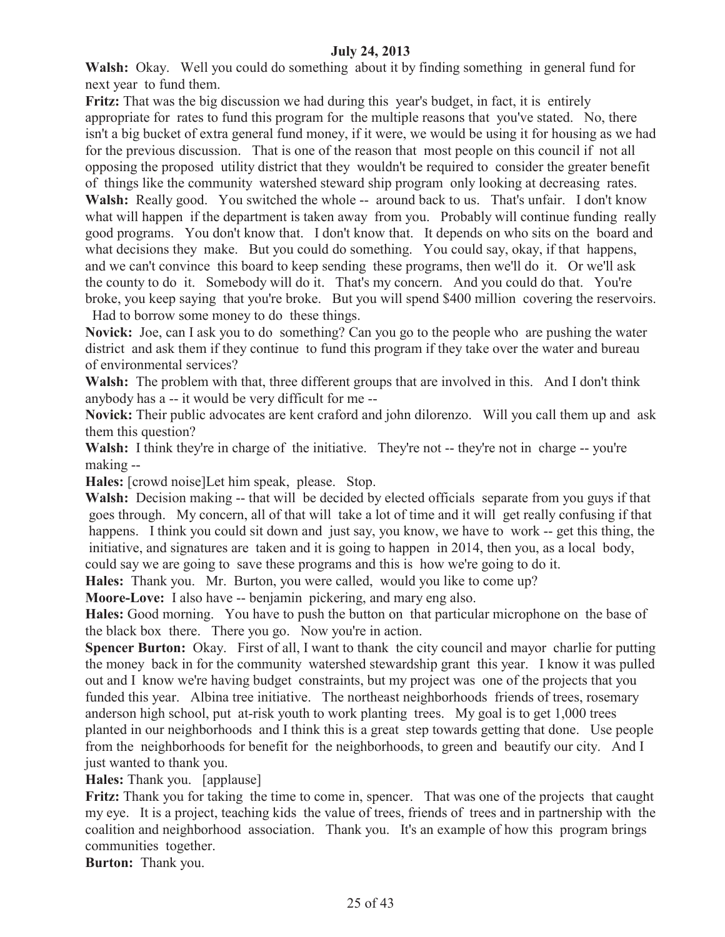**Walsh:** Okay. Well you could do something about it by finding something in general fund for next year to fund them.

**Fritz:** That was the big discussion we had during this year's budget, in fact, it is entirely appropriate for rates to fund this program for the multiple reasons that you've stated. No, there isn't a big bucket of extra general fund money, if it were, we would be using it for housing as we had for the previous discussion. That is one of the reason that most people on this council if not all opposing the proposed utility district that they wouldn't be required to consider the greater benefit of things like the community watershed steward ship program only looking at decreasing rates. Walsh: Really good. You switched the whole -- around back to us. That's unfair. I don't know what will happen if the department is taken away from you. Probably will continue funding really good programs. You don't know that. I don't know that. It depends on who sits on the board and what decisions they make. But you could do something. You could say, okay, if that happens, and we can't convince this board to keep sending these programs, then we'll do it. Or we'll ask the county to do it. Somebody will do it. That's my concern. And you could do that. You're broke, you keep saying that you're broke. But you will spend \$400 million covering the reservoirs. Had to borrow some money to do these things.

**Novick:** Joe, can I ask you to do something? Can you go to the people who are pushing the water district and ask them if they continue to fund this program if they take over the water and bureau of environmental services?

**Walsh:** The problem with that, three different groups that are involved in this. And I don't think anybody has a -- it would be very difficult for me --

**Novick:** Their public advocates are kent craford and john dilorenzo. Will you call them up and ask them this question?

Walsh: I think they're in charge of the initiative. They're not -- they're not in charge -- you're making --

**Hales:** [crowd noise]Let him speak, please. Stop.

**Walsh:** Decision making -- that will be decided by elected officials separate from you guys if that goes through. My concern, all of that will take a lot of time and it will get really confusing if that happens. I think you could sit down and just say, you know, we have to work -- get this thing, the initiative, and signatures are taken and it is going to happen in 2014, then you, as a local body, could say we are going to save these programs and this is how we're going to do it.

**Hales:** Thank you. Mr. Burton, you were called, would you like to come up?

**Moore-Love:** I also have -- benjamin pickering, and mary eng also.

**Hales:** Good morning. You have to push the button on that particular microphone on the base of the black box there. There you go. Now you're in action.

**Spencer Burton:** Okay. First of all, I want to thank the city council and mayor charlie for putting the money back in for the community watershed stewardship grant this year. I know it was pulled out and I know we're having budget constraints, but my project was one of the projects that you funded this year. Albina tree initiative. The northeast neighborhoods friends of trees, rosemary anderson high school, put at-risk youth to work planting trees. My goal is to get 1,000 trees planted in our neighborhoods and I think this is a great step towards getting that done. Use people from the neighborhoods for benefit for the neighborhoods, to green and beautify our city. And I just wanted to thank you.

**Hales:** Thank you. [applause]

**Fritz:** Thank you for taking the time to come in, spencer. That was one of the projects that caught my eye. It is a project, teaching kids the value of trees, friends of trees and in partnership with the coalition and neighborhood association. Thank you. It's an example of how this program brings communities together.

**Burton:** Thank you.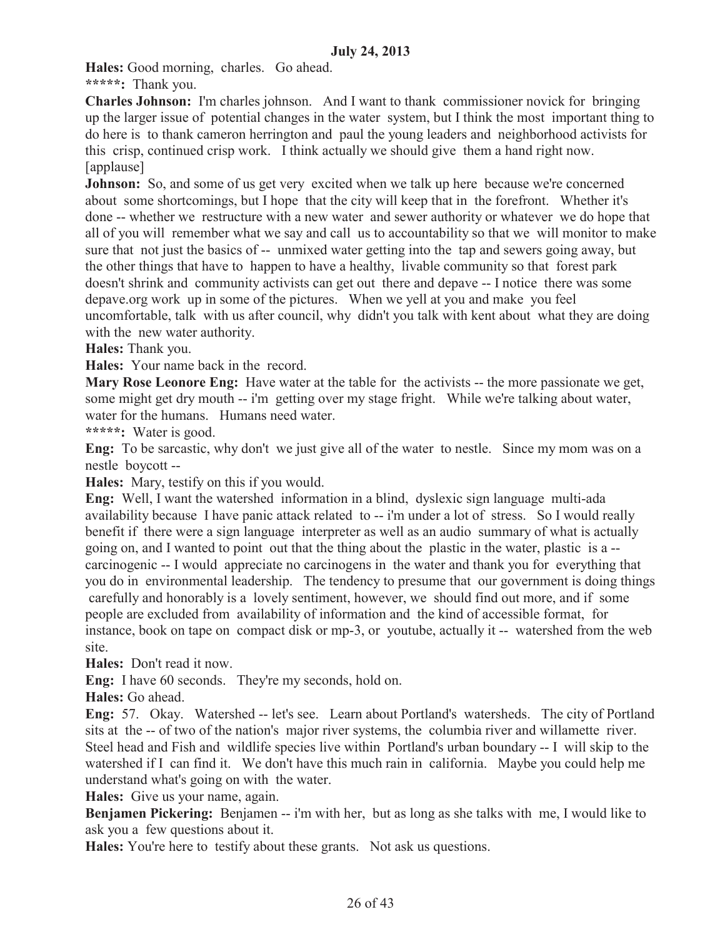**Hales:** Good morning, charles. Go ahead.

**\*\*\*\*\*:** Thank you.

**Charles Johnson:** I'm charles johnson. And I want to thank commissioner novick for bringing up the larger issue of potential changes in the water system, but I think the most important thing to do here is to thank cameron herrington and paul the young leaders and neighborhood activists for this crisp, continued crisp work. I think actually we should give them a hand right now. [applause]

**Johnson:** So, and some of us get very excited when we talk up here because we're concerned about some shortcomings, but I hope that the city will keep that in the forefront. Whether it's done -- whether we restructure with a new water and sewer authority or whatever we do hope that all of you will remember what we say and call us to accountability so that we will monitor to make sure that not just the basics of -- unmixed water getting into the tap and sewers going away, but the other things that have to happen to have a healthy, livable community so that forest park doesn't shrink and community activists can get out there and depave -- I notice there was some depave.org work up in some of the pictures. When we yell at you and make you feel uncomfortable, talk with us after council, why didn't you talk with kent about what they are doing with the new water authority.

**Hales:** Thank you.

**Hales:** Your name back in the record.

**Mary Rose Leonore Eng:** Have water at the table for the activists -- the more passionate we get, some might get dry mouth -- i'm getting over my stage fright. While we're talking about water, water for the humans. Humans need water.

**\*\*\*\*\*:** Water is good.

**Eng:** To be sarcastic, why don't we just give all of the water to nestle. Since my mom was on a nestle boycott --

**Hales:** Mary, testify on this if you would.

**Eng:** Well, I want the watershed information in a blind, dyslexic sign language multi-ada availability because I have panic attack related to -- i'm under a lot of stress. So I would really benefit if there were a sign language interpreter as well as an audio summary of what is actually going on, and I wanted to point out that the thing about the plastic in the water, plastic is a - carcinogenic -- I would appreciate no carcinogens in the water and thank you for everything that you do in environmental leadership. The tendency to presume that our government is doing things carefully and honorably is a lovely sentiment, however, we should find out more, and if some people are excluded from availability of information and the kind of accessible format, for instance, book on tape on compact disk or mp-3, or youtube, actually it -- watershed from the web site.

**Hales:** Don't read it now.

**Eng:** I have 60 seconds. They're my seconds, hold on.

**Hales:** Go ahead.

**Eng:** 57. Okay. Watershed -- let's see. Learn about Portland's watersheds. The city of Portland sits at the -- of two of the nation's major river systems, the columbia river and willamette river. Steel head and Fish and wildlife species live within Portland's urban boundary -- I will skip to the watershed if I can find it. We don't have this much rain in california. Maybe you could help me understand what's going on with the water.

**Hales:** Give us your name, again.

**Benjamen Pickering:** Benjamen -- i'm with her, but as long as she talks with me, I would like to ask you a few questions about it.

**Hales:** You're here to testify about these grants. Not ask us questions.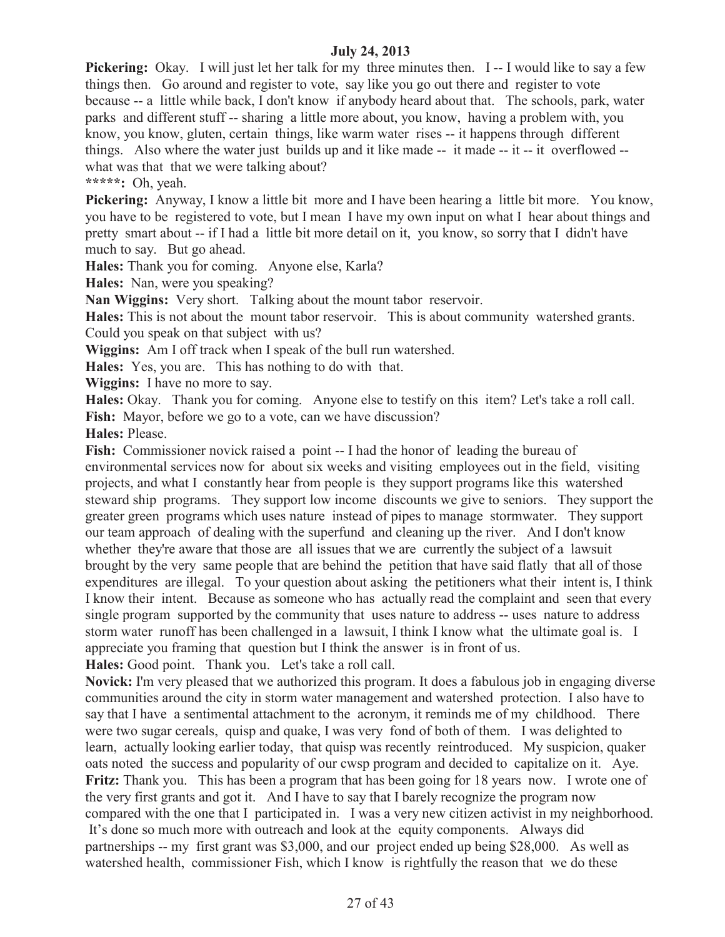**Pickering:** Okay. I will just let her talk for my three minutes then. I-I would like to say a few things then. Go around and register to vote, say like you go out there and register to vote because -- a little while back, I don't know if anybody heard about that. The schools, park, water parks and different stuff -- sharing a little more about, you know, having a problem with, you know, you know, gluten, certain things, like warm water rises -- it happens through different things. Also where the water just builds up and it like made -- it made -- it -- it overflowed - what was that that we were talking about?

**\*\*\*\*\*:** Oh, yeah.

**Pickering:** Anyway, I know a little bit more and I have been hearing a little bit more. You know, you have to be registered to vote, but I mean I have my own input on what I hear about things and pretty smart about -- if I had a little bit more detail on it, you know, so sorry that I didn't have much to say. But go ahead.

**Hales:** Thank you for coming. Anyone else, Karla?

**Hales:** Nan, were you speaking?

**Nan Wiggins:** Very short. Talking about the mount tabor reservoir.

**Hales:** This is not about the mount tabor reservoir. This is about community watershed grants. Could you speak on that subject with us?

**Wiggins:** Am I off track when I speak of the bull run watershed.

**Hales:** Yes, you are. This has nothing to do with that.

**Wiggins:** I have no more to say.

**Hales:** Okay. Thank you for coming. Anyone else to testify on this item? Let's take a roll call. **Fish:** Mayor, before we go to a vote, can we have discussion?

**Hales:** Please.

Fish: Commissioner novick raised a point -- I had the honor of leading the bureau of environmental services now for about six weeks and visiting employees out in the field, visiting projects, and what I constantly hear from people is they support programs like this watershed steward ship programs. They support low income discounts we give to seniors. They support the greater green programs which uses nature instead of pipes to manage stormwater. They support our team approach of dealing with the superfund and cleaning up the river. And I don't know whether they're aware that those are all issues that we are currently the subject of a lawsuit brought by the very same people that are behind the petition that have said flatly that all of those expenditures are illegal. To your question about asking the petitioners what their intent is, I think I know their intent. Because as someone who has actually read the complaint and seen that every single program supported by the community that uses nature to address -- uses nature to address storm water runoff has been challenged in a lawsuit, I think I know what the ultimate goal is. I appreciate you framing that question but I think the answer is in front of us.

**Hales:** Good point. Thank you. Let's take a roll call.

**Novick:** I'm very pleased that we authorized this program. It does a fabulous job in engaging diverse communities around the city in storm water management and watershed protection. I also have to say that I have a sentimental attachment to the acronym, it reminds me of my childhood. There were two sugar cereals, quisp and quake, I was very fond of both of them. I was delighted to learn, actually looking earlier today, that quisp was recently reintroduced. My suspicion, quaker oats noted the success and popularity of our cwsp program and decided to capitalize on it. Aye. **Fritz:** Thank you. This has been a program that has been going for 18 years now. I wrote one of the very first grants and got it. And I have to say that I barely recognize the program now compared with the one that I participated in. I was a very new citizen activist in my neighborhood. It's done so much more with outreach and look at the equity components. Always did partnerships -- my first grant was \$3,000, and our project ended up being \$28,000. As well as watershed health, commissioner Fish, which I know is rightfully the reason that we do these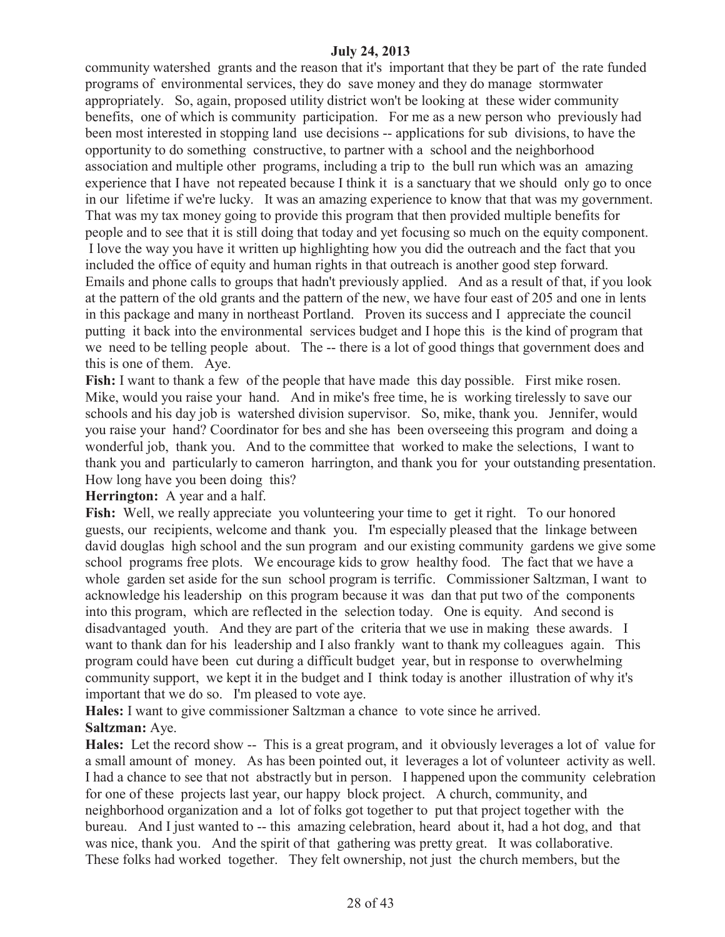community watershed grants and the reason that it's important that they be part of the rate funded programs of environmental services, they do save money and they do manage stormwater appropriately. So, again, proposed utility district won't be looking at these wider community benefits, one of which is community participation. For me as a new person who previously had been most interested in stopping land use decisions -- applications for sub divisions, to have the opportunity to do something constructive, to partner with a school and the neighborhood association and multiple other programs, including a trip to the bull run which was an amazing experience that I have not repeated because I think it is a sanctuary that we should only go to once in our lifetime if we're lucky. It was an amazing experience to know that that was my government. That was my tax money going to provide this program that then provided multiple benefits for people and to see that it is still doing that today and yet focusing so much on the equity component. I love the way you have it written up highlighting how you did the outreach and the fact that you included the office of equity and human rights in that outreach is another good step forward. Emails and phone calls to groups that hadn't previously applied. And as a result of that, if you look at the pattern of the old grants and the pattern of the new, we have four east of 205 and one in lents in this package and many in northeast Portland. Proven its success and I appreciate the council putting it back into the environmental services budget and I hope this is the kind of program that we need to be telling people about. The -- there is a lot of good things that government does and this is one of them. Aye.

**Fish:** I want to thank a few of the people that have made this day possible. First mike rosen. Mike, would you raise your hand. And in mike's free time, he is working tirelessly to save our schools and his day job is watershed division supervisor. So, mike, thank you. Jennifer, would you raise your hand? Coordinator for bes and she has been overseeing this program and doing a wonderful job, thank you. And to the committee that worked to make the selections, I want to thank you and particularly to cameron harrington, and thank you for your outstanding presentation. How long have you been doing this?

**Herrington:** A year and a half.

Fish: Well, we really appreciate you volunteering your time to get it right. To our honored guests, our recipients, welcome and thank you. I'm especially pleased that the linkage between david douglas high school and the sun program and our existing community gardens we give some school programs free plots. We encourage kids to grow healthy food. The fact that we have a whole garden set aside for the sun school program is terrific. Commissioner Saltzman, I want to acknowledge his leadership on this program because it was dan that put two of the components into this program, which are reflected in the selection today. One is equity. And second is disadvantaged youth. And they are part of the criteria that we use in making these awards. I want to thank dan for his leadership and I also frankly want to thank my colleagues again. This program could have been cut during a difficult budget year, but in response to overwhelming community support, we kept it in the budget and I think today is another illustration of why it's important that we do so. I'm pleased to vote aye.

**Hales:** I want to give commissioner Saltzman a chance to vote since he arrived. **Saltzman:** Aye.

**Hales:** Let the record show -- This is a great program, and it obviously leverages a lot of value for a small amount of money. As has been pointed out, it leverages a lot of volunteer activity as well. I had a chance to see that not abstractly but in person. I happened upon the community celebration for one of these projects last year, our happy block project. A church, community, and neighborhood organization and a lot of folks got together to put that project together with the bureau. And I just wanted to -- this amazing celebration, heard about it, had a hot dog, and that was nice, thank you. And the spirit of that gathering was pretty great. It was collaborative. These folks had worked together. They felt ownership, not just the church members, but the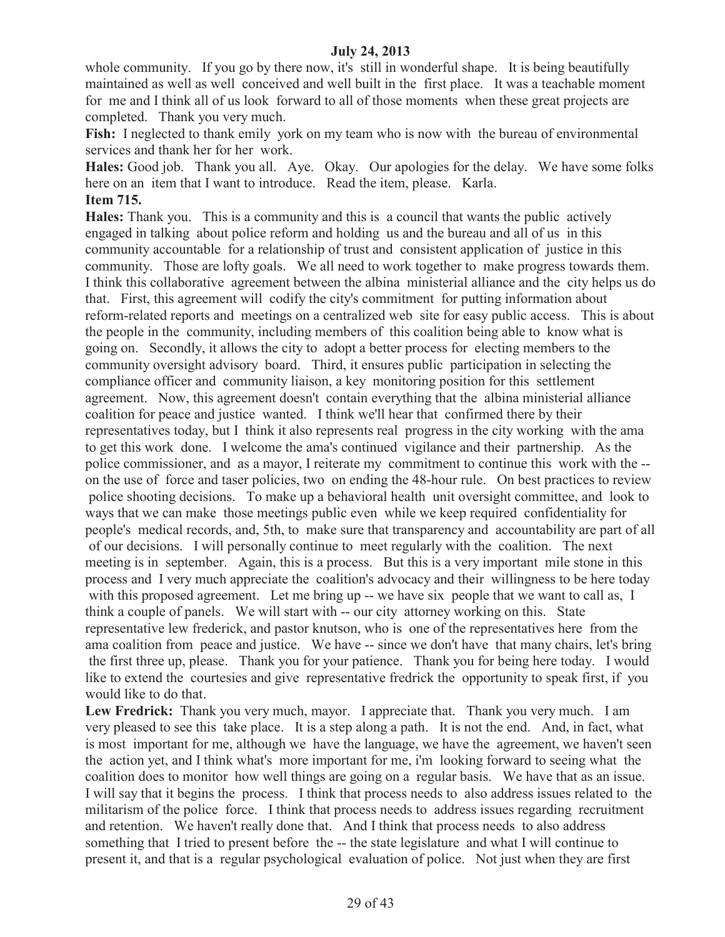whole community. If you go by there now, it's still in wonderful shape. It is being beautifully maintained as well as well conceived and well built in the first place. It was a teachable moment for me and I think all of us look forward to all of those moments when these great projects are completed. Thank you very much.

Fish: I neglected to thank emily york on my team who is now with the bureau of environmental services and thank her for her work.

**Hales:** Good job. Thank you all. Aye. Okay. Our apologies for the delay. We have some folks here on an item that I want to introduce. Read the item, please. Karla. **Item 715.**

**Hales:** Thank you. This is a community and this is a council that wants the public actively engaged in talking about police reform and holding us and the bureau and all of us in this community accountable for a relationship of trust and consistent application of justice in this community. Those are lofty goals. We all need to work together to make progress towards them. I think this collaborative agreement between the albina ministerial alliance and the city helps us do that. First, this agreement will codify the city's commitment for putting information about reform-related reports and meetings on a centralized web site for easy public access. This is about the people in the community, including members of this coalition being able to know what is going on. Secondly, it allows the city to adopt a better process for electing members to the community oversight advisory board. Third, it ensures public participation in selecting the compliance officer and community liaison, a key monitoring position for this settlement agreement. Now, this agreement doesn't contain everything that the albina ministerial alliance coalition for peace and justice wanted. I think we'll hear that confirmed there by their representatives today, but I think it also represents real progress in the city working with the ama to get this work done. I welcome the ama's continued vigilance and their partnership. As the police commissioner, and as a mayor, I reiterate my commitment to continue this work with the - on the use of force and taser policies, two on ending the 48-hour rule. On best practices to review police shooting decisions. To make up a behavioral health unit oversight committee, and look to ways that we can make those meetings public even while we keep required confidentiality for people's medical records, and, 5th, to make sure that transparency and accountability are part of all of our decisions. I will personally continue to meet regularly with the coalition. The next meeting is in september. Again, this is a process. But this is a very important mile stone in this process and I very much appreciate the coalition's advocacy and their willingness to be here today with this proposed agreement. Let me bring up -- we have six people that we want to call as, I think a couple of panels. We will start with -- our city attorney working on this. State representative lew frederick, and pastor knutson, who is one of the representatives here from the ama coalition from peace and justice. We have -- since we don't have that many chairs, let's bring the first three up, please. Thank you for your patience. Thank you for being here today. I would like to extend the courtesies and give representative fredrick the opportunity to speak first, if you would like to do that.

**Lew Fredrick:** Thank you very much, mayor. I appreciate that. Thank you very much. I am very pleased to see this take place. It is a step along a path. It is not the end. And, in fact, what is most important for me, although we have the language, we have the agreement, we haven't seen the action yet, and I think what's more important for me, i'm looking forward to seeing what the coalition does to monitor how well things are going on a regular basis. We have that as an issue. I will say that it begins the process. I think that process needs to also address issues related to the militarism of the police force. I think that process needs to address issues regarding recruitment and retention. We haven't really done that. And I think that process needs to also address something that I tried to present before the -- the state legislature and what I will continue to present it, and that is a regular psychological evaluation of police. Not just when they are first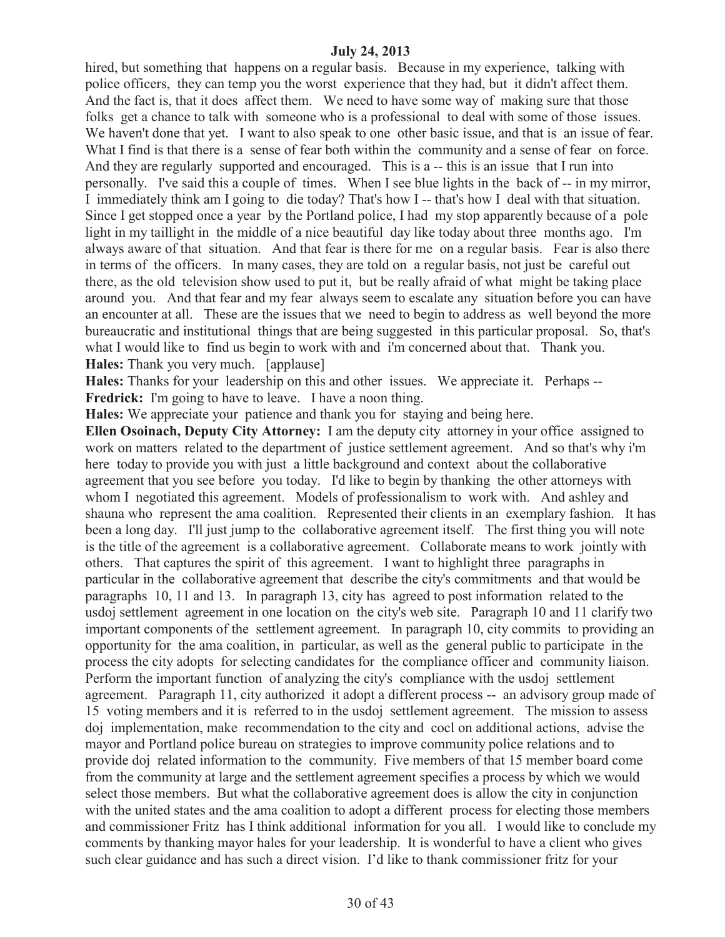hired, but something that happens on a regular basis. Because in my experience, talking with police officers, they can temp you the worst experience that they had, but it didn't affect them. And the fact is, that it does affect them. We need to have some way of making sure that those folks get a chance to talk with someone who is a professional to deal with some of those issues. We haven't done that yet. I want to also speak to one other basic issue, and that is an issue of fear. What I find is that there is a sense of fear both within the community and a sense of fear on force. And they are regularly supported and encouraged. This is a -- this is an issue that I run into personally. I've said this a couple of times. When I see blue lights in the back of -- in my mirror, I immediately think am I going to die today? That's how I -- that's how I deal with that situation. Since I get stopped once a year by the Portland police, I had my stop apparently because of a pole light in my taillight in the middle of a nice beautiful day like today about three months ago. I'm always aware of that situation. And that fear is there for me on a regular basis. Fear is also there in terms of the officers. In many cases, they are told on a regular basis, not just be careful out there, as the old television show used to put it, but be really afraid of what might be taking place around you. And that fear and my fear always seem to escalate any situation before you can have an encounter at all. These are the issues that we need to begin to address as well beyond the more bureaucratic and institutional things that are being suggested in this particular proposal. So, that's what I would like to find us begin to work with and i'm concerned about that. Thank you. **Hales:** Thank you very much. [applause]

**Hales:** Thanks for your leadership on this and other issues. We appreciate it. Perhaps -- **Fredrick:** I'm going to have to leave. I have a noon thing.

**Hales:** We appreciate your patience and thank you for staying and being here.

**Ellen Osoinach, Deputy City Attorney:** I am the deputy city attorney in your office assigned to work on matters related to the department of justice settlement agreement. And so that's why i'm here today to provide you with just a little background and context about the collaborative agreement that you see before you today. I'd like to begin by thanking the other attorneys with whom I negotiated this agreement. Models of professionalism to work with. And ashley and shauna who represent the ama coalition. Represented their clients in an exemplary fashion. It has been a long day. I'll just jump to the collaborative agreement itself. The first thing you will note is the title of the agreement is a collaborative agreement. Collaborate means to work jointly with others. That captures the spirit of this agreement. I want to highlight three paragraphs in particular in the collaborative agreement that describe the city's commitments and that would be paragraphs 10, 11 and 13. In paragraph 13, city has agreed to post information related to the usdoj settlement agreement in one location on the city's web site. Paragraph 10 and 11 clarify two important components of the settlement agreement. In paragraph 10, city commits to providing an opportunity for the ama coalition, in particular, as well as the general public to participate in the process the city adopts for selecting candidates for the compliance officer and community liaison. Perform the important function of analyzing the city's compliance with the usdoj settlement agreement. Paragraph 11, city authorized it adopt a different process -- an advisory group made of 15 voting members and it is referred to in the usdoj settlement agreement. The mission to assess doj implementation, make recommendation to the city and cocl on additional actions, advise the mayor and Portland police bureau on strategies to improve community police relations and to provide doj related information to the community. Five members of that 15 member board come from the community at large and the settlement agreement specifies a process by which we would select those members. But what the collaborative agreement does is allow the city in conjunction with the united states and the ama coalition to adopt a different process for electing those members and commissioner Fritz has I think additional information for you all. I would like to conclude my comments by thanking mayor hales for your leadership. It is wonderful to have a client who gives such clear guidance and has such a direct vision. I'd like to thank commissioner fritz for your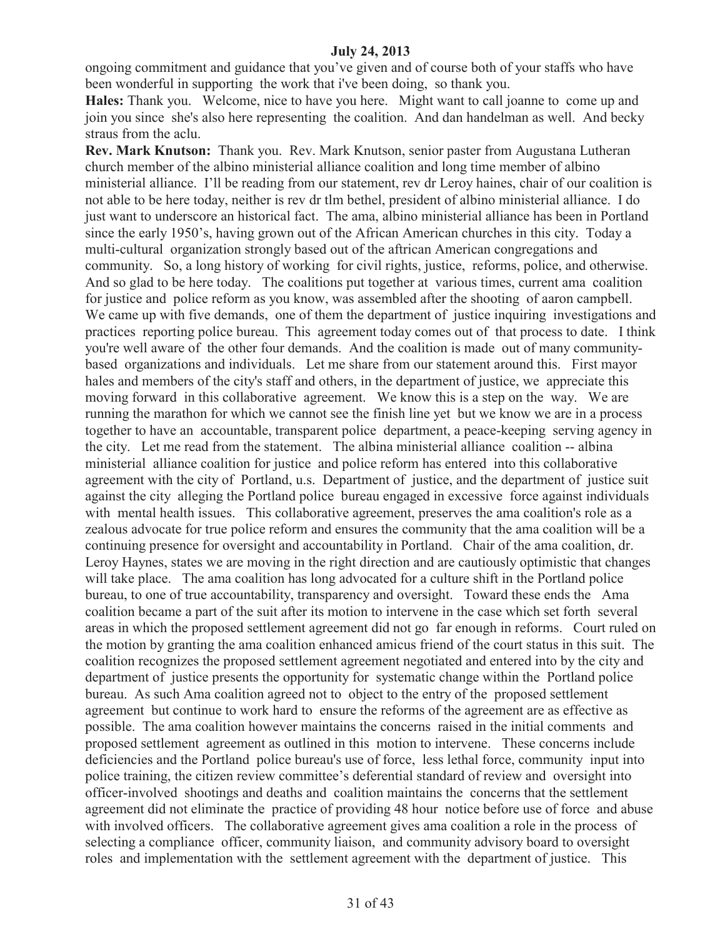ongoing commitment and guidance that you've given and of course both of your staffs who have been wonderful in supporting the work that i've been doing, so thank you.

**Hales:** Thank you. Welcome, nice to have you here. Might want to call joanne to come up and join you since she's also here representing the coalition. And dan handelman as well. And becky straus from the aclu.

**Rev. Mark Knutson:** Thank you. Rev. Mark Knutson, senior paster from Augustana Lutheran church member of the albino ministerial alliance coalition and long time member of albino ministerial alliance. I'll be reading from our statement, rev dr Leroy haines, chair of our coalition is not able to be here today, neither is rev dr tlm bethel, president of albino ministerial alliance. I do just want to underscore an historical fact. The ama, albino ministerial alliance has been in Portland since the early 1950's, having grown out of the African American churches in this city. Today a multi-cultural organization strongly based out of the aftrican American congregations and community. So, a long history of working for civil rights, justice, reforms, police, and otherwise. And so glad to be here today. The coalitions put together at various times, current ama coalition for justice and police reform as you know, was assembled after the shooting of aaron campbell. We came up with five demands, one of them the department of justice inquiring investigations and practices reporting police bureau. This agreement today comes out of that process to date. I think you're well aware of the other four demands. And the coalition is made out of many communitybased organizations and individuals. Let me share from our statement around this. First mayor hales and members of the city's staff and others, in the department of justice, we appreciate this moving forward in this collaborative agreement. We know this is a step on the way. We are running the marathon for which we cannot see the finish line yet but we know we are in a process together to have an accountable, transparent police department, a peace-keeping serving agency in the city. Let me read from the statement. The albina ministerial alliance coalition -- albina ministerial alliance coalition for justice and police reform has entered into this collaborative agreement with the city of Portland, u.s. Department of justice, and the department of justice suit against the city alleging the Portland police bureau engaged in excessive force against individuals with mental health issues. This collaborative agreement, preserves the ama coalition's role as a zealous advocate for true police reform and ensures the community that the ama coalition will be a continuing presence for oversight and accountability in Portland. Chair of the ama coalition, dr. Leroy Haynes, states we are moving in the right direction and are cautiously optimistic that changes will take place. The ama coalition has long advocated for a culture shift in the Portland police bureau, to one of true accountability, transparency and oversight. Toward these ends the Ama coalition became a part of the suit after its motion to intervene in the case which set forth several areas in which the proposed settlement agreement did not go far enough in reforms. Court ruled on the motion by granting the ama coalition enhanced amicus friend of the court status in this suit. The coalition recognizes the proposed settlement agreement negotiated and entered into by the city and department of justice presents the opportunity for systematic change within the Portland police bureau. As such Ama coalition agreed not to object to the entry of the proposed settlement agreement but continue to work hard to ensure the reforms of the agreement are as effective as possible. The ama coalition however maintains the concerns raised in the initial comments and proposed settlement agreement as outlined in this motion to intervene. These concerns include deficiencies and the Portland police bureau's use of force, less lethal force, community input into police training, the citizen review committee's deferential standard of review and oversight into officer-involved shootings and deaths and coalition maintains the concerns that the settlement agreement did not eliminate the practice of providing 48 hour notice before use of force and abuse with involved officers. The collaborative agreement gives ama coalition a role in the process of selecting a compliance officer, community liaison, and community advisory board to oversight roles and implementation with the settlement agreement with the department of justice. This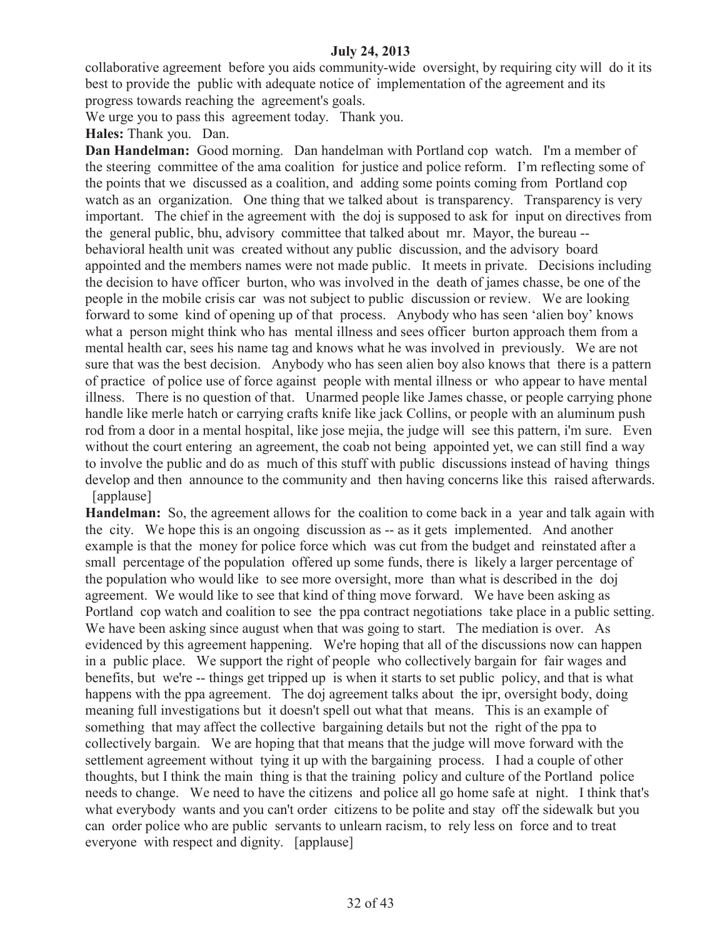collaborative agreement before you aids community-wide oversight, by requiring city will do it its best to provide the public with adequate notice of implementation of the agreement and its progress towards reaching the agreement's goals.

We urge you to pass this agreement today. Thank you.

**Hales:** Thank you. Dan.

**Dan Handelman:** Good morning. Dan handelman with Portland cop watch. I'm a member of the steering committee of the ama coalition for justice and police reform. I'm reflecting some of the points that we discussed as a coalition, and adding some points coming from Portland cop watch as an organization. One thing that we talked about is transparency. Transparency is very important. The chief in the agreement with the doj is supposed to ask for input on directives from the general public, bhu, advisory committee that talked about mr. Mayor, the bureau - behavioral health unit was created without any public discussion, and the advisory board appointed and the members names were not made public. It meets in private. Decisions including the decision to have officer burton, who was involved in the death of james chasse, be one of the people in the mobile crisis car was not subject to public discussion or review. We are looking forward to some kind of opening up of that process. Anybody who has seen 'alien boy' knows what a person might think who has mental illness and sees officer burton approach them from a mental health car, sees his name tag and knows what he was involved in previously. We are not sure that was the best decision. Anybody who has seen alien boy also knows that there is a pattern of practice of police use of force against people with mental illness or who appear to have mental illness. There is no question of that. Unarmed people like James chasse, or people carrying phone handle like merle hatch or carrying crafts knife like jack Collins, or people with an aluminum push rod from a door in a mental hospital, like jose mejia, the judge will see this pattern, i'm sure. Even without the court entering an agreement, the coab not being appointed yet, we can still find a way to involve the public and do as much of this stuff with public discussions instead of having things develop and then announce to the community and then having concerns like this raised afterwards. [applause]

**Handelman:** So, the agreement allows for the coalition to come back in a year and talk again with the city. We hope this is an ongoing discussion as -- as it gets implemented. And another example is that the money for police force which was cut from the budget and reinstated after a small percentage of the population offered up some funds, there is likely a larger percentage of the population who would like to see more oversight, more than what is described in the doj agreement. We would like to see that kind of thing move forward. We have been asking as Portland cop watch and coalition to see the ppa contract negotiations take place in a public setting. We have been asking since august when that was going to start. The mediation is over. As evidenced by this agreement happening. We're hoping that all of the discussions now can happen in a public place. We support the right of people who collectively bargain for fair wages and benefits, but we're -- things get tripped up is when it starts to set public policy, and that is what happens with the ppa agreement. The doj agreement talks about the ipr, oversight body, doing meaning full investigations but it doesn't spell out what that means. This is an example of something that may affect the collective bargaining details but not the right of the ppa to collectively bargain. We are hoping that that means that the judge will move forward with the settlement agreement without tying it up with the bargaining process. I had a couple of other thoughts, but I think the main thing is that the training policy and culture of the Portland police needs to change. We need to have the citizens and police all go home safe at night. I think that's what everybody wants and you can't order citizens to be polite and stay off the sidewalk but you can order police who are public servants to unlearn racism, to rely less on force and to treat everyone with respect and dignity. [applause]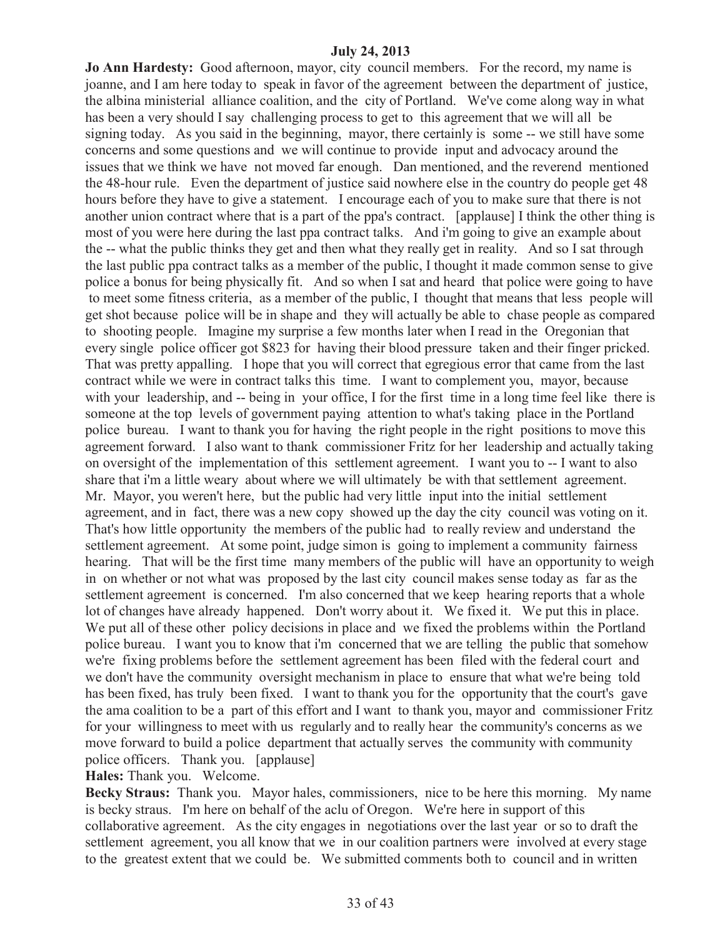**Jo Ann Hardesty:** Good afternoon, mayor, city council members. For the record, my name is joanne, and I am here today to speak in favor of the agreement between the department of justice, the albina ministerial alliance coalition, and the city of Portland. We've come along way in what has been a very should I say challenging process to get to this agreement that we will all be signing today. As you said in the beginning, mayor, there certainly is some -- we still have some concerns and some questions and we will continue to provide input and advocacy around the issues that we think we have not moved far enough. Dan mentioned, and the reverend mentioned the 48-hour rule. Even the department of justice said nowhere else in the country do people get 48 hours before they have to give a statement. I encourage each of you to make sure that there is not another union contract where that is a part of the ppa's contract. [applause] I think the other thing is most of you were here during the last ppa contract talks. And i'm going to give an example about the -- what the public thinks they get and then what they really get in reality. And so I sat through the last public ppa contract talks as a member of the public, I thought it made common sense to give police a bonus for being physically fit. And so when I sat and heard that police were going to have to meet some fitness criteria, as a member of the public, I thought that means that less people will get shot because police will be in shape and they will actually be able to chase people as compared to shooting people. Imagine my surprise a few months later when I read in the Oregonian that every single police officer got \$823 for having their blood pressure taken and their finger pricked. That was pretty appalling. I hope that you will correct that egregious error that came from the last contract while we were in contract talks this time. I want to complement you, mayor, because with your leadership, and -- being in your office, I for the first time in a long time feel like there is someone at the top levels of government paying attention to what's taking place in the Portland police bureau. I want to thank you for having the right people in the right positions to move this agreement forward. I also want to thank commissioner Fritz for her leadership and actually taking on oversight of the implementation of this settlement agreement. I want you to -- I want to also share that i'm a little weary about where we will ultimately be with that settlement agreement. Mr. Mayor, you weren't here, but the public had very little input into the initial settlement agreement, and in fact, there was a new copy showed up the day the city council was voting on it. That's how little opportunity the members of the public had to really review and understand the settlement agreement. At some point, judge simon is going to implement a community fairness hearing. That will be the first time many members of the public will have an opportunity to weigh in on whether or not what was proposed by the last city council makes sense today as far as the settlement agreement is concerned. I'm also concerned that we keep hearing reports that a whole lot of changes have already happened. Don't worry about it. We fixed it. We put this in place. We put all of these other policy decisions in place and we fixed the problems within the Portland police bureau. I want you to know that i'm concerned that we are telling the public that somehow we're fixing problems before the settlement agreement has been filed with the federal court and we don't have the community oversight mechanism in place to ensure that what we're being told has been fixed, has truly been fixed. I want to thank you for the opportunity that the court's gave the ama coalition to be a part of this effort and I want to thank you, mayor and commissioner Fritz for your willingness to meet with us regularly and to really hear the community's concerns as we move forward to build a police department that actually serves the community with community police officers. Thank you. [applause]

**Hales:** Thank you. Welcome.

**Becky Straus:** Thank you. Mayor hales, commissioners, nice to be here this morning. My name is becky straus. I'm here on behalf of the aclu of Oregon. We're here in support of this collaborative agreement. As the city engages in negotiations over the last year or so to draft the settlement agreement, you all know that we in our coalition partners were involved at every stage to the greatest extent that we could be. We submitted comments both to council and in written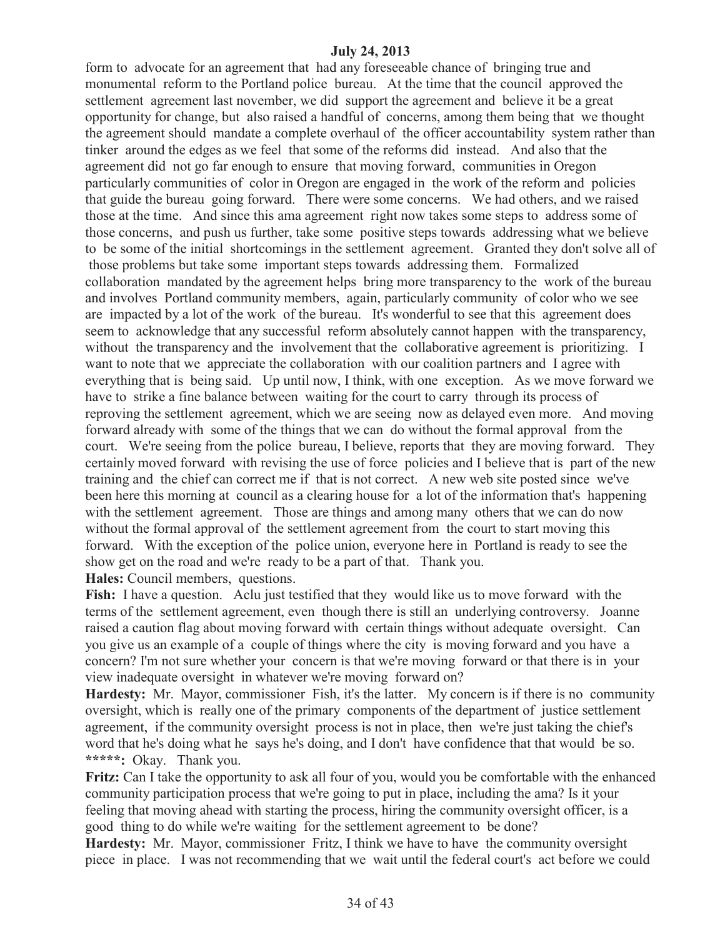form to advocate for an agreement that had any foreseeable chance of bringing true and monumental reform to the Portland police bureau. At the time that the council approved the settlement agreement last november, we did support the agreement and believe it be a great opportunity for change, but also raised a handful of concerns, among them being that we thought the agreement should mandate a complete overhaul of the officer accountability system rather than tinker around the edges as we feel that some of the reforms did instead. And also that the agreement did not go far enough to ensure that moving forward, communities in Oregon particularly communities of color in Oregon are engaged in the work of the reform and policies that guide the bureau going forward. There were some concerns. We had others, and we raised those at the time. And since this ama agreement right now takes some steps to address some of those concerns, and push us further, take some positive steps towards addressing what we believe to be some of the initial shortcomings in the settlement agreement. Granted they don't solve all of those problems but take some important steps towards addressing them. Formalized collaboration mandated by the agreement helps bring more transparency to the work of the bureau and involves Portland community members, again, particularly community of color who we see are impacted by a lot of the work of the bureau. It's wonderful to see that this agreement does seem to acknowledge that any successful reform absolutely cannot happen with the transparency, without the transparency and the involvement that the collaborative agreement is prioritizing. I want to note that we appreciate the collaboration with our coalition partners and I agree with everything that is being said. Up until now, I think, with one exception. As we move forward we have to strike a fine balance between waiting for the court to carry through its process of reproving the settlement agreement, which we are seeing now as delayed even more. And moving forward already with some of the things that we can do without the formal approval from the court. We're seeing from the police bureau, I believe, reports that they are moving forward. They certainly moved forward with revising the use of force policies and I believe that is part of the new training and the chief can correct me if that is not correct. A new web site posted since we've been here this morning at council as a clearing house for a lot of the information that's happening with the settlement agreement. Those are things and among many others that we can do now without the formal approval of the settlement agreement from the court to start moving this forward. With the exception of the police union, everyone here in Portland is ready to see the show get on the road and we're ready to be a part of that. Thank you. **Hales:** Council members, questions.

**Fish:** I have a question. Aclu just testified that they would like us to move forward with the terms of the settlement agreement, even though there is still an underlying controversy. Joanne raised a caution flag about moving forward with certain things without adequate oversight. Can you give us an example of a couple of things where the city is moving forward and you have a concern? I'm not sure whether your concern is that we're moving forward or that there is in your view inadequate oversight in whatever we're moving forward on?

**Hardesty:** Mr. Mayor, commissioner Fish, it's the latter. My concern is if there is no community oversight, which is really one of the primary components of the department of justice settlement agreement, if the community oversight process is not in place, then we're just taking the chief's word that he's doing what he says he's doing, and I don't have confidence that that would be so. **\*\*\*\*\*:** Okay. Thank you.

**Fritz:** Can I take the opportunity to ask all four of you, would you be comfortable with the enhanced community participation process that we're going to put in place, including the ama? Is it your feeling that moving ahead with starting the process, hiring the community oversight officer, is a good thing to do while we're waiting for the settlement agreement to be done?

**Hardesty:** Mr. Mayor, commissioner Fritz, I think we have to have the community oversight piece in place. I was not recommending that we wait until the federal court's act before we could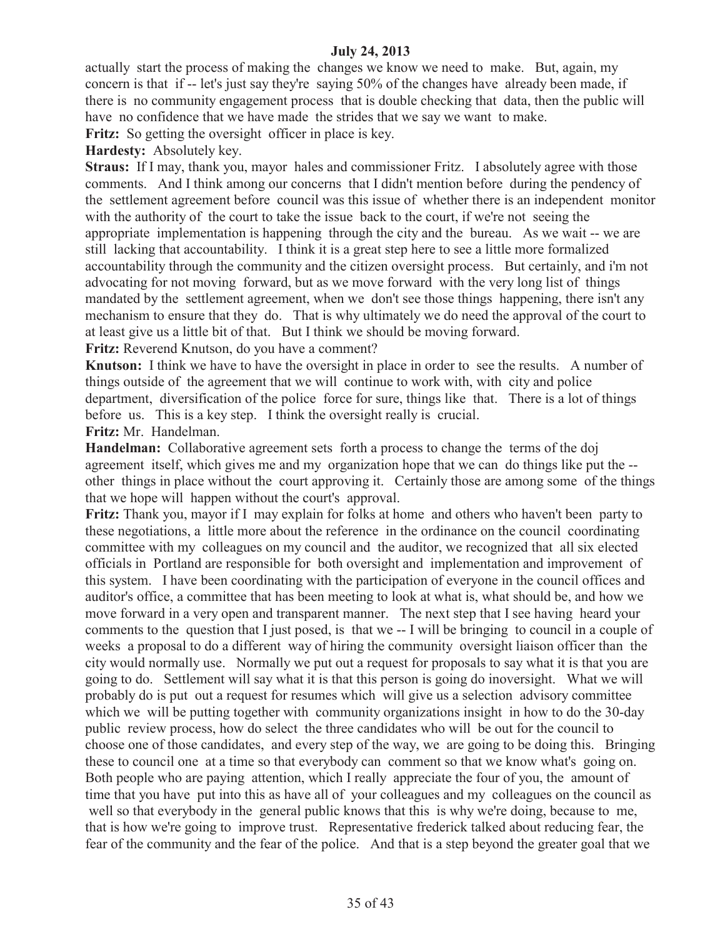actually start the process of making the changes we know we need to make. But, again, my concern is that if -- let's just say they're saying 50% of the changes have already been made, if there is no community engagement process that is double checking that data, then the public will have no confidence that we have made the strides that we say we want to make.

Fritz: So getting the oversight officer in place is key.

**Hardesty:** Absolutely key.

**Straus:** If I may, thank you, mayor hales and commissioner Fritz. I absolutely agree with those comments. And I think among our concerns that I didn't mention before during the pendency of the settlement agreement before council was this issue of whether there is an independent monitor with the authority of the court to take the issue back to the court, if we're not seeing the appropriate implementation is happening through the city and the bureau. As we wait -- we are still lacking that accountability. I think it is a great step here to see a little more formalized accountability through the community and the citizen oversight process. But certainly, and i'm not advocating for not moving forward, but as we move forward with the very long list of things mandated by the settlement agreement, when we don't see those things happening, there isn't any mechanism to ensure that they do. That is why ultimately we do need the approval of the court to at least give us a little bit of that. But I think we should be moving forward. **Fritz:** Reverend Knutson, do you have a comment?

**Knutson:** I think we have to have the oversight in place in order to see the results. A number of things outside of the agreement that we will continue to work with, with city and police department, diversification of the police force for sure, things like that. There is a lot of things before us. This is a key step. I think the oversight really is crucial.

**Fritz:** Mr. Handelman.

**Handelman:** Collaborative agreement sets forth a process to change the terms of the doj agreement itself, which gives me and my organization hope that we can do things like put the - other things in place without the court approving it. Certainly those are among some of the things that we hope will happen without the court's approval.

**Fritz:** Thank you, mayor if I may explain for folks at home and others who haven't been party to these negotiations, a little more about the reference in the ordinance on the council coordinating committee with my colleagues on my council and the auditor, we recognized that all six elected officials in Portland are responsible for both oversight and implementation and improvement of this system. I have been coordinating with the participation of everyone in the council offices and auditor's office, a committee that has been meeting to look at what is, what should be, and how we move forward in a very open and transparent manner. The next step that I see having heard your comments to the question that I just posed, is that we -- I will be bringing to council in a couple of weeks a proposal to do a different way of hiring the community oversight liaison officer than the city would normally use. Normally we put out a request for proposals to say what it is that you are going to do. Settlement will say what it is that this person is going do inoversight. What we will probably do is put out a request for resumes which will give us a selection advisory committee which we will be putting together with community organizations insight in how to do the 30-day public review process, how do select the three candidates who will be out for the council to choose one of those candidates, and every step of the way, we are going to be doing this. Bringing these to council one at a time so that everybody can comment so that we know what's going on. Both people who are paying attention, which I really appreciate the four of you, the amount of time that you have put into this as have all of your colleagues and my colleagues on the council as well so that everybody in the general public knows that this is why we're doing, because to me, that is how we're going to improve trust. Representative frederick talked about reducing fear, the fear of the community and the fear of the police. And that is a step beyond the greater goal that we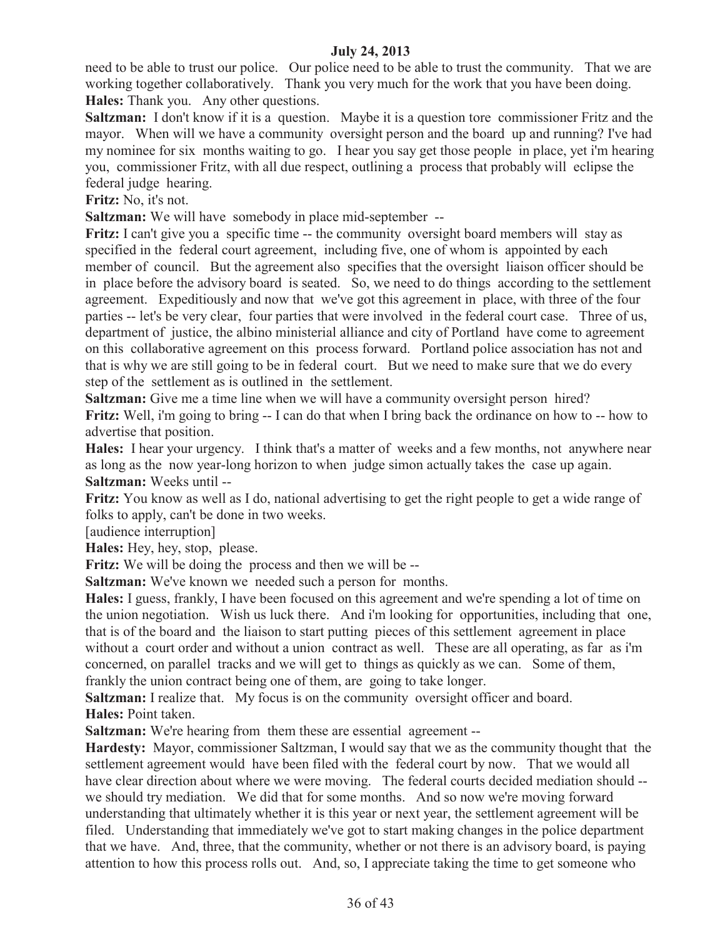need to be able to trust our police. Our police need to be able to trust the community. That we are working together collaboratively. Thank you very much for the work that you have been doing. **Hales:** Thank you. Any other questions.

**Saltzman:** I don't know if it is a question. Maybe it is a question tore commissioner Fritz and the mayor. When will we have a community oversight person and the board up and running? I've had my nominee for six months waiting to go. I hear you say get those people in place, yet i'm hearing you, commissioner Fritz, with all due respect, outlining a process that probably will eclipse the federal judge hearing.

**Fritz:** No, it's not.

**Saltzman:** We will have somebody in place mid-september --

**Fritz:** I can't give you a specific time -- the community oversight board members will stay as specified in the federal court agreement, including five, one of whom is appointed by each member of council. But the agreement also specifies that the oversight liaison officer should be in place before the advisory board is seated. So, we need to do things according to the settlement agreement. Expeditiously and now that we've got this agreement in place, with three of the four parties -- let's be very clear, four parties that were involved in the federal court case. Three of us, department of justice, the albino ministerial alliance and city of Portland have come to agreement on this collaborative agreement on this process forward. Portland police association has not and that is why we are still going to be in federal court. But we need to make sure that we do every step of the settlement as is outlined in the settlement.

**Saltzman:** Give me a time line when we will have a community oversight person hired? **Fritz:** Well, i'm going to bring -- I can do that when I bring back the ordinance on how to -- how to advertise that position.

**Hales:** I hear your urgency. I think that's a matter of weeks and a few months, not anywhere near as long as the now year-long horizon to when judge simon actually takes the case up again. **Saltzman:** Weeks until --

**Fritz:** You know as well as I do, national advertising to get the right people to get a wide range of folks to apply, can't be done in two weeks.

[audience interruption]

**Hales:** Hey, hey, stop, please.

**Fritz:** We will be doing the process and then we will be --

**Saltzman:** We've known we needed such a person for months.

**Hales:** I guess, frankly, I have been focused on this agreement and we're spending a lot of time on the union negotiation. Wish us luck there. And i'm looking for opportunities, including that one, that is of the board and the liaison to start putting pieces of this settlement agreement in place without a court order and without a union contract as well. These are all operating, as far as i'm concerned, on parallel tracks and we will get to things as quickly as we can. Some of them, frankly the union contract being one of them, are going to take longer.

**Saltzman:** I realize that. My focus is on the community oversight officer and board. **Hales:** Point taken.

**Saltzman:** We're hearing from them these are essential agreement --

**Hardesty:** Mayor, commissioner Saltzman, I would say that we as the community thought that the settlement agreement would have been filed with the federal court by now. That we would all have clear direction about where we were moving. The federal courts decided mediation should - we should try mediation. We did that for some months. And so now we're moving forward understanding that ultimately whether it is this year or next year, the settlement agreement will be filed. Understanding that immediately we've got to start making changes in the police department that we have. And, three, that the community, whether or not there is an advisory board, is paying attention to how this process rolls out. And, so, I appreciate taking the time to get someone who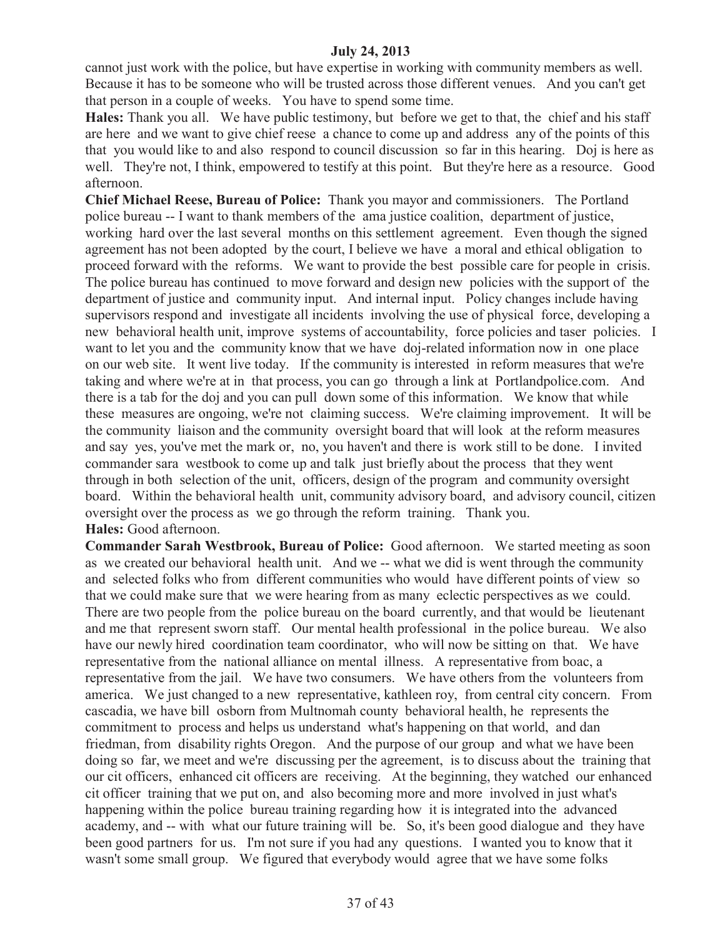cannot just work with the police, but have expertise in working with community members as well. Because it has to be someone who will be trusted across those different venues. And you can't get that person in a couple of weeks. You have to spend some time.

**Hales:** Thank you all. We have public testimony, but before we get to that, the chief and his staff are here and we want to give chief reese a chance to come up and address any of the points of this that you would like to and also respond to council discussion so far in this hearing. Doj is here as well. They're not, I think, empowered to testify at this point. But they're here as a resource. Good afternoon.

**Chief Michael Reese, Bureau of Police:** Thank you mayor and commissioners. The Portland police bureau -- I want to thank members of the ama justice coalition, department of justice, working hard over the last several months on this settlement agreement. Even though the signed agreement has not been adopted by the court, I believe we have a moral and ethical obligation to proceed forward with the reforms. We want to provide the best possible care for people in crisis. The police bureau has continued to move forward and design new policies with the support of the department of justice and community input. And internal input. Policy changes include having supervisors respond and investigate all incidents involving the use of physical force, developing a new behavioral health unit, improve systems of accountability, force policies and taser policies. I want to let you and the community know that we have doj-related information now in one place on our web site. It went live today. If the community is interested in reform measures that we're taking and where we're at in that process, you can go through a link at Portlandpolice.com. And there is a tab for the doj and you can pull down some of this information. We know that while these measures are ongoing, we're not claiming success. We're claiming improvement. It will be the community liaison and the community oversight board that will look at the reform measures and say yes, you've met the mark or, no, you haven't and there is work still to be done. I invited commander sara westbook to come up and talk just briefly about the process that they went through in both selection of the unit, officers, design of the program and community oversight board. Within the behavioral health unit, community advisory board, and advisory council, citizen oversight over the process as we go through the reform training. Thank you.

#### **Hales:** Good afternoon.

**Commander Sarah Westbrook, Bureau of Police:** Good afternoon. We started meeting as soon as we created our behavioral health unit. And we -- what we did is went through the community and selected folks who from different communities who would have different points of view so that we could make sure that we were hearing from as many eclectic perspectives as we could. There are two people from the police bureau on the board currently, and that would be lieutenant and me that represent sworn staff. Our mental health professional in the police bureau. We also have our newly hired coordination team coordinator, who will now be sitting on that. We have representative from the national alliance on mental illness. A representative from boac, a representative from the jail. We have two consumers. We have others from the volunteers from america. We just changed to a new representative, kathleen roy, from central city concern. From cascadia, we have bill osborn from Multnomah county behavioral health, he represents the commitment to process and helps us understand what's happening on that world, and dan friedman, from disability rights Oregon. And the purpose of our group and what we have been doing so far, we meet and we're discussing per the agreement, is to discuss about the training that our cit officers, enhanced cit officers are receiving. At the beginning, they watched our enhanced cit officer training that we put on, and also becoming more and more involved in just what's happening within the police bureau training regarding how it is integrated into the advanced academy, and -- with what our future training will be. So, it's been good dialogue and they have been good partners for us. I'm not sure if you had any questions. I wanted you to know that it wasn't some small group. We figured that everybody would agree that we have some folks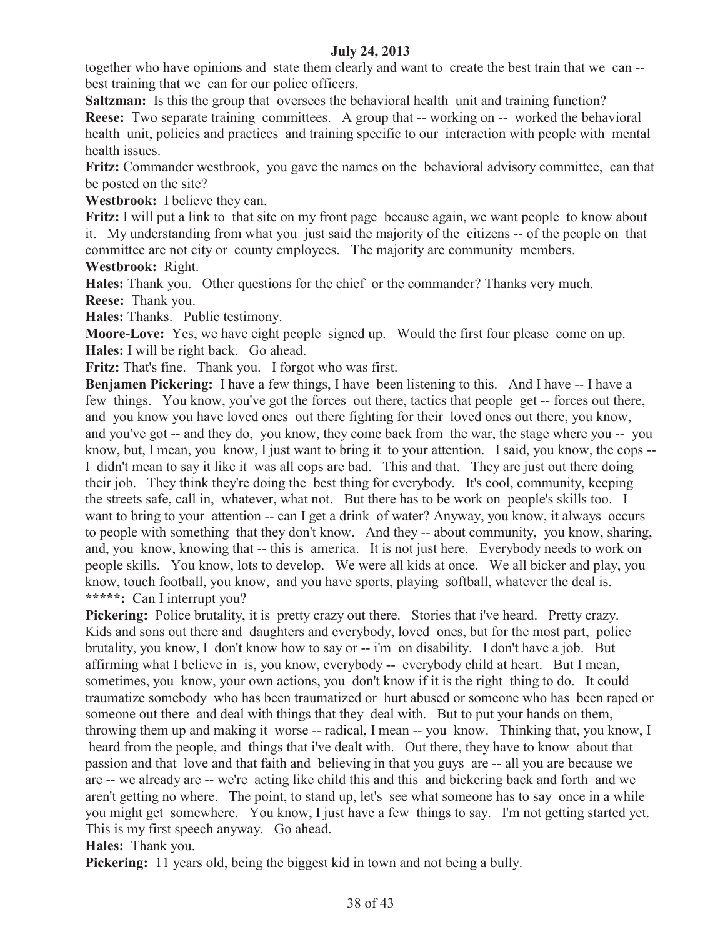together who have opinions and state them clearly and want to create the best train that we can - best training that we can for our police officers.

**Saltzman:** Is this the group that oversees the behavioral health unit and training function? **Reese:** Two separate training committees. A group that -- working on -- worked the behavioral health unit, policies and practices and training specific to our interaction with people with mental health issues.

**Fritz:** Commander westbrook, you gave the names on the behavioral advisory committee, can that be posted on the site?

**Westbrook:** I believe they can.

**Fritz:** I will put a link to that site on my front page because again, we want people to know about it. My understanding from what you just said the majority of the citizens -- of the people on that committee are not city or county employees. The majority are community members. **Westbrook:** Right.

**Hales:** Thank you. Other questions for the chief or the commander? Thanks very much. **Reese:** Thank you.

**Hales:** Thanks. Public testimony.

**Moore-Love:** Yes, we have eight people signed up. Would the first four please come on up. **Hales:** I will be right back. Go ahead.

**Fritz:** That's fine. Thank you. I forgot who was first.

**Benjamen Pickering:** I have a few things, I have been listening to this. And I have -- I have a few things. You know, you've got the forces out there, tactics that people get -- forces out there, and you know you have loved ones out there fighting for their loved ones out there, you know, and you've got -- and they do, you know, they come back from the war, the stage where you -- you know, but, I mean, you know, I just want to bring it to your attention. I said, you know, the cops -- I didn't mean to say it like it was all cops are bad. This and that. They are just out there doing their job. They think they're doing the best thing for everybody. It's cool, community, keeping the streets safe, call in, whatever, what not. But there has to be work on people's skills too. I want to bring to your attention -- can I get a drink of water? Anyway, you know, it always occurs to people with something that they don't know. And they -- about community, you know, sharing, and, you know, knowing that -- this is america. It is not just here. Everybody needs to work on people skills. You know, lots to develop. We were all kids at once. We all bicker and play, you know, touch football, you know, and you have sports, playing softball, whatever the deal is. **\*\*\*\*\*:** Can I interrupt you?

**Pickering:** Police brutality, it is pretty crazy out there. Stories that i've heard. Pretty crazy. Kids and sons out there and daughters and everybody, loved ones, but for the most part, police brutality, you know, I don't know how to say or -- i'm on disability. I don't have a job. But affirming what I believe in is, you know, everybody -- everybody child at heart. But I mean, sometimes, you know, your own actions, you don't know if it is the right thing to do. It could traumatize somebody who has been traumatized or hurt abused or someone who has been raped or someone out there and deal with things that they deal with. But to put your hands on them, throwing them up and making it worse -- radical, I mean -- you know. Thinking that, you know, I heard from the people, and things that i've dealt with. Out there, they have to know about that passion and that love and that faith and believing in that you guys are -- all you are because we are -- we already are -- we're acting like child this and this and bickering back and forth and we aren't getting no where. The point, to stand up, let's see what someone has to say once in a while you might get somewhere. You know, I just have a few things to say. I'm not getting started yet. This is my first speech anyway. Go ahead.

**Hales:** Thank you.

**Pickering:** 11 years old, being the biggest kid in town and not being a bully.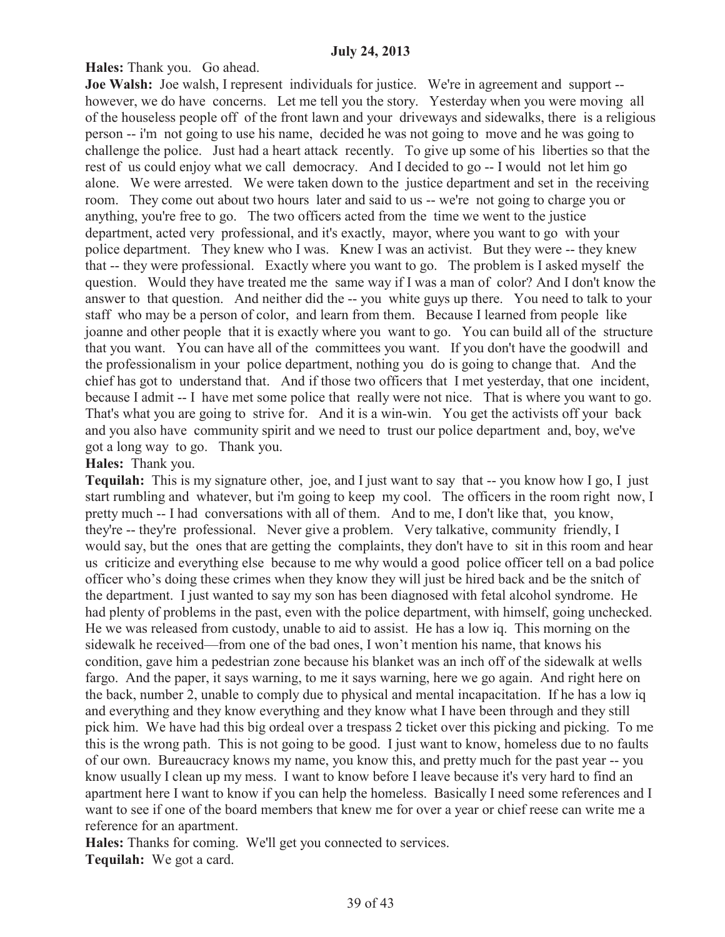**Hales:** Thank you. Go ahead.

**Joe Walsh:** Joe walsh, I represent individuals for justice. We're in agreement and support - however, we do have concerns. Let me tell you the story. Yesterday when you were moving all of the houseless people off of the front lawn and your driveways and sidewalks, there is a religious person -- i'm not going to use his name, decided he was not going to move and he was going to challenge the police. Just had a heart attack recently. To give up some of his liberties so that the rest of us could enjoy what we call democracy. And I decided to go -- I would not let him go alone. We were arrested. We were taken down to the justice department and set in the receiving room. They come out about two hours later and said to us -- we're not going to charge you or anything, you're free to go. The two officers acted from the time we went to the justice department, acted very professional, and it's exactly, mayor, where you want to go with your police department. They knew who I was. Knew I was an activist. But they were -- they knew that -- they were professional. Exactly where you want to go. The problem is I asked myself the question. Would they have treated me the same way if I was a man of color? And I don't know the answer to that question. And neither did the -- you white guys up there. You need to talk to your staff who may be a person of color, and learn from them. Because I learned from people like joanne and other people that it is exactly where you want to go. You can build all of the structure that you want. You can have all of the committees you want. If you don't have the goodwill and the professionalism in your police department, nothing you do is going to change that. And the chief has got to understand that. And if those two officers that I met yesterday, that one incident, because I admit -- I have met some police that really were not nice. That is where you want to go. That's what you are going to strive for. And it is a win-win. You get the activists off your back and you also have community spirit and we need to trust our police department and, boy, we've got a long way to go. Thank you.

# **Hales:** Thank you.

**Tequilah:** This is my signature other, joe, and I just want to say that -- you know how I go, I just start rumbling and whatever, but i'm going to keep my cool. The officers in the room right now, I pretty much -- I had conversations with all of them. And to me, I don't like that, you know, they're -- they're professional. Never give a problem. Very talkative, community friendly, I would say, but the ones that are getting the complaints, they don't have to sit in this room and hear us criticize and everything else because to me why would a good police officer tell on a bad police officer who's doing these crimes when they know they will just be hired back and be the snitch of the department. I just wanted to say my son has been diagnosed with fetal alcohol syndrome. He had plenty of problems in the past, even with the police department, with himself, going unchecked. He we was released from custody, unable to aid to assist. He has a low iq. This morning on the sidewalk he received—from one of the bad ones, I won't mention his name, that knows his condition, gave him a pedestrian zone because his blanket was an inch off of the sidewalk at wells fargo. And the paper, it says warning, to me it says warning, here we go again. And right here on the back, number 2, unable to comply due to physical and mental incapacitation. If he has a low iq and everything and they know everything and they know what I have been through and they still pick him. We have had this big ordeal over a trespass 2 ticket over this picking and picking. To me this is the wrong path. This is not going to be good. I just want to know, homeless due to no faults of our own. Bureaucracy knows my name, you know this, and pretty much for the past year -- you know usually I clean up my mess. I want to know before I leave because it's very hard to find an apartment here I want to know if you can help the homeless. Basically I need some references and I want to see if one of the board members that knew me for over a year or chief reese can write me a reference for an apartment.

**Hales:** Thanks for coming. We'll get you connected to services.

**Tequilah:** We got a card.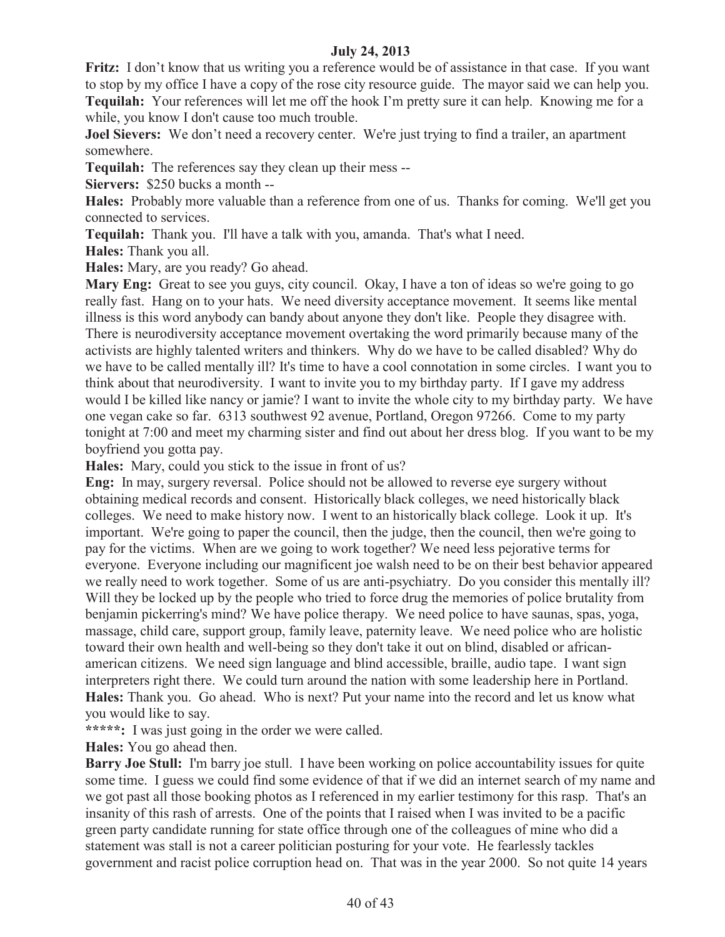**Fritz:** I don't know that us writing you a reference would be of assistance in that case. If you want to stop by my office I have a copy of the rose city resource guide. The mayor said we can help you. **Tequilah:** Your references will let me off the hook I'm pretty sure it can help. Knowing me for a while, you know I don't cause too much trouble.

**Joel Sievers:** We don't need a recovery center. We're just trying to find a trailer, an apartment somewhere.

**Tequilah:** The references say they clean up their mess --

**Siervers:** \$250 bucks a month --

**Hales:** Probably more valuable than a reference from one of us. Thanks for coming. We'll get you connected to services.

**Tequilah:** Thank you. I'll have a talk with you, amanda. That's what I need.

**Hales:** Thank you all.

**Hales:** Mary, are you ready? Go ahead.

Mary Eng: Great to see you guys, city council. Okay, I have a ton of ideas so we're going to go really fast. Hang on to your hats. We need diversity acceptance movement. It seems like mental illness is this word anybody can bandy about anyone they don't like. People they disagree with. There is neurodiversity acceptance movement overtaking the word primarily because many of the activists are highly talented writers and thinkers. Why do we have to be called disabled? Why do we have to be called mentally ill? It's time to have a cool connotation in some circles. I want you to think about that neurodiversity. I want to invite you to my birthday party. If I gave my address would I be killed like nancy or jamie? I want to invite the whole city to my birthday party. We have one vegan cake so far. 6313 southwest 92 avenue, Portland, Oregon 97266. Come to my party tonight at 7:00 and meet my charming sister and find out about her dress blog. If you want to be my boyfriend you gotta pay.

**Hales:** Mary, could you stick to the issue in front of us?

**Eng:** In may, surgery reversal. Police should not be allowed to reverse eye surgery without obtaining medical records and consent. Historically black colleges, we need historically black colleges. We need to make history now. I went to an historically black college. Look it up. It's important. We're going to paper the council, then the judge, then the council, then we're going to pay for the victims. When are we going to work together? We need less pejorative terms for everyone. Everyone including our magnificent joe walsh need to be on their best behavior appeared we really need to work together. Some of us are anti-psychiatry. Do you consider this mentally ill? Will they be locked up by the people who tried to force drug the memories of police brutality from benjamin pickerring's mind? We have police therapy. We need police to have saunas, spas, yoga, massage, child care, support group, family leave, paternity leave. We need police who are holistic toward their own health and well-being so they don't take it out on blind, disabled or africanamerican citizens. We need sign language and blind accessible, braille, audio tape. I want sign interpreters right there. We could turn around the nation with some leadership here in Portland. **Hales:** Thank you. Go ahead. Who is next? Put your name into the record and let us know what you would like to say.

**\*\*\*\*\*:** I was just going in the order we were called.

**Hales:** You go ahead then.

**Barry Joe Stull:** I'm barry joe stull. I have been working on police accountability issues for quite some time. I guess we could find some evidence of that if we did an internet search of my name and we got past all those booking photos as I referenced in my earlier testimony for this rasp. That's an insanity of this rash of arrests. One of the points that I raised when I was invited to be a pacific green party candidate running for state office through one of the colleagues of mine who did a statement was stall is not a career politician posturing for your vote. He fearlessly tackles government and racist police corruption head on. That was in the year 2000. So not quite 14 years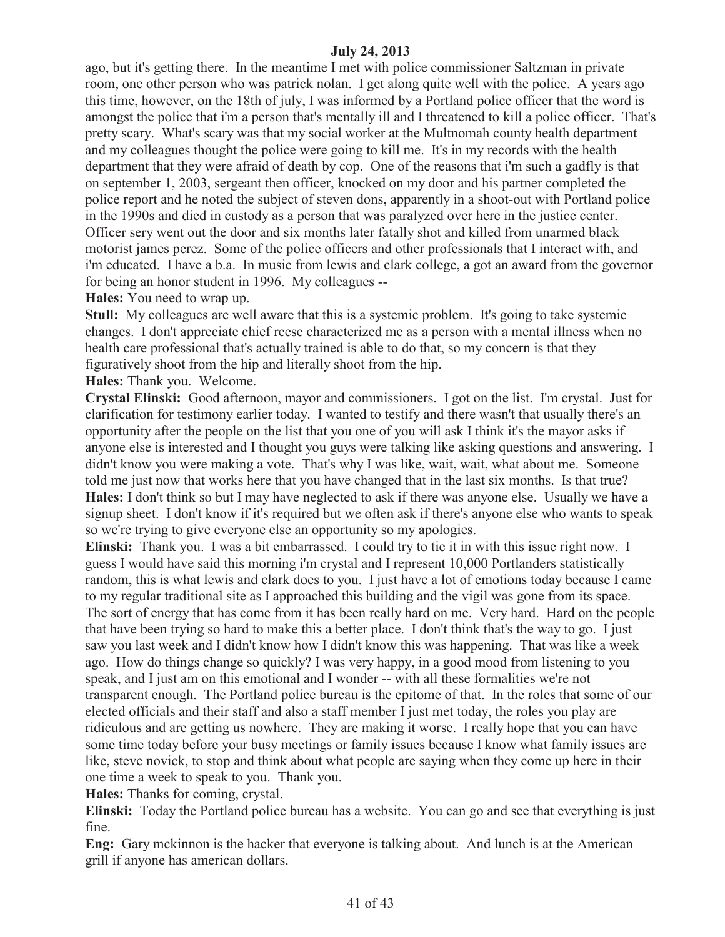ago, but it's getting there. In the meantime I met with police commissioner Saltzman in private room, one other person who was patrick nolan. I get along quite well with the police. A years ago this time, however, on the 18th of july, I was informed by a Portland police officer that the word is amongst the police that i'm a person that's mentally ill and I threatened to kill a police officer. That's pretty scary. What's scary was that my social worker at the Multnomah county health department and my colleagues thought the police were going to kill me. It's in my records with the health department that they were afraid of death by cop. One of the reasons that i'm such a gadfly is that on september 1, 2003, sergeant then officer, knocked on my door and his partner completed the police report and he noted the subject of steven dons, apparently in a shoot-out with Portland police in the 1990s and died in custody as a person that was paralyzed over here in the justice center. Officer sery went out the door and six months later fatally shot and killed from unarmed black motorist james perez. Some of the police officers and other professionals that I interact with, and i'm educated. I have a b.a. In music from lewis and clark college, a got an award from the governor for being an honor student in 1996. My colleagues --

**Hales:** You need to wrap up.

**Stull:** My colleagues are well aware that this is a systemic problem. It's going to take systemic changes. I don't appreciate chief reese characterized me as a person with a mental illness when no health care professional that's actually trained is able to do that, so my concern is that they figuratively shoot from the hip and literally shoot from the hip.

**Hales:** Thank you. Welcome.

**Crystal Elinski:** Good afternoon, mayor and commissioners. I got on the list. I'm crystal. Just for clarification for testimony earlier today. I wanted to testify and there wasn't that usually there's an opportunity after the people on the list that you one of you will ask I think it's the mayor asks if anyone else is interested and I thought you guys were talking like asking questions and answering. I didn't know you were making a vote. That's why I was like, wait, wait, what about me. Someone told me just now that works here that you have changed that in the last six months. Is that true? **Hales:** I don't think so but I may have neglected to ask if there was anyone else. Usually we have a signup sheet. I don't know if it's required but we often ask if there's anyone else who wants to speak so we're trying to give everyone else an opportunity so my apologies.

**Elinski:** Thank you. I was a bit embarrassed. I could try to tie it in with this issue right now. I guess I would have said this morning i'm crystal and I represent 10,000 Portlanders statistically random, this is what lewis and clark does to you. I just have a lot of emotions today because I came to my regular traditional site as I approached this building and the vigil was gone from its space. The sort of energy that has come from it has been really hard on me. Very hard. Hard on the people that have been trying so hard to make this a better place. I don't think that's the way to go. I just saw you last week and I didn't know how I didn't know this was happening. That was like a week ago. How do things change so quickly? I was very happy, in a good mood from listening to you speak, and I just am on this emotional and I wonder -- with all these formalities we're not transparent enough. The Portland police bureau is the epitome of that. In the roles that some of our elected officials and their staff and also a staff member I just met today, the roles you play are ridiculous and are getting us nowhere. They are making it worse. I really hope that you can have some time today before your busy meetings or family issues because I know what family issues are like, steve novick, to stop and think about what people are saying when they come up here in their one time a week to speak to you. Thank you.

**Hales:** Thanks for coming, crystal.

**Elinski:** Today the Portland police bureau has a website. You can go and see that everything is just fine.

**Eng:** Gary mckinnon is the hacker that everyone is talking about. And lunch is at the American grill if anyone has american dollars.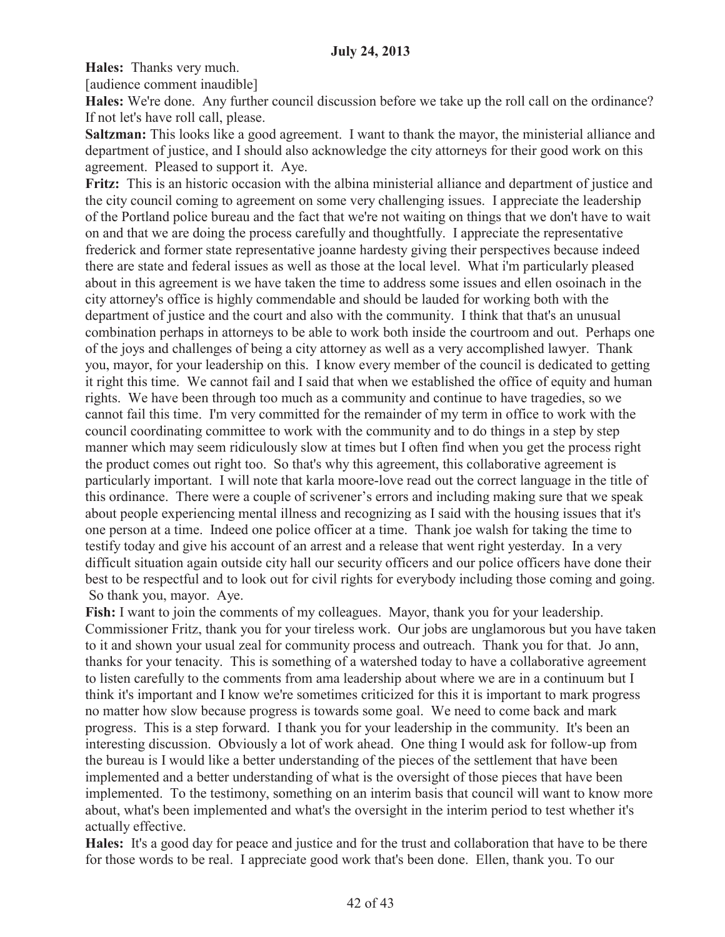**Hales:** Thanks very much.

[audience comment inaudible]

**Hales:** We're done. Any further council discussion before we take up the roll call on the ordinance? If not let's have roll call, please.

**Saltzman:** This looks like a good agreement. I want to thank the mayor, the ministerial alliance and department of justice, and I should also acknowledge the city attorneys for their good work on this agreement. Pleased to support it. Aye.

**Fritz:** This is an historic occasion with the albina ministerial alliance and department of justice and the city council coming to agreement on some very challenging issues. I appreciate the leadership of the Portland police bureau and the fact that we're not waiting on things that we don't have to wait on and that we are doing the process carefully and thoughtfully. I appreciate the representative frederick and former state representative joanne hardesty giving their perspectives because indeed there are state and federal issues as well as those at the local level. What i'm particularly pleased about in this agreement is we have taken the time to address some issues and ellen osoinach in the city attorney's office is highly commendable and should be lauded for working both with the department of justice and the court and also with the community. I think that that's an unusual combination perhaps in attorneys to be able to work both inside the courtroom and out. Perhaps one of the joys and challenges of being a city attorney as well as a very accomplished lawyer. Thank you, mayor, for your leadership on this. I know every member of the council is dedicated to getting it right this time. We cannot fail and I said that when we established the office of equity and human rights. We have been through too much as a community and continue to have tragedies, so we cannot fail this time. I'm very committed for the remainder of my term in office to work with the council coordinating committee to work with the community and to do things in a step by step manner which may seem ridiculously slow at times but I often find when you get the process right the product comes out right too. So that's why this agreement, this collaborative agreement is particularly important. I will note that karla moore-love read out the correct language in the title of this ordinance. There were a couple of scrivener's errors and including making sure that we speak about people experiencing mental illness and recognizing as I said with the housing issues that it's one person at a time. Indeed one police officer at a time. Thank joe walsh for taking the time to testify today and give his account of an arrest and a release that went right yesterday. In a very difficult situation again outside city hall our security officers and our police officers have done their best to be respectful and to look out for civil rights for everybody including those coming and going. So thank you, mayor. Aye.

**Fish:** I want to join the comments of my colleagues. Mayor, thank you for your leadership. Commissioner Fritz, thank you for your tireless work. Our jobs are unglamorous but you have taken to it and shown your usual zeal for community process and outreach. Thank you for that. Jo ann, thanks for your tenacity. This is something of a watershed today to have a collaborative agreement to listen carefully to the comments from ama leadership about where we are in a continuum but I think it's important and I know we're sometimes criticized for this it is important to mark progress no matter how slow because progress is towards some goal. We need to come back and mark progress. This is a step forward. I thank you for your leadership in the community. It's been an interesting discussion. Obviously a lot of work ahead. One thing I would ask for follow-up from the bureau is I would like a better understanding of the pieces of the settlement that have been implemented and a better understanding of what is the oversight of those pieces that have been implemented. To the testimony, something on an interim basis that council will want to know more about, what's been implemented and what's the oversight in the interim period to test whether it's actually effective.

**Hales:** It's a good day for peace and justice and for the trust and collaboration that have to be there for those words to be real. I appreciate good work that's been done. Ellen, thank you. To our